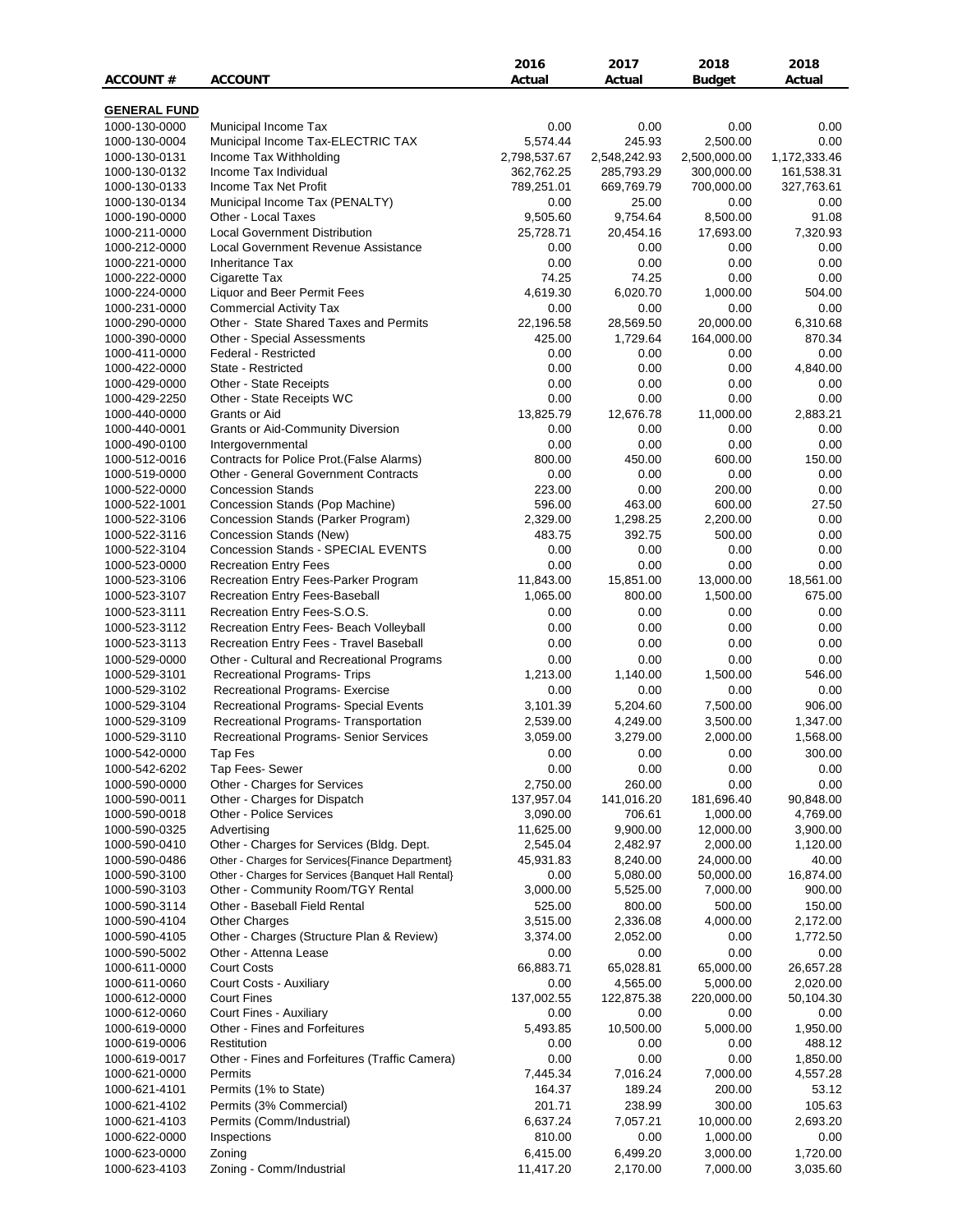|                                |                                                                                               | 2016                  | 2017                   | 2018                   | 2018                  |
|--------------------------------|-----------------------------------------------------------------------------------------------|-----------------------|------------------------|------------------------|-----------------------|
| ACCOUNT#                       | <b>ACCOUNT</b>                                                                                | Actual                | Actual                 | Budget                 | Actual                |
| <b>GENERAL FUND</b>            |                                                                                               |                       |                        |                        |                       |
| 1000-130-0000                  | Municipal Income Tax                                                                          | 0.00                  | 0.00                   | 0.00                   | 0.00                  |
| 1000-130-0004                  | Municipal Income Tax-ELECTRIC TAX                                                             | 5,574.44              | 245.93                 | 2,500.00               | 0.00                  |
| 1000-130-0131                  | Income Tax Withholding                                                                        | 2,798,537.67          | 2,548,242.93           | 2,500,000.00           | 1,172,333.46          |
| 1000-130-0132                  | Income Tax Individual                                                                         | 362,762.25            | 285,793.29             | 300,000.00             | 161,538.31            |
| 1000-130-0133                  | Income Tax Net Profit                                                                         | 789,251.01            | 669,769.79             | 700,000.00             | 327,763.61            |
| 1000-130-0134                  | Municipal Income Tax (PENALTY)                                                                | 0.00                  | 25.00                  | 0.00                   | 0.00                  |
| 1000-190-0000<br>1000-211-0000 | Other - Local Taxes<br><b>Local Government Distribution</b>                                   | 9,505.60<br>25,728.71 | 9,754.64<br>20,454.16  | 8,500.00<br>17,693.00  | 91.08<br>7,320.93     |
| 1000-212-0000                  | Local Government Revenue Assistance                                                           | 0.00                  | 0.00                   | 0.00                   | 0.00                  |
| 1000-221-0000                  | <b>Inheritance Tax</b>                                                                        | 0.00                  | 0.00                   | 0.00                   | 0.00                  |
| 1000-222-0000                  | Cigarette Tax                                                                                 | 74.25                 | 74.25                  | 0.00                   | 0.00                  |
| 1000-224-0000                  | Liquor and Beer Permit Fees                                                                   | 4,619.30              | 6,020.70               | 1,000.00               | 504.00                |
| 1000-231-0000                  | <b>Commercial Activity Tax</b>                                                                | 0.00                  | 0.00                   | 0.00                   | 0.00                  |
| 1000-290-0000                  | Other - State Shared Taxes and Permits                                                        | 22,196.58             | 28,569.50              | 20,000.00              | 6,310.68              |
| 1000-390-0000                  | Other - Special Assessments                                                                   | 425.00                | 1,729.64               | 164,000.00             | 870.34                |
| 1000-411-0000<br>1000-422-0000 | Federal - Restricted<br>State - Restricted                                                    | 0.00<br>0.00          | 0.00<br>0.00           | 0.00<br>0.00           | 0.00<br>4,840.00      |
| 1000-429-0000                  | Other - State Receipts                                                                        | 0.00                  | 0.00                   | 0.00                   | 0.00                  |
| 1000-429-2250                  | Other - State Receipts WC                                                                     | 0.00                  | 0.00                   | 0.00                   | 0.00                  |
| 1000-440-0000                  | Grants or Aid                                                                                 | 13,825.79             | 12,676.78              | 11,000.00              | 2,883.21              |
| 1000-440-0001                  | <b>Grants or Aid-Community Diversion</b>                                                      | 0.00                  | 0.00                   | 0.00                   | 0.00                  |
| 1000-490-0100                  | Intergovernmental                                                                             | 0.00                  | 0.00                   | 0.00                   | 0.00                  |
| 1000-512-0016                  | Contracts for Police Prot. (False Alarms)                                                     | 800.00                | 450.00                 | 600.00                 | 150.00                |
| 1000-519-0000                  | <b>Other - General Government Contracts</b>                                                   | 0.00                  | 0.00                   | 0.00                   | 0.00                  |
| 1000-522-0000                  | <b>Concession Stands</b>                                                                      | 223.00                | 0.00                   | 200.00                 | 0.00                  |
| 1000-522-1001<br>1000-522-3106 | Concession Stands (Pop Machine)<br>Concession Stands (Parker Program)                         | 596.00<br>2,329.00    | 463.00<br>1,298.25     | 600.00<br>2,200.00     | 27.50<br>0.00         |
| 1000-522-3116                  | Concession Stands (New)                                                                       | 483.75                | 392.75                 | 500.00                 | 0.00                  |
| 1000-522-3104                  | Concession Stands - SPECIAL EVENTS                                                            | 0.00                  | 0.00                   | 0.00                   | 0.00                  |
| 1000-523-0000                  | <b>Recreation Entry Fees</b>                                                                  | 0.00                  | 0.00                   | 0.00                   | 0.00                  |
| 1000-523-3106                  | Recreation Entry Fees-Parker Program                                                          | 11,843.00             | 15,851.00              | 13,000.00              | 18,561.00             |
| 1000-523-3107                  | Recreation Entry Fees-Baseball                                                                | 1,065.00              | 800.00                 | 1,500.00               | 675.00                |
| 1000-523-3111                  | Recreation Entry Fees-S.O.S.                                                                  | 0.00                  | 0.00                   | 0.00                   | 0.00                  |
| 1000-523-3112                  | Recreation Entry Fees- Beach Volleyball                                                       | 0.00                  | 0.00                   | 0.00                   | 0.00                  |
| 1000-523-3113                  | Recreation Entry Fees - Travel Baseball                                                       | 0.00                  | 0.00                   | 0.00                   | 0.00                  |
| 1000-529-0000                  | Other - Cultural and Recreational Programs                                                    | 0.00                  | 0.00                   | 0.00                   | 0.00<br>546.00        |
| 1000-529-3101<br>1000-529-3102 | Recreational Programs- Trips<br>Recreational Programs- Exercise                               | 1,213.00<br>0.00      | 1,140.00<br>0.00       | 1,500.00<br>0.00       | 0.00                  |
| 1000-529-3104                  | Recreational Programs- Special Events                                                         | 3,101.39              | 5,204.60               | 7,500.00               | 906.00                |
| 1000-529-3109                  | Recreational Programs- Transportation                                                         | 2,539.00              | 4,249.00               | 3,500.00               | 1,347.00              |
| 1000-529-3110                  | Recreational Programs- Senior Services                                                        | 3,059.00              | 3,279.00               | 2,000.00               | 1,568.00              |
| 1000-542-0000                  | Tap Fes                                                                                       | 0.00                  | 0.00                   | 0.00                   | 300.00                |
| 1000-542-6202                  | Tap Fees- Sewer                                                                               | 0.00                  | 0.00                   | 0.00                   | 0.00                  |
| 1000-590-0000                  | Other - Charges for Services                                                                  | 2,750.00              | 260.00                 | 0.00                   | 0.00                  |
| 1000-590-0011                  | Other - Charges for Dispatch                                                                  | 137,957.04            | 141,016.20             | 181,696.40             | 90,848.00             |
| 1000-590-0018                  | Other - Police Services                                                                       | 3,090.00              | 706.61                 | 1,000.00               | 4,769.00              |
| 1000-590-0325                  | Advertising                                                                                   | 11,625.00<br>2,545.04 | 9,900.00               | 12,000.00              | 3,900.00              |
| 1000-590-0410<br>1000-590-0486 | Other - Charges for Services (Bldg. Dept.<br>Other - Charges for Services{Finance Department} | 45,931.83             | 2,482.97<br>8,240.00   | 2,000.00<br>24,000.00  | 1,120.00<br>40.00     |
| 1000-590-3100                  | Other - Charges for Services {Banquet Hall Rental}                                            | 0.00                  | 5,080.00               | 50,000.00              | 16,874.00             |
| 1000-590-3103                  | Other - Community Room/TGY Rental                                                             | 3,000.00              | 5,525.00               | 7,000.00               | 900.00                |
| 1000-590-3114                  | Other - Baseball Field Rental                                                                 | 525.00                | 800.00                 | 500.00                 | 150.00                |
| 1000-590-4104                  | <b>Other Charges</b>                                                                          | 3,515.00              | 2,336.08               | 4,000.00               | 2,172.00              |
| 1000-590-4105                  | Other - Charges (Structure Plan & Review)                                                     | 3,374.00              | 2,052.00               | 0.00                   | 1,772.50              |
| 1000-590-5002                  | Other - Attenna Lease                                                                         | 0.00                  | 0.00                   | 0.00                   | 0.00                  |
| 1000-611-0000                  | <b>Court Costs</b>                                                                            | 66,883.71             | 65,028.81              | 65,000.00              | 26,657.28             |
| 1000-611-0060                  | Court Costs - Auxiliary<br><b>Court Fines</b>                                                 | 0.00<br>137,002.55    | 4,565.00<br>122,875.38 | 5,000.00<br>220,000.00 | 2,020.00<br>50,104.30 |
| 1000-612-0000<br>1000-612-0060 | Court Fines - Auxiliary                                                                       | 0.00                  | 0.00                   | 0.00                   | 0.00                  |
| 1000-619-0000                  | Other - Fines and Forfeitures                                                                 | 5,493.85              | 10,500.00              | 5,000.00               | 1,950.00              |
| 1000-619-0006                  | Restitution                                                                                   | 0.00                  | 0.00                   | 0.00                   | 488.12                |
| 1000-619-0017                  | Other - Fines and Forfeitures (Traffic Camera)                                                | 0.00                  | 0.00                   | 0.00                   | 1,850.00              |
| 1000-621-0000                  | Permits                                                                                       | 7,445.34              | 7,016.24               | 7,000.00               | 4,557.28              |
| 1000-621-4101                  | Permits (1% to State)                                                                         | 164.37                | 189.24                 | 200.00                 | 53.12                 |
| 1000-621-4102                  | Permits (3% Commercial)                                                                       | 201.71                | 238.99                 | 300.00                 | 105.63                |
| 1000-621-4103                  | Permits (Comm/Industrial)                                                                     | 6,637.24              | 7,057.21               | 10,000.00              | 2,693.20              |
| 1000-622-0000                  | Inspections                                                                                   | 810.00                | 0.00                   | 1,000.00               | 0.00                  |
| 1000-623-0000                  | Zoning                                                                                        | 6,415.00              | 6,499.20               | 3,000.00               | 1,720.00              |
| 1000-623-4103                  | Zoning - Comm/Industrial                                                                      | 11,417.20             | 2,170.00               | 7,000.00               | 3,035.60              |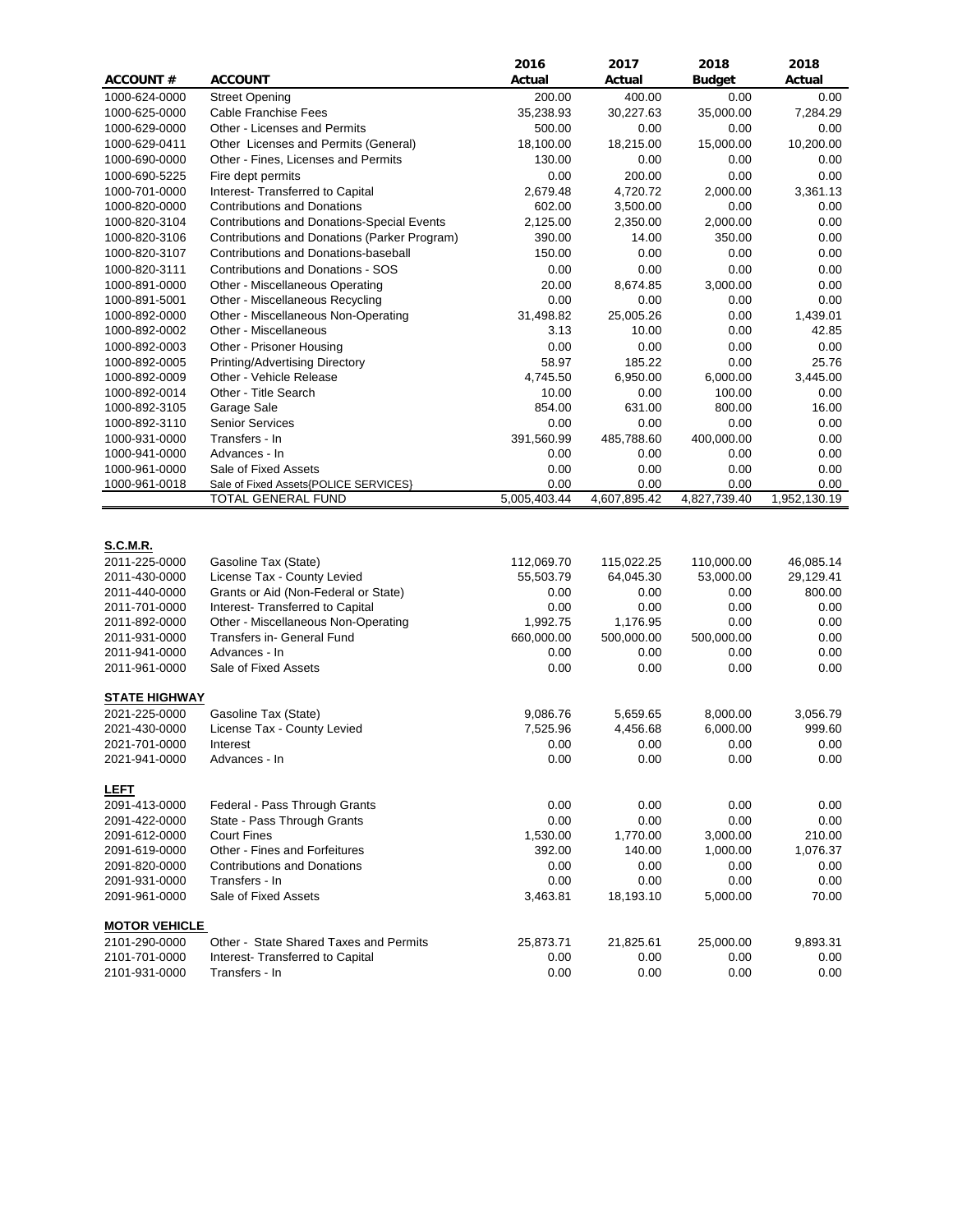|                      |                                                                     | 2016         | 2017         | 2018          | 2018         |
|----------------------|---------------------------------------------------------------------|--------------|--------------|---------------|--------------|
| <b>ACCOUNT#</b>      | <b>ACCOUNT</b>                                                      | Actual       | Actual       | <b>Budget</b> | Actual       |
| 1000-624-0000        | <b>Street Opening</b>                                               | 200.00       | 400.00       | 0.00          | 0.00         |
| 1000-625-0000        | Cable Franchise Fees                                                | 35,238.93    | 30,227.63    | 35,000.00     | 7,284.29     |
| 1000-629-0000        | Other - Licenses and Permits                                        | 500.00       | 0.00         | 0.00          | 0.00         |
| 1000-629-0411        | Other Licenses and Permits (General)                                | 18,100.00    | 18,215.00    | 15,000.00     | 10,200.00    |
| 1000-690-0000        | Other - Fines, Licenses and Permits                                 | 130.00       | 0.00         | 0.00          | 0.00         |
| 1000-690-5225        | Fire dept permits                                                   | 0.00         | 200.00       | 0.00          | 0.00         |
| 1000-701-0000        | Interest- Transferred to Capital                                    | 2,679.48     | 4,720.72     | 2,000.00      | 3,361.13     |
| 1000-820-0000        | <b>Contributions and Donations</b>                                  | 602.00       | 3,500.00     | 0.00          | 0.00         |
| 1000-820-3104        | <b>Contributions and Donations-Special Events</b>                   | 2,125.00     | 2,350.00     | 2,000.00      | 0.00         |
| 1000-820-3106        | Contributions and Donations (Parker Program)                        | 390.00       | 14.00        | 350.00        | 0.00         |
| 1000-820-3107        | Contributions and Donations-baseball                                | 150.00       | 0.00         | 0.00          | 0.00         |
| 1000-820-3111        | Contributions and Donations - SOS                                   | 0.00         | 0.00         | 0.00          | 0.00         |
| 1000-891-0000        | Other - Miscellaneous Operating                                     | 20.00        | 8,674.85     | 3,000.00      | 0.00         |
| 1000-891-5001        | Other - Miscellaneous Recycling                                     | 0.00         | 0.00         | 0.00          | 0.00         |
| 1000-892-0000        | Other - Miscellaneous Non-Operating                                 | 31,498.82    | 25,005.26    | 0.00          | 1,439.01     |
| 1000-892-0002        | Other - Miscellaneous                                               | 3.13         | 10.00        | 0.00          | 42.85        |
| 1000-892-0003        | Other - Prisoner Housing                                            | 0.00         | 0.00         | 0.00          | 0.00         |
| 1000-892-0005        | Printing/Advertising Directory                                      | 58.97        | 185.22       | 0.00          | 25.76        |
| 1000-892-0009        | Other - Vehicle Release                                             | 4,745.50     | 6,950.00     | 6,000.00      | 3,445.00     |
| 1000-892-0014        | Other - Title Search                                                | 10.00        | 0.00         | 100.00        | 0.00         |
| 1000-892-3105        | Garage Sale                                                         | 854.00       | 631.00       | 800.00        | 16.00        |
| 1000-892-3110        | <b>Senior Services</b>                                              | 0.00         | 0.00         | 0.00          | 0.00         |
| 1000-931-0000        | Transfers - In                                                      | 391,560.99   | 485,788.60   | 400,000.00    | 0.00         |
| 1000-941-0000        | Advances - In                                                       | 0.00         | 0.00         | 0.00          | 0.00         |
| 1000-961-0000        | Sale of Fixed Assets                                                | 0.00         | 0.00         | 0.00          | 0.00         |
| 1000-961-0018        | Sale of Fixed Assets{POLICE SERVICES}                               | 0.00         | 0.00         | 0.00          | 0.00         |
|                      | TOTAL GENERAL FUND                                                  | 5,005,403.44 | 4,607,895.42 | 4,827,739.40  | 1,952,130.19 |
|                      |                                                                     |              |              |               |              |
| S.C.M.R.             |                                                                     |              |              |               |              |
| 2011-225-0000        | Gasoline Tax (State)                                                | 112,069.70   | 115,022.25   | 110,000.00    | 46,085.14    |
| 2011-430-0000        | License Tax - County Levied                                         | 55,503.79    | 64,045.30    | 53,000.00     | 29,129.41    |
| 2011-440-0000        | Grants or Aid (Non-Federal or State)                                | 0.00         | 0.00         | 0.00          | 800.00       |
| 2011-701-0000        | Interest- Transferred to Capital                                    | 0.00         | 0.00         | 0.00          | 0.00         |
| 2011-892-0000        | Other - Miscellaneous Non-Operating                                 | 1,992.75     | 1,176.95     | 0.00          | 0.00         |
| 2011-931-0000        | Transfers in- General Fund                                          | 660,000.00   | 500,000.00   | 500,000.00    | 0.00         |
| 2011-941-0000        | Advances - In                                                       | 0.00         | 0.00         | 0.00          | 0.00         |
| 2011-961-0000        | Sale of Fixed Assets                                                | 0.00         | 0.00         | 0.00          | 0.00         |
|                      |                                                                     |              |              |               |              |
| <b>STATE HIGHWAY</b> |                                                                     |              |              |               |              |
| 2021-225-0000        | Gasoline Tax (State)                                                | 9,086.76     | 5,659.65     | 8,000.00      | 3,056.79     |
| 2021-430-0000        | License Tax - County Levied                                         | 7,525.96     | 4,456.68     | 6,000.00      | 999.60       |
| 2021-701-0000        | Interest                                                            | 0.00         | 0.00         | 0.00          | 0.00         |
| 2021-941-0000        | Advances - In                                                       | 0.00         | 0.00         | 0.00          | 0.00         |
|                      |                                                                     |              |              |               |              |
| <b>LEFT</b>          |                                                                     |              |              |               |              |
| 2091-413-0000        | Federal - Pass Through Grants                                       | 0.00         | 0.00         | 0.00          | 0.00         |
| 2091-422-0000        | State - Pass Through Grants                                         | 0.00         | 0.00         | 0.00          | 0.00         |
| 2091-612-0000        | <b>Court Fines</b>                                                  | 1,530.00     | 1,770.00     | 3,000.00      | 210.00       |
| 2091-619-0000        | Other - Fines and Forfeitures<br><b>Contributions and Donations</b> | 392.00       | 140.00       | 1,000.00      | 1,076.37     |
| 2091-820-0000        |                                                                     | 0.00         | 0.00         | 0.00          | $0.00\,$     |
| 2091-931-0000        | Transfers - In                                                      | 0.00         | 0.00         | 0.00          | 0.00         |
| 2091-961-0000        | Sale of Fixed Assets                                                | 3,463.81     | 18,193.10    | 5,000.00      | 70.00        |
| <b>MOTOR VEHICLE</b> |                                                                     |              |              |               |              |
| 2101-290-0000        | Other - State Shared Taxes and Permits                              | 25,873.71    | 21,825.61    | 25,000.00     | 9,893.31     |
| 2101-701-0000        | Interest- Transferred to Capital                                    | 0.00         | 0.00         | 0.00          | 0.00         |
| 2101-931-0000        | Transfers - In                                                      | 0.00         | 0.00         | 0.00          | 0.00         |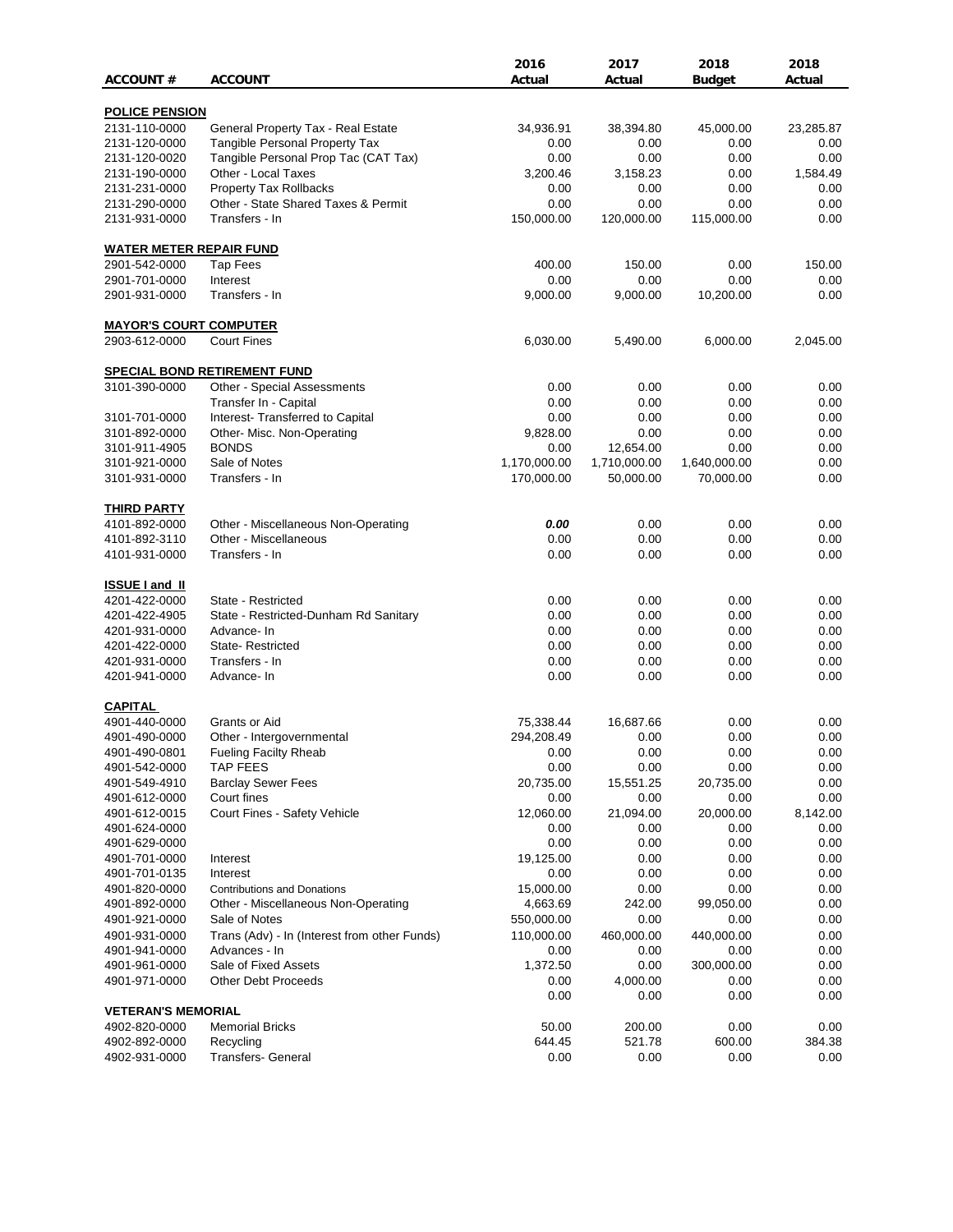|                                |                                                                    | 2016             | 2017         | 2018                      | 2018         |
|--------------------------------|--------------------------------------------------------------------|------------------|--------------|---------------------------|--------------|
| <b>ACCOUNT#</b>                | <b>ACCOUNT</b>                                                     | Actual           | Actual       | <b>Budget</b>             | Actual       |
| <b>POLICE PENSION</b>          |                                                                    |                  |              |                           |              |
| 2131-110-0000                  | General Property Tax - Real Estate                                 | 34,936.91        | 38,394.80    | 45,000.00                 | 23,285.87    |
| 2131-120-0000                  | <b>Tangible Personal Property Tax</b>                              | 0.00             | 0.00         | 0.00                      | 0.00         |
| 2131-120-0020                  | Tangible Personal Prop Tac (CAT Tax)                               | 0.00             | 0.00         | 0.00                      | 0.00         |
| 2131-190-0000                  | Other - Local Taxes                                                | 3,200.46         | 3,158.23     | 0.00                      | 1,584.49     |
| 2131-231-0000                  | Property Tax Rollbacks                                             | 0.00             | 0.00         | 0.00                      | 0.00         |
| 2131-290-0000                  | Other - State Shared Taxes & Permit                                | 0.00             | 0.00         | 0.00                      | 0.00         |
| 2131-931-0000                  | Transfers - In                                                     | 150,000.00       | 120,000.00   | 115,000.00                | 0.00         |
| <b>WATER METER REPAIR FUND</b> |                                                                    |                  |              |                           |              |
| 2901-542-0000                  | <b>Tap Fees</b>                                                    | 400.00           | 150.00       | 0.00                      | 150.00       |
| 2901-701-0000                  | Interest                                                           | 0.00             | 0.00         | 0.00                      | 0.00         |
| 2901-931-0000                  | Transfers - In                                                     | 9,000.00         | 9,000.00     | 10,200.00                 | 0.00         |
| <b>MAYOR'S COURT COMPUTER</b>  |                                                                    |                  |              |                           |              |
| 2903-612-0000                  | <b>Court Fines</b>                                                 | 6,030.00         | 5,490.00     | 6,000.00                  | 2,045.00     |
|                                |                                                                    |                  |              |                           |              |
| 3101-390-0000                  | <b>SPECIAL BOND RETIREMENT FUND</b><br>Other - Special Assessments | 0.00             | 0.00         | 0.00                      | 0.00         |
|                                | Transfer In - Capital                                              | 0.00             | 0.00         | 0.00                      | 0.00         |
|                                |                                                                    |                  |              |                           |              |
| 3101-701-0000<br>3101-892-0000 | Interest- Transferred to Capital                                   | 0.00<br>9,828.00 | 0.00<br>0.00 | 0.00<br>0.00              | 0.00         |
| 3101-911-4905                  | Other- Misc. Non-Operating<br><b>BONDS</b>                         | 0.00             | 12,654.00    | 0.00                      | 0.00<br>0.00 |
|                                | Sale of Notes                                                      | 1,170,000.00     | 1,710,000.00 |                           |              |
| 3101-921-0000                  | Transfers - In                                                     |                  | 50,000.00    | 1,640,000.00<br>70,000.00 | 0.00         |
| 3101-931-0000                  |                                                                    | 170,000.00       |              |                           | 0.00         |
| <b>THIRD PARTY</b>             |                                                                    |                  |              |                           |              |
| 4101-892-0000                  | Other - Miscellaneous Non-Operating                                | 0.00             | 0.00         | 0.00                      | 0.00         |
| 4101-892-3110                  | Other - Miscellaneous                                              | 0.00             | 0.00         | 0.00                      | 0.00         |
| 4101-931-0000                  | Transfers - In                                                     | 0.00             | 0.00         | 0.00                      | 0.00         |
| <b>ISSUE I and II</b>          |                                                                    |                  |              |                           |              |
| 4201-422-0000                  | State - Restricted                                                 | 0.00             | 0.00         | 0.00                      | 0.00         |
| 4201-422-4905                  | State - Restricted-Dunham Rd Sanitary                              | 0.00             | 0.00         | 0.00                      | 0.00         |
| 4201-931-0000                  | Advance-In                                                         | 0.00             | 0.00         | 0.00                      | 0.00         |
| 4201-422-0000                  | <b>State-Restricted</b>                                            | 0.00             | 0.00         | 0.00                      | 0.00         |
| 4201-931-0000                  | Transfers - In                                                     | 0.00             | 0.00         | 0.00                      | 0.00         |
| 4201-941-0000                  | Advance- In                                                        | 0.00             | 0.00         | 0.00                      | 0.00         |
| <b>CAPITAL</b>                 |                                                                    |                  |              |                           |              |
| 4901-440-0000                  | Grants or Aid                                                      | 75,338.44        | 16,687.66    | 0.00                      | 0.00         |
| 4901-490-0000                  | Other - Intergovernmental                                          | 294,208.49       | 0.00         | 0.00                      | 0.00         |
| 4901-490-0801                  | <b>Fueling Facilty Rheab</b>                                       | 0.00             | 0.00         | 0.00                      | 0.00         |
| 4901-542-0000                  | <b>TAP FEES</b>                                                    | 0.00             | 0.00         | 0.00                      | 0.00         |
| 4901-549-4910                  | <b>Barclay Sewer Fees</b>                                          | 20,735.00        | 15,551.25    | 20,735.00                 | 0.00         |
| 4901-612-0000                  | Court fines                                                        | 0.00             | 0.00         | 0.00                      | 0.00         |
| 4901-612-0015                  | Court Fines - Safety Vehicle                                       | 12,060.00        | 21,094.00    | 20,000.00                 | 8,142.00     |
| 4901-624-0000                  |                                                                    | 0.00             | 0.00         | 0.00                      | 0.00         |
| 4901-629-0000                  |                                                                    | 0.00             | 0.00         | 0.00                      | 0.00         |
| 4901-701-0000                  | Interest                                                           | 19,125.00        | 0.00         | 0.00                      | 0.00         |
| 4901-701-0135                  | Interest                                                           | 0.00             | 0.00         | 0.00                      | 0.00         |
| 4901-820-0000                  | <b>Contributions and Donations</b>                                 | 15,000.00        | 0.00         | 0.00                      | 0.00         |
| 4901-892-0000                  | Other - Miscellaneous Non-Operating                                | 4,663.69         | 242.00       | 99,050.00                 | 0.00         |
| 4901-921-0000                  | Sale of Notes                                                      | 550,000.00       | 0.00         | 0.00                      | 0.00         |
| 4901-931-0000                  | Trans (Adv) - In (Interest from other Funds)                       | 110,000.00       | 460,000.00   | 440,000.00                | 0.00         |
| 4901-941-0000                  | Advances - In                                                      | 0.00             | 0.00         | 0.00                      | 0.00         |
| 4901-961-0000                  | Sale of Fixed Assets                                               | 1,372.50         | 0.00         | 300,000.00                | 0.00         |
| 4901-971-0000                  | <b>Other Debt Proceeds</b>                                         | 0.00             | 4,000.00     | 0.00                      | 0.00         |
|                                |                                                                    | 0.00             | 0.00         | 0.00                      | 0.00         |
| <b>VETERAN'S MEMORIAL</b>      |                                                                    |                  |              |                           |              |
| 4902-820-0000                  | <b>Memorial Bricks</b>                                             | 50.00            | 200.00       | 0.00                      | 0.00         |
| 4902-892-0000                  | Recycling                                                          | 644.45           | 521.78       | 600.00                    | 384.38       |
| 4902-931-0000                  | Transfers- General                                                 | 0.00             | 0.00         | 0.00                      | 0.00         |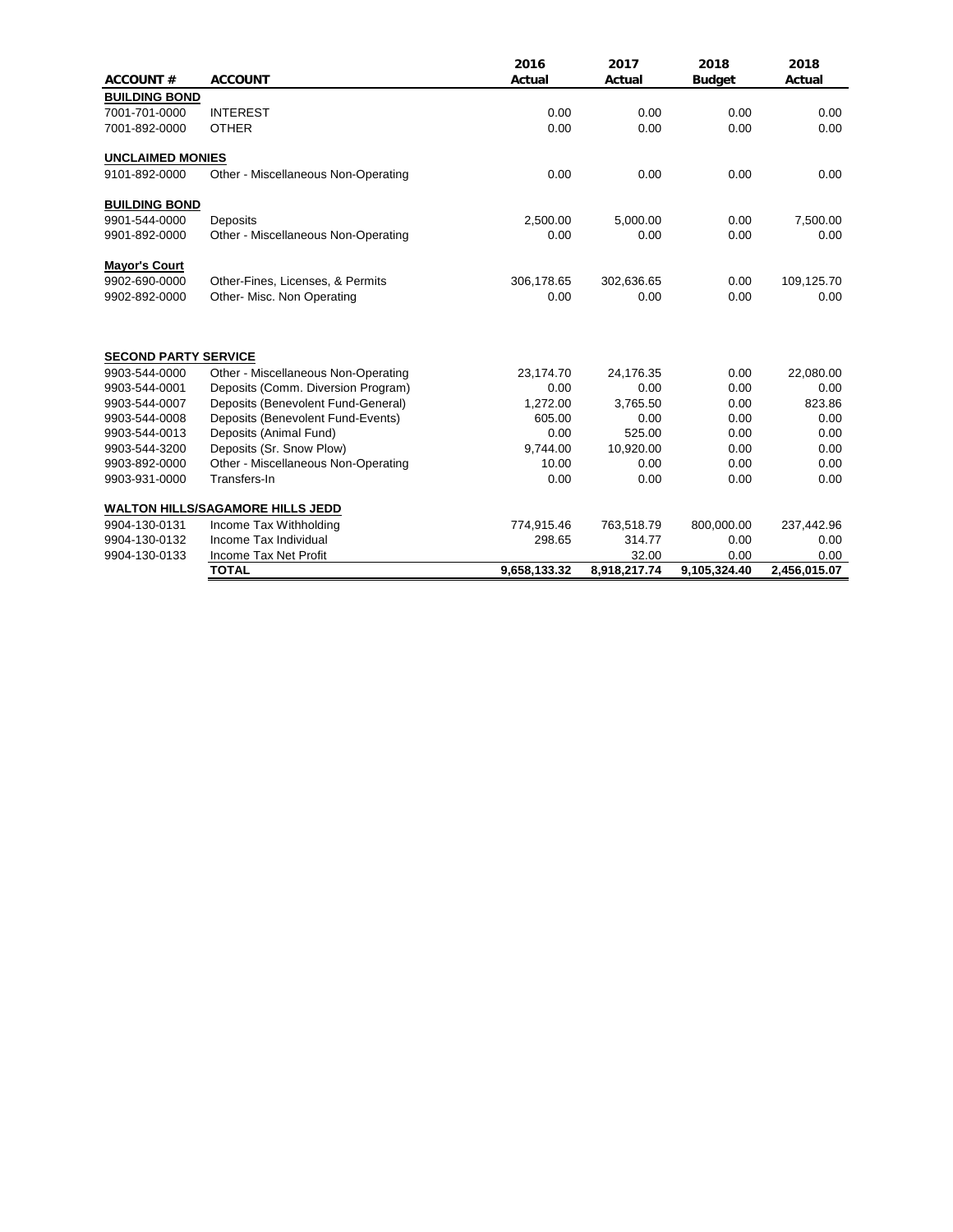| <b>ACCOUNT#</b>             | <b>ACCOUNT</b>                          | 2016<br>Actual | 2017<br>Actual | 2018<br><b>Budget</b> | 2018<br>Actual |
|-----------------------------|-----------------------------------------|----------------|----------------|-----------------------|----------------|
| <b>BUILDING BOND</b>        |                                         |                |                |                       |                |
| 7001-701-0000               | <b>INTEREST</b>                         | 0.00           | 0.00           | 0.00                  | 0.00           |
| 7001-892-0000               | <b>OTHER</b>                            | 0.00           | 0.00           | 0.00                  | 0.00           |
| <b>UNCLAIMED MONIES</b>     |                                         |                |                |                       |                |
| 9101-892-0000               | Other - Miscellaneous Non-Operating     | 0.00           | 0.00           | 0.00                  | 0.00           |
| <b>BUILDING BOND</b>        |                                         |                |                |                       |                |
| 9901-544-0000               | Deposits                                | 2,500.00       | 5,000.00       | 0.00                  | 7,500.00       |
| 9901-892-0000               | Other - Miscellaneous Non-Operating     | 0.00           | 0.00           | 0.00                  | 0.00           |
| <b>Mayor's Court</b>        |                                         |                |                |                       |                |
| 9902-690-0000               | Other-Fines, Licenses, & Permits        | 306,178.65     | 302,636.65     | 0.00                  | 109,125.70     |
| 9902-892-0000               | Other- Misc. Non Operating              | 0.00           | 0.00           | 0.00                  | 0.00           |
| <b>SECOND PARTY SERVICE</b> |                                         |                |                |                       |                |
| 9903-544-0000               | Other - Miscellaneous Non-Operating     | 23,174.70      | 24,176.35      | 0.00                  | 22,080.00      |
| 9903-544-0001               | Deposits (Comm. Diversion Program)      | 0.00           | 0.00           | 0.00                  | 0.00           |
| 9903-544-0007               | Deposits (Benevolent Fund-General)      | 1,272.00       | 3,765.50       | 0.00                  | 823.86         |
| 9903-544-0008               | Deposits (Benevolent Fund-Events)       | 605.00         | 0.00           | 0.00                  | 0.00           |
| 9903-544-0013               | Deposits (Animal Fund)                  | 0.00           | 525.00         | 0.00                  | 0.00           |
| 9903-544-3200               | Deposits (Sr. Snow Plow)                | 9,744.00       | 10,920.00      | 0.00                  | 0.00           |
| 9903-892-0000               | Other - Miscellaneous Non-Operating     | 10.00          | 0.00           | 0.00                  | 0.00           |
| 9903-931-0000               | Transfers-In                            | 0.00           | 0.00           | 0.00                  | 0.00           |
|                             | <b>WALTON HILLS/SAGAMORE HILLS JEDD</b> |                |                |                       |                |
| 9904-130-0131               | Income Tax Withholding                  | 774,915.46     | 763,518.79     | 800,000.00            | 237,442.96     |
| 9904-130-0132               | Income Tax Individual                   | 298.65         | 314.77         | 0.00                  | 0.00           |
| 9904-130-0133               | Income Tax Net Profit                   |                | 32.00          | 0.00                  | 0.00           |
|                             | <b>TOTAL</b>                            | 9,658,133.32   | 8,918,217.74   | 9,105,324.40          | 2,456,015.07   |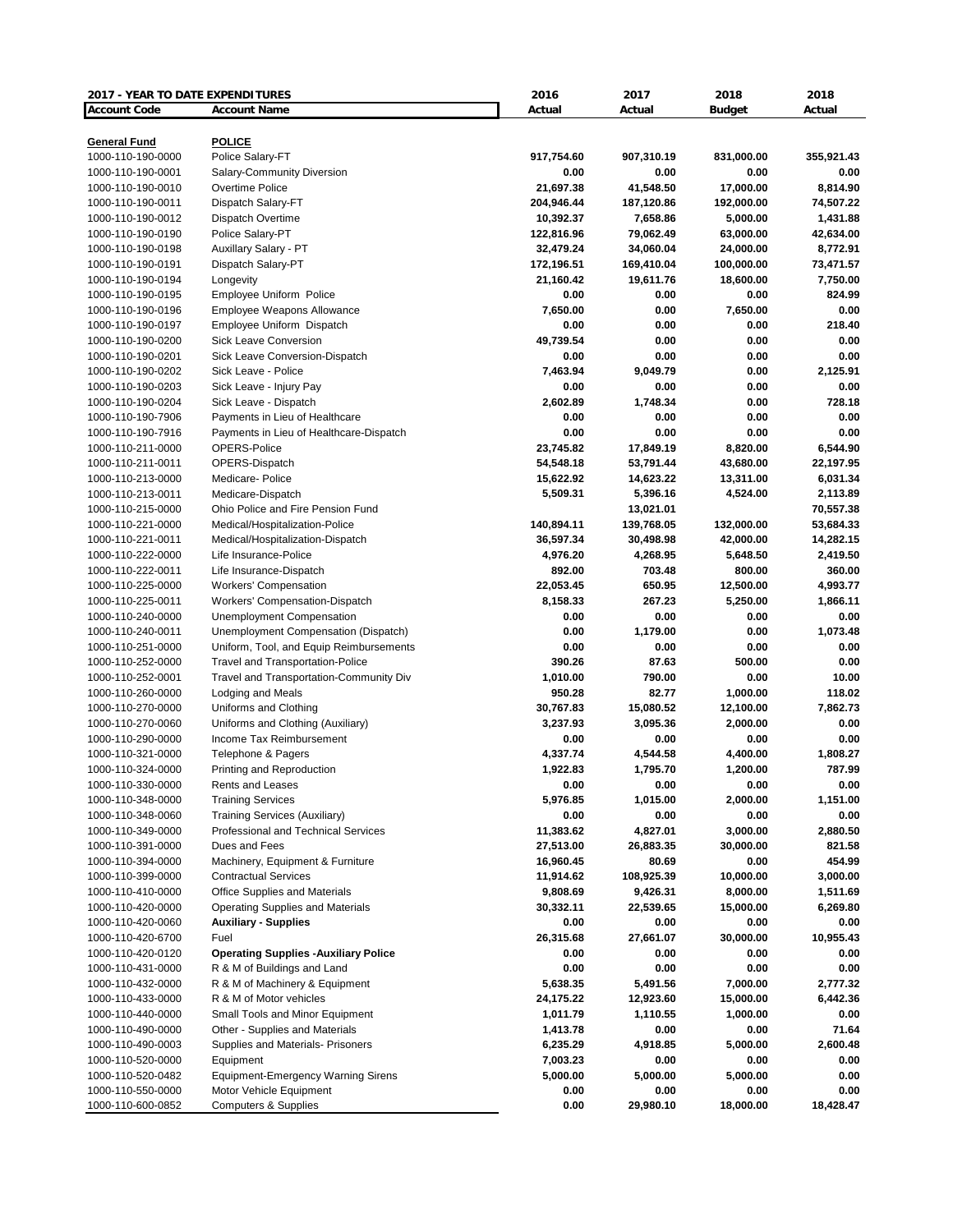| 2017 - YEAR TO DATE EXPENDITURES |                                             | 2016       | 2017       | 2018          | 2018       |
|----------------------------------|---------------------------------------------|------------|------------|---------------|------------|
| <b>Account Code</b>              | <b>Account Name</b>                         | Actual     | Actual     | <b>Budget</b> | Actual     |
|                                  |                                             |            |            |               |            |
| <b>General Fund</b>              | <b>POLICE</b>                               |            |            |               |            |
| 1000-110-190-0000                | Police Salary-FT                            | 917,754.60 | 907,310.19 | 831,000.00    | 355,921.43 |
| 1000-110-190-0001                | Salary-Community Diversion                  | 0.00       | 0.00       | 0.00          | 0.00       |
| 1000-110-190-0010                | Overtime Police                             | 21,697.38  | 41,548.50  | 17,000.00     | 8,814.90   |
| 1000-110-190-0011                | Dispatch Salary-FT                          | 204,946.44 | 187,120.86 | 192,000.00    | 74,507.22  |
| 1000-110-190-0012                | Dispatch Overtime                           | 10,392.37  | 7,658.86   | 5,000.00      | 1,431.88   |
| 1000-110-190-0190                | Police Salary-PT                            | 122,816.96 | 79,062.49  | 63,000.00     | 42,634.00  |
| 1000-110-190-0198                | Auxillary Salary - PT                       | 32,479.24  | 34,060.04  | 24,000.00     | 8,772.91   |
| 1000-110-190-0191                | Dispatch Salary-PT                          | 172,196.51 | 169,410.04 | 100,000.00    | 73,471.57  |
| 1000-110-190-0194                | Longevity                                   | 21,160.42  | 19,611.76  | 18,600.00     | 7,750.00   |
| 1000-110-190-0195                | Employee Uniform Police                     | 0.00       | 0.00       | 0.00          | 824.99     |
| 1000-110-190-0196                | Employee Weapons Allowance                  | 7,650.00   | 0.00       | 7,650.00      | 0.00       |
| 1000-110-190-0197                | Employee Uniform Dispatch                   | 0.00       | 0.00       | 0.00          | 218.40     |
| 1000-110-190-0200                | <b>Sick Leave Conversion</b>                | 49,739.54  | 0.00       | 0.00          | 0.00       |
| 1000-110-190-0201                | Sick Leave Conversion-Dispatch              | 0.00       | 0.00       | 0.00          | 0.00       |
| 1000-110-190-0202                | Sick Leave - Police                         | 7,463.94   | 9,049.79   | 0.00          | 2,125.91   |
| 1000-110-190-0203                | Sick Leave - Injury Pay                     | 0.00       | 0.00       | 0.00          | 0.00       |
| 1000-110-190-0204                | Sick Leave - Dispatch                       | 2,602.89   | 1,748.34   | 0.00          | 728.18     |
| 1000-110-190-7906                | Payments in Lieu of Healthcare              | 0.00       | 0.00       | 0.00          | 0.00       |
| 1000-110-190-7916                | Payments in Lieu of Healthcare-Dispatch     | 0.00       | 0.00       | 0.00          | 0.00       |
| 1000-110-211-0000                | OPERS-Police                                | 23,745.82  | 17,849.19  | 8,820.00      | 6,544.90   |
| 1000-110-211-0011                | OPERS-Dispatch                              | 54,548.18  | 53,791.44  | 43,680.00     | 22,197.95  |
| 1000-110-213-0000                | Medicare- Police                            | 15,622.92  | 14,623.22  | 13,311.00     | 6,031.34   |
| 1000-110-213-0011                | Medicare-Dispatch                           | 5,509.31   | 5,396.16   | 4,524.00      | 2,113.89   |
| 1000-110-215-0000                | Ohio Police and Fire Pension Fund           |            | 13,021.01  |               | 70,557.38  |
| 1000-110-221-0000                | Medical/Hospitalization-Police              | 140,894.11 | 139,768.05 | 132,000.00    | 53,684.33  |
| 1000-110-221-0011                | Medical/Hospitalization-Dispatch            | 36,597.34  | 30,498.98  | 42,000.00     | 14,282.15  |
| 1000-110-222-0000                | Life Insurance-Police                       | 4,976.20   | 4,268.95   | 5,648.50      | 2,419.50   |
| 1000-110-222-0011                | Life Insurance-Dispatch                     | 892.00     | 703.48     | 800.00        | 360.00     |
| 1000-110-225-0000                | <b>Workers' Compensation</b>                | 22,053.45  | 650.95     | 12,500.00     | 4,993.77   |
| 1000-110-225-0011                | Workers' Compensation-Dispatch              | 8,158.33   | 267.23     | 5,250.00      | 1,866.11   |
| 1000-110-240-0000                | <b>Unemployment Compensation</b>            | 0.00       | 0.00       | 0.00          | 0.00       |
| 1000-110-240-0011                | Unemployment Compensation (Dispatch)        | 0.00       | 1,179.00   | 0.00          | 1,073.48   |
| 1000-110-251-0000                | Uniform, Tool, and Equip Reimbursements     | 0.00       | 0.00       | 0.00          | 0.00       |
| 1000-110-252-0000                | <b>Travel and Transportation-Police</b>     | 390.26     | 87.63      | 500.00        | 0.00       |
| 1000-110-252-0001                | Travel and Transportation-Community Div     | 1,010.00   | 790.00     | 0.00          | 10.00      |
| 1000-110-260-0000                | <b>Lodging and Meals</b>                    | 950.28     | 82.77      | 1,000.00      | 118.02     |
| 1000-110-270-0000                | Uniforms and Clothing                       | 30,767.83  | 15,080.52  | 12,100.00     | 7,862.73   |
| 1000-110-270-0060                | Uniforms and Clothing (Auxiliary)           | 3,237.93   | 3,095.36   | 2,000.00      | 0.00       |
| 1000-110-290-0000                | Income Tax Reimbursement                    | 0.00       | 0.00       | 0.00          | 0.00       |
| 1000-110-321-0000                | Telephone & Pagers                          | 4,337.74   | 4,544.58   | 4,400.00      | 1,808.27   |
| 1000-110-324-0000                | Printing and Reproduction                   | 1,922.83   | 1,795.70   | 1,200.00      | 787.99     |
| 1000-110-330-0000                | Rents and Leases                            | 0.00       | 0.00       | 0.00          | 0.00       |
| 1000-110-348-0000                | <b>Training Services</b>                    | 5,976.85   | 1,015.00   | 2,000.00      | 1,151.00   |
| 1000-110-348-0060                | <b>Training Services (Auxiliary)</b>        | 0.00       | 0.00       | 0.00          | 0.00       |
| 1000-110-349-0000                | Professional and Technical Services         | 11,383.62  | 4,827.01   | 3,000.00      | 2,880.50   |
| 1000-110-391-0000                | Dues and Fees                               | 27,513.00  | 26,883.35  | 30,000.00     | 821.58     |
| 1000-110-394-0000                | Machinery, Equipment & Furniture            | 16,960.45  | 80.69      | 0.00          | 454.99     |
| 1000-110-399-0000                | <b>Contractual Services</b>                 | 11,914.62  | 108,925.39 | 10,000.00     | 3,000.00   |
| 1000-110-410-0000                | Office Supplies and Materials               | 9,808.69   | 9,426.31   | 8,000.00      | 1,511.69   |
| 1000-110-420-0000                | Operating Supplies and Materials            | 30,332.11  | 22,539.65  | 15,000.00     | 6,269.80   |
| 1000-110-420-0060                | <b>Auxiliary - Supplies</b>                 | 0.00       | 0.00       | 0.00          | 0.00       |
| 1000-110-420-6700                | Fuel                                        | 26,315.68  | 27,661.07  | 30,000.00     | 10,955.43  |
| 1000-110-420-0120                | <b>Operating Supplies -Auxiliary Police</b> | 0.00       | 0.00       | 0.00          | 0.00       |
| 1000-110-431-0000                | R & M of Buildings and Land                 | 0.00       | 0.00       | 0.00          | 0.00       |
|                                  |                                             |            |            |               |            |
| 1000-110-432-0000                | R & M of Machinery & Equipment              | 5,638.35   | 5,491.56   | 7,000.00      | 2,777.32   |
| 1000-110-433-0000                | R & M of Motor vehicles                     | 24,175.22  | 12,923.60  | 15,000.00     | 6,442.36   |
| 1000-110-440-0000                | Small Tools and Minor Equipment             | 1,011.79   | 1,110.55   | 1,000.00      | 0.00       |
| 1000-110-490-0000                | Other - Supplies and Materials              | 1,413.78   | 0.00       | 0.00          | 71.64      |
| 1000-110-490-0003                | Supplies and Materials- Prisoners           | 6,235.29   | 4,918.85   | 5,000.00      | 2,600.48   |
| 1000-110-520-0000                | Equipment                                   | 7,003.23   | 0.00       | 0.00          | 0.00       |
| 1000-110-520-0482                | <b>Equipment-Emergency Warning Sirens</b>   | 5,000.00   | 5,000.00   | 5,000.00      | 0.00       |
| 1000-110-550-0000                | Motor Vehicle Equipment                     | 0.00       | 0.00       | 0.00          | 0.00       |
| 1000-110-600-0852                | <b>Computers &amp; Supplies</b>             | 0.00       | 29,980.10  | 18,000.00     | 18,428.47  |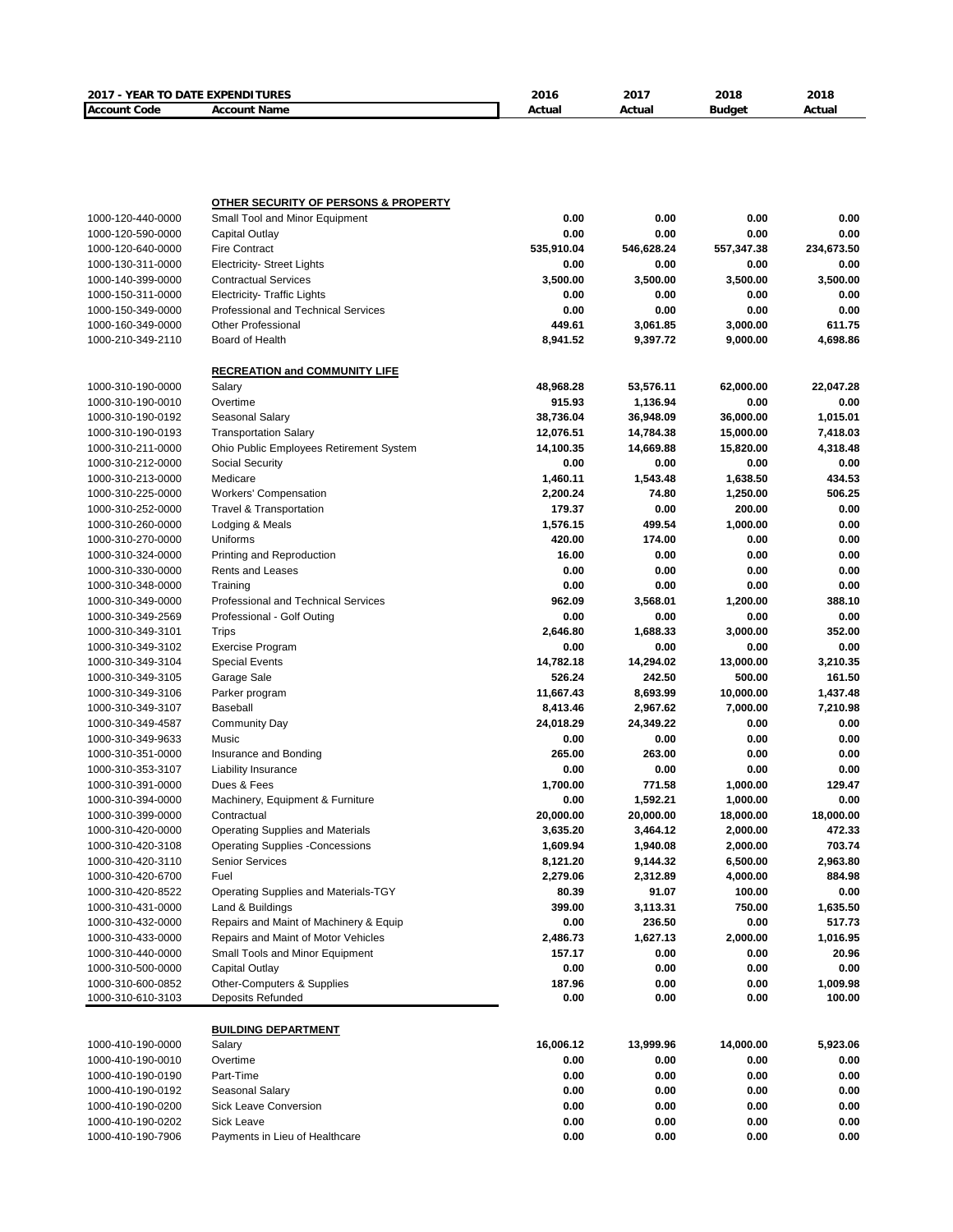| 2017 - YEAR TO DATE EXPENDITURES       |                                                                   | 2016           | 2017         | 2018         | 2018               |
|----------------------------------------|-------------------------------------------------------------------|----------------|--------------|--------------|--------------------|
| <b>Account Code</b>                    | <b>Account Name</b>                                               | Actual         | Actual       | Budget       | Actual             |
|                                        |                                                                   |                |              |              |                    |
|                                        |                                                                   |                |              |              |                    |
|                                        |                                                                   |                |              |              |                    |
|                                        |                                                                   |                |              |              |                    |
|                                        | <b>OTHER SECURITY OF PERSONS &amp; PROPERTY</b>                   |                |              |              |                    |
| 1000-120-440-0000                      | Small Tool and Minor Equipment                                    | 0.00           | 0.00         | 0.00         | 0.00               |
| 1000-120-590-0000                      | Capital Outlay                                                    | 0.00           | 0.00         | 0.00         | 0.00               |
| 1000-120-640-0000                      | <b>Fire Contract</b>                                              | 535,910.04     | 546,628.24   | 557,347.38   | 234,673.50         |
| 1000-130-311-0000                      | <b>Electricity- Street Lights</b>                                 | 0.00           | 0.00         | 0.00         | 0.00               |
| 1000-140-399-0000                      | <b>Contractual Services</b>                                       | 3,500.00       | 3,500.00     | 3,500.00     | 3,500.00           |
| 1000-150-311-0000                      | <b>Electricity- Traffic Lights</b>                                | 0.00           | 0.00         | 0.00         | 0.00               |
| 1000-150-349-0000                      | <b>Professional and Technical Services</b>                        | 0.00           | 0.00         | 0.00         | 0.00               |
| 1000-160-349-0000                      | <b>Other Professional</b>                                         | 449.61         | 3,061.85     | 3,000.00     | 611.75             |
| 1000-210-349-2110                      | Board of Health                                                   | 8,941.52       | 9,397.72     | 9,000.00     | 4,698.86           |
|                                        | <b>RECREATION and COMMUNITY LIFE</b>                              |                |              |              |                    |
| 1000-310-190-0000                      | Salary                                                            | 48,968.28      | 53,576.11    | 62,000.00    | 22,047.28          |
| 1000-310-190-0010                      | Overtime                                                          | 915.93         | 1,136.94     | 0.00         | 0.00               |
| 1000-310-190-0192                      | Seasonal Salary                                                   | 38,736.04      | 36,948.09    | 36,000.00    | 1,015.01           |
| 1000-310-190-0193                      | <b>Transportation Salary</b>                                      | 12,076.51      | 14,784.38    | 15,000.00    | 7,418.03           |
| 1000-310-211-0000                      | Ohio Public Employees Retirement System                           | 14,100.35      | 14,669.88    | 15,820.00    | 4,318.48           |
| 1000-310-212-0000                      | Social Security                                                   | 0.00           | 0.00         | 0.00         | 0.00               |
| 1000-310-213-0000                      | Medicare                                                          | 1,460.11       | 1,543.48     | 1,638.50     | 434.53             |
| 1000-310-225-0000                      | <b>Workers' Compensation</b>                                      | 2,200.24       | 74.80        | 1,250.00     | 506.25             |
| 1000-310-252-0000                      | <b>Travel &amp; Transportation</b>                                | 179.37         | 0.00         | 200.00       | 0.00               |
| 1000-310-260-0000                      | Lodging & Meals                                                   | 1,576.15       | 499.54       | 1,000.00     | 0.00               |
| 1000-310-270-0000                      | Uniforms                                                          | 420.00         | 174.00       | 0.00         | 0.00               |
| 1000-310-324-0000                      | Printing and Reproduction                                         | 16.00          | 0.00         | 0.00         | 0.00               |
| 1000-310-330-0000                      | <b>Rents and Leases</b>                                           | 0.00           | 0.00         | 0.00         | 0.00               |
| 1000-310-348-0000                      | Training                                                          | 0.00           | 0.00         | 0.00         | 0.00               |
| 1000-310-349-0000                      | Professional and Technical Services                               | 962.09         | 3,568.01     | 1,200.00     | 388.10             |
| 1000-310-349-2569                      | Professional - Golf Outing                                        | 0.00           | 0.00         | 0.00         | 0.00               |
| 1000-310-349-3101                      | Trips                                                             | 2,646.80       | 1,688.33     | 3,000.00     | 352.00             |
| 1000-310-349-3102                      | <b>Exercise Program</b>                                           | 0.00           | 0.00         | 0.00         | 0.00               |
| 1000-310-349-3104                      | <b>Special Events</b>                                             | 14,782.18      | 14,294.02    | 13,000.00    | 3,210.35           |
| 1000-310-349-3105                      | Garage Sale                                                       | 526.24         | 242.50       | 500.00       | 161.50             |
| 1000-310-349-3106                      | Parker program                                                    | 11,667.43      | 8,693.99     | 10,000.00    | 1,437.48           |
| 1000-310-349-3107                      | <b>Baseball</b>                                                   | 8,413.46       | 2,967.62     | 7,000.00     | 7,210.98           |
| 1000-310-349-4587                      | <b>Community Day</b>                                              | 24,018.29      | 24,349.22    | 0.00         | 0.00               |
| 1000-310-349-9633                      | Music                                                             | 0.00           | 0.00         | 0.00         | 0.00               |
| 1000-310-351-0000                      | Insurance and Bonding                                             | 265.00         | 263.00       | 0.00         | 0.00               |
| 1000-310-353-3107                      | <b>Liability Insurance</b>                                        | 0.00           | 0.00         | 0.00         | 0.00               |
| 1000-310-391-0000                      | Dues & Fees                                                       | 1,700.00       | 771.58       | 1,000.00     | 129.47             |
| 1000-310-394-0000                      | Machinery, Equipment & Furniture                                  | 0.00           | 1,592.21     | 1,000.00     | 0.00               |
| 1000-310-399-0000                      | Contractual                                                       | 20,000.00      | 20,000.00    | 18,000.00    | 18,000.00          |
| 1000-310-420-0000                      | Operating Supplies and Materials                                  | 3,635.20       | 3,464.12     | 2,000.00     | 472.33             |
| 1000-310-420-3108                      | <b>Operating Supplies -Concessions</b>                            | 1,609.94       | 1,940.08     | 2,000.00     | 703.74             |
| 1000-310-420-3110                      | <b>Senior Services</b>                                            | 8,121.20       | 9,144.32     | 6,500.00     | 2,963.80           |
| 1000-310-420-6700                      | Fuel                                                              | 2,279.06       | 2,312.89     | 4,000.00     | 884.98             |
| 1000-310-420-8522                      | Operating Supplies and Materials-TGY                              | 80.39          | 91.07        | 100.00       | 0.00               |
| 1000-310-431-0000                      | Land & Buildings                                                  | 399.00         | 3,113.31     | 750.00       | 1,635.50           |
| 1000-310-432-0000                      | Repairs and Maint of Machinery & Equip                            | 0.00           | 236.50       | 0.00         | 517.73             |
| 1000-310-433-0000                      | Repairs and Maint of Motor Vehicles                               | 2,486.73       | 1,627.13     | 2,000.00     | 1,016.95           |
| 1000-310-440-0000                      | Small Tools and Minor Equipment                                   | 157.17         | 0.00         | 0.00         | 20.96              |
| 1000-310-500-0000                      | <b>Capital Outlay</b>                                             | 0.00           | 0.00         | 0.00         | 0.00               |
| 1000-310-600-0852<br>1000-310-610-3103 | <b>Other-Computers &amp; Supplies</b><br><b>Deposits Refunded</b> | 187.96<br>0.00 | 0.00<br>0.00 | 0.00<br>0.00 | 1,009.98<br>100.00 |
|                                        |                                                                   |                |              |              |                    |
|                                        | <b>BUILDING DEPARTMENT</b>                                        |                |              |              |                    |
| 1000-410-190-0000                      | Salary                                                            | 16,006.12      | 13,999.96    | 14,000.00    | 5,923.06           |
| 1000-410-190-0010                      | Overtime                                                          | 0.00           | 0.00         | 0.00         | 0.00               |
| 1000-410-190-0190                      | Part-Time                                                         | 0.00           | 0.00         | 0.00         | 0.00               |
| 1000-410-190-0192                      | Seasonal Salary                                                   | 0.00           | 0.00         | 0.00         | 0.00               |
| 1000-410-190-0200                      | Sick Leave Conversion                                             | 0.00           | 0.00         | 0.00         | 0.00               |
| 1000-410-190-0202                      | Sick Leave                                                        | 0.00           | 0.00         | 0.00         | 0.00               |
| 1000-410-190-7906                      | Payments in Lieu of Healthcare                                    | 0.00           | 0.00         | 0.00         | 0.00               |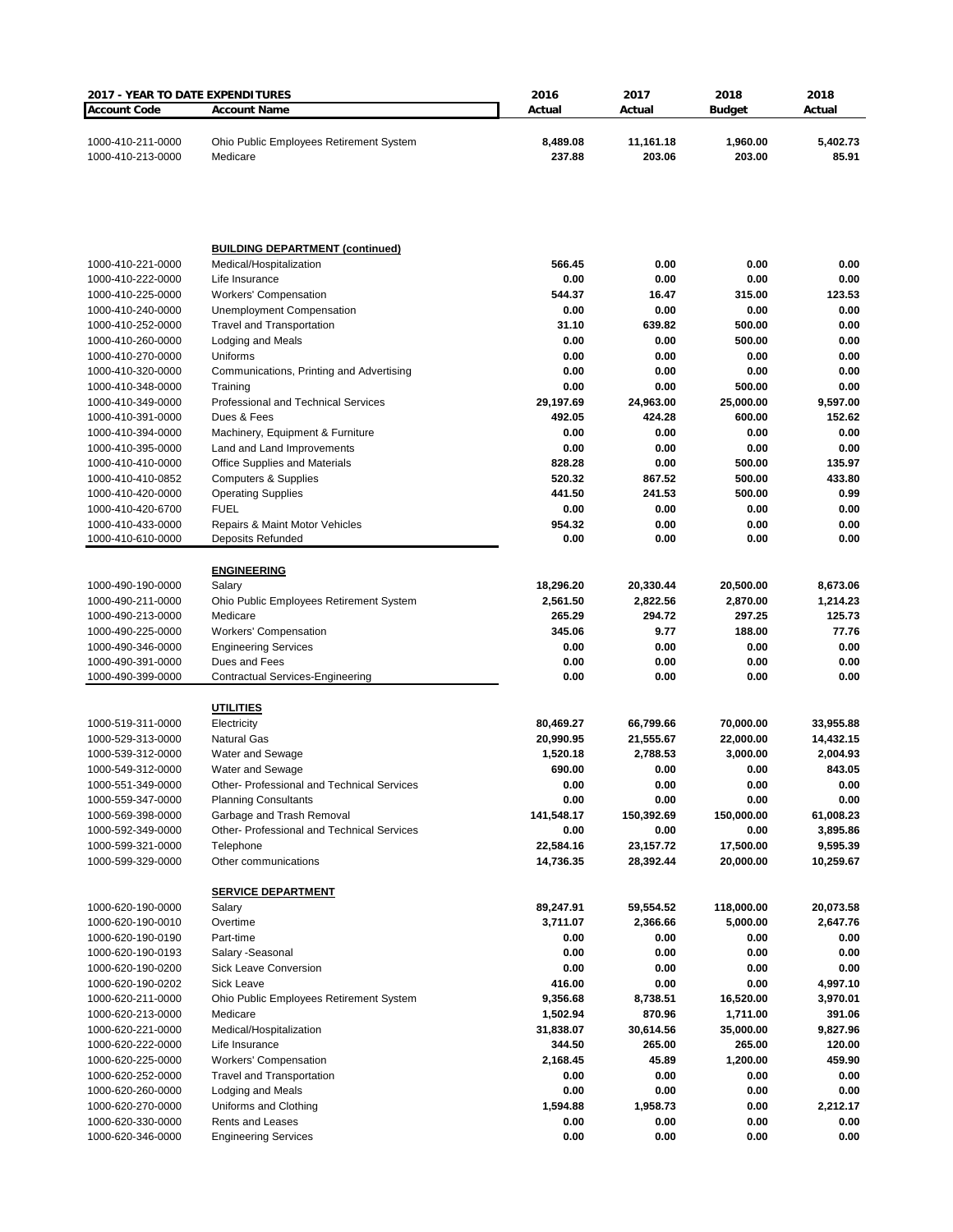| 2017 - YEAR TO DATE EXPENDITURES       |                                                     | 2016               | 2017                | 2018                | 2018               |
|----------------------------------------|-----------------------------------------------------|--------------------|---------------------|---------------------|--------------------|
| <b>Account Code</b>                    | <b>Account Name</b>                                 | Actual             | Actual              | <b>Budget</b>       | Actual             |
| 1000-410-211-0000<br>1000-410-213-0000 | Ohio Public Employees Retirement System<br>Medicare | 8,489.08<br>237.88 | 11,161.18<br>203.06 | 1,960.00<br>203.00  | 5,402.73<br>85.91  |
|                                        |                                                     |                    |                     |                     |                    |
|                                        | <b>BUILDING DEPARTMENT (continued)</b>              |                    |                     |                     |                    |
| 1000-410-221-0000<br>1000-410-222-0000 | Medical/Hospitalization                             | 566.45<br>0.00     | 0.00                | 0.00<br>0.00        | 0.00<br>0.00       |
| 1000-410-225-0000                      | Life Insurance<br><b>Workers' Compensation</b>      | 544.37             | 0.00<br>16.47       | 315.00              | 123.53             |
| 1000-410-240-0000                      | <b>Unemployment Compensation</b>                    | 0.00               | 0.00                | 0.00                | 0.00               |
| 1000-410-252-0000                      | <b>Travel and Transportation</b>                    | 31.10              | 639.82              | 500.00              | 0.00               |
| 1000-410-260-0000                      | Lodging and Meals                                   | 0.00               | 0.00                | 500.00              | 0.00               |
| 1000-410-270-0000                      | Uniforms                                            | 0.00               | 0.00                | 0.00                | 0.00               |
| 1000-410-320-0000                      | Communications, Printing and Advertising            | 0.00               | 0.00                | 0.00                | 0.00               |
| 1000-410-348-0000                      | Training                                            | 0.00<br>29,197.69  | 0.00                | 500.00<br>25,000.00 | 0.00               |
| 1000-410-349-0000<br>1000-410-391-0000 | Professional and Technical Services<br>Dues & Fees  | 492.05             | 24,963.00<br>424.28 | 600.00              | 9,597.00<br>152.62 |
| 1000-410-394-0000                      | Machinery, Equipment & Furniture                    | 0.00               | 0.00                | 0.00                | 0.00               |
| 1000-410-395-0000                      | Land and Land Improvements                          | 0.00               | 0.00                | 0.00                | 0.00               |
| 1000-410-410-0000                      | <b>Office Supplies and Materials</b>                | 828.28             | 0.00                | 500.00              | 135.97             |
| 1000-410-410-0852                      | <b>Computers &amp; Supplies</b>                     | 520.32             | 867.52              | 500.00              | 433.80             |
| 1000-410-420-0000                      | <b>Operating Supplies</b>                           | 441.50             | 241.53              | 500.00              | 0.99               |
| 1000-410-420-6700                      | <b>FUEL</b>                                         | 0.00               | 0.00                | 0.00                | 0.00               |
| 1000-410-433-0000                      | Repairs & Maint Motor Vehicles                      | 954.32<br>0.00     | 0.00<br>0.00        | 0.00<br>0.00        | 0.00<br>0.00       |
| 1000-410-610-0000                      | Deposits Refunded                                   |                    |                     |                     |                    |
|                                        | <b>ENGINEERING</b>                                  |                    |                     |                     |                    |
| 1000-490-190-0000                      | Salary                                              | 18,296.20          | 20,330.44           | 20,500.00           | 8,673.06           |
| 1000-490-211-0000                      | Ohio Public Employees Retirement System             | 2,561.50           | 2,822.56            | 2,870.00            | 1,214.23           |
| 1000-490-213-0000                      | Medicare                                            | 265.29             | 294.72              | 297.25              | 125.73             |
| 1000-490-225-0000<br>1000-490-346-0000 | <b>Workers' Compensation</b>                        | 345.06<br>0.00     | 9.77<br>0.00        | 188.00<br>0.00      | 77.76<br>0.00      |
| 1000-490-391-0000                      | <b>Engineering Services</b><br>Dues and Fees        | 0.00               | 0.00                | 0.00                | 0.00               |
| 1000-490-399-0000                      | Contractual Services-Engineering                    | 0.00               | 0.00                | 0.00                | 0.00               |
|                                        |                                                     |                    |                     |                     |                    |
| 1000-519-311-0000                      | <u>UTILITIES</u><br>Electricity                     | 80,469.27          | 66,799.66           | 70,000.00           | 33,955.88          |
| 1000-529-313-0000                      | <b>Natural Gas</b>                                  | 20,990.95          | 21,555.67           | 22,000.00           | 14,432.15          |
| 1000-539-312-0000                      | Water and Sewage                                    | 1,520.18           | 2,788.53            | 3,000.00            | 2,004.93           |
| 1000-549-312-0000                      | <b>Water and Sewage</b>                             | 690.00             | 0.00                | 0.00                | 843.05             |
| 1000-551-349-0000                      | Other- Professional and Technical Services          | 0.00               | 0.00                | 0.00                | 0.00               |
| 1000-559-347-0000                      | <b>Planning Consultants</b>                         | 0.00               | 0.00                | 0.00                | 0.00               |
| 1000-569-398-0000                      | Garbage and Trash Removal                           | 141,548.17         | 150,392.69          | 150,000.00          | 61,008.23          |
| 1000-592-349-0000                      | Other- Professional and Technical Services          | 0.00               | 0.00                | 0.00                | 3,895.86           |
| 1000-599-321-0000                      | Telephone                                           | 22,584.16          | 23, 157. 72         | 17,500.00           | 9,595.39           |
| 1000-599-329-0000                      | Other communications                                | 14,736.35          | 28,392.44           | 20,000.00           | 10,259.67          |
|                                        | <b>SERVICE DEPARTMENT</b>                           |                    |                     |                     |                    |
| 1000-620-190-0000                      | Salary                                              | 89,247.91          | 59,554.52           | 118,000.00          | 20,073.58          |
| 1000-620-190-0010                      | Overtime<br>Part-time                               | 3,711.07           | 2,366.66            | 5,000.00            | 2,647.76           |
| 1000-620-190-0190<br>1000-620-190-0193 | Salary - Seasonal                                   | 0.00<br>0.00       | 0.00<br>0.00        | 0.00<br>0.00        | 0.00<br>0.00       |
| 1000-620-190-0200                      | Sick Leave Conversion                               | 0.00               | 0.00                | 0.00                | 0.00               |
| 1000-620-190-0202                      | Sick Leave                                          | 416.00             | 0.00                | 0.00                | 4,997.10           |
| 1000-620-211-0000                      | Ohio Public Employees Retirement System             | 9,356.68           | 8,738.51            | 16,520.00           | 3,970.01           |
| 1000-620-213-0000                      | Medicare                                            | 1,502.94           | 870.96              | 1,711.00            | 391.06             |
| 1000-620-221-0000                      | Medical/Hospitalization                             | 31,838.07          | 30,614.56           | 35,000.00           | 9,827.96           |
| 1000-620-222-0000                      | Life Insurance                                      | 344.50             | 265.00              | 265.00              | 120.00             |
| 1000-620-225-0000                      | <b>Workers' Compensation</b>                        | 2,168.45           | 45.89               | 1,200.00            | 459.90             |
| 1000-620-252-0000                      | <b>Travel and Transportation</b>                    | 0.00               | 0.00                | 0.00                | 0.00               |
| 1000-620-260-0000                      | Lodging and Meals                                   | 0.00               | 0.00                | 0.00                | 0.00               |
| 1000-620-270-0000                      | Uniforms and Clothing<br><b>Rents and Leases</b>    | 1,594.88<br>0.00   | 1,958.73<br>0.00    | 0.00<br>0.00        | 2,212.17<br>0.00   |
| 1000-620-330-0000<br>1000-620-346-0000 | <b>Engineering Services</b>                         | 0.00               | 0.00                | 0.00                | 0.00               |
|                                        |                                                     |                    |                     |                     |                    |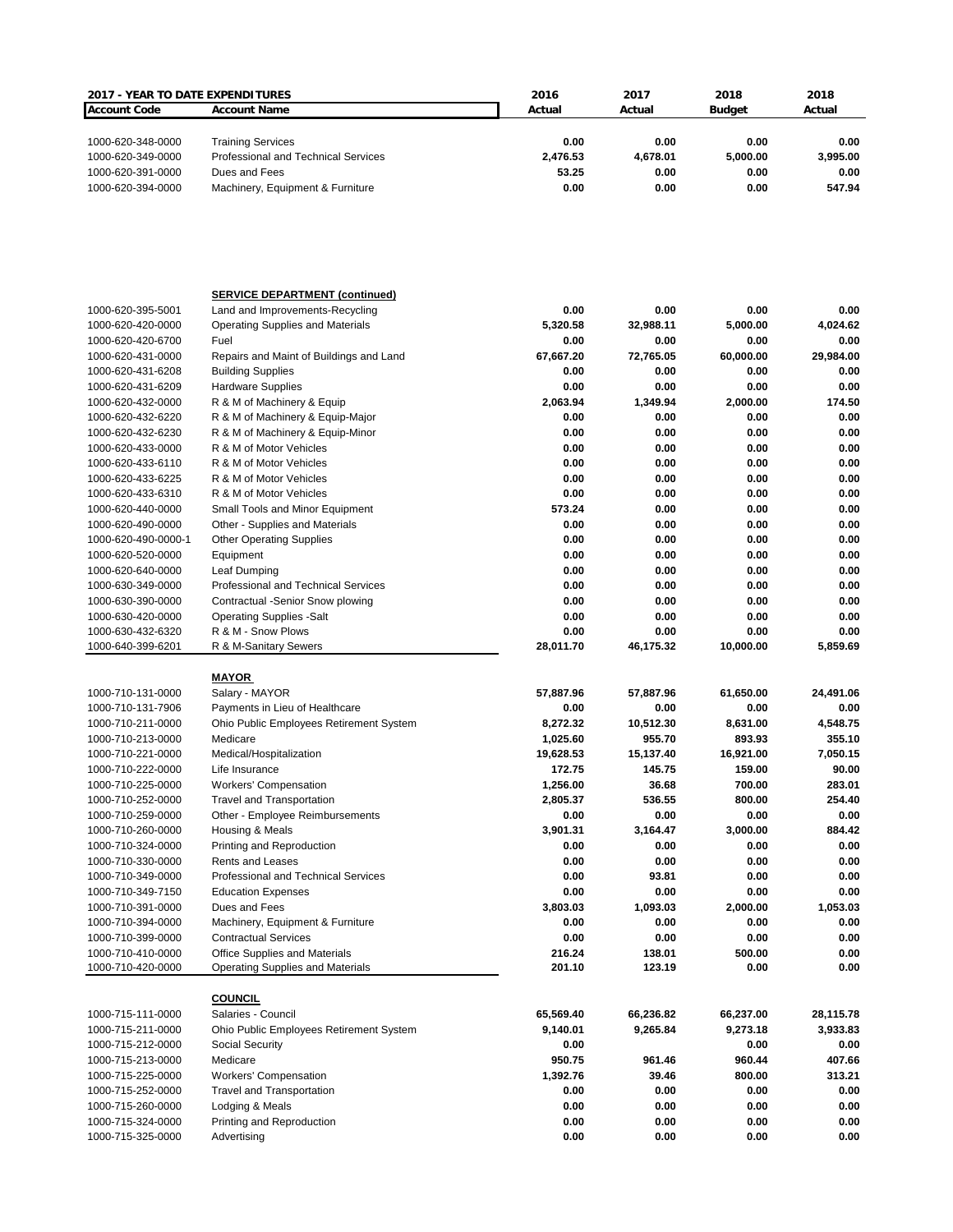| <b>2017 - YEAR TO DATE EXPENDITURES</b> |                                         | 2016      | 2017      | 2018          | 2018      |
|-----------------------------------------|-----------------------------------------|-----------|-----------|---------------|-----------|
| <b>Account Code</b>                     | <b>Account Name</b>                     | Actual    | Actual    | <b>Budget</b> | Actual    |
|                                         |                                         |           |           |               |           |
|                                         |                                         |           |           |               |           |
| 1000-620-348-0000                       | <b>Training Services</b>                | 0.00      | 0.00      | 0.00          | 0.00      |
| 1000-620-349-0000                       | Professional and Technical Services     | 2,476.53  | 4,678.01  | 5,000.00      | 3,995.00  |
| 1000-620-391-0000                       | Dues and Fees                           | 53.25     | 0.00      | 0.00          | 0.00      |
| 1000-620-394-0000                       | Machinery, Equipment & Furniture        | 0.00      | 0.00      | 0.00          | 547.94    |
|                                         |                                         |           |           |               |           |
|                                         |                                         |           |           |               |           |
|                                         | <b>SERVICE DEPARTMENT (continued)</b>   |           |           |               |           |
| 1000-620-395-5001                       | Land and Improvements-Recycling         | 0.00      | 0.00      | 0.00          | 0.00      |
| 1000-620-420-0000                       | <b>Operating Supplies and Materials</b> | 5,320.58  | 32,988.11 | 5,000.00      | 4,024.62  |
| 1000-620-420-6700                       | Fuel                                    | 0.00      | 0.00      | 0.00          | 0.00      |
| 1000-620-431-0000                       | Repairs and Maint of Buildings and Land | 67,667.20 | 72,765.05 | 60,000.00     | 29,984.00 |
| 1000-620-431-6208                       | <b>Building Supplies</b>                | 0.00      | 0.00      | 0.00          | 0.00      |
| 1000-620-431-6209                       | <b>Hardware Supplies</b>                | 0.00      | 0.00      | 0.00          | 0.00      |
|                                         |                                         | 2,063.94  | 1,349.94  |               | 174.50    |
| 1000-620-432-0000                       | R & M of Machinery & Equip              |           |           | 2,000.00      |           |
| 1000-620-432-6220                       | R & M of Machinery & Equip-Major        | 0.00      | 0.00      | 0.00          | 0.00      |
| 1000-620-432-6230                       | R & M of Machinery & Equip-Minor        | 0.00      | 0.00      | 0.00          | 0.00      |
| 1000-620-433-0000                       | R & M of Motor Vehicles                 | 0.00      | 0.00      | 0.00          | 0.00      |
| 1000-620-433-6110                       | R & M of Motor Vehicles                 | 0.00      | 0.00      | 0.00          | 0.00      |
| 1000-620-433-6225                       | R & M of Motor Vehicles                 | 0.00      | 0.00      | 0.00          | 0.00      |
| 1000-620-433-6310                       | R & M of Motor Vehicles                 | 0.00      | 0.00      | 0.00          | 0.00      |
| 1000-620-440-0000                       | Small Tools and Minor Equipment         | 573.24    | 0.00      | 0.00          | 0.00      |
| 1000-620-490-0000                       | Other - Supplies and Materials          | 0.00      | 0.00      | 0.00          | 0.00      |
| 1000-620-490-0000-1                     | <b>Other Operating Supplies</b>         | 0.00      | 0.00      | 0.00          | 0.00      |
| 1000-620-520-0000                       |                                         | 0.00      | 0.00      | 0.00          | 0.00      |
|                                         | Equipment                               |           |           |               |           |
| 1000-620-640-0000                       | Leaf Dumping                            | 0.00      | 0.00      | 0.00          | 0.00      |
| 1000-630-349-0000                       | Professional and Technical Services     | 0.00      | 0.00      | 0.00          | 0.00      |
| 1000-630-390-0000                       | Contractual -Senior Snow plowing        | 0.00      | 0.00      | 0.00          | 0.00      |
| 1000-630-420-0000                       | <b>Operating Supplies -Salt</b>         | 0.00      | 0.00      | 0.00          | 0.00      |
| 1000-630-432-6320                       | R & M - Snow Plows                      | 0.00      | 0.00      | 0.00          | 0.00      |
| 1000-640-399-6201                       | R & M-Sanitary Sewers                   | 28,011.70 | 46,175.32 | 10,000.00     | 5,859.69  |
|                                         |                                         |           |           |               |           |
| 1000-710-131-0000                       | <u>MAYOR</u><br>Salary - MAYOR          | 57,887.96 | 57,887.96 | 61,650.00     | 24,491.06 |
|                                         |                                         |           |           |               |           |
| 1000-710-131-7906                       | Payments in Lieu of Healthcare          | 0.00      | 0.00      | 0.00          | 0.00      |
| 1000-710-211-0000                       | Ohio Public Employees Retirement System | 8,272.32  | 10,512.30 | 8,631.00      | 4,548.75  |
| 1000-710-213-0000                       | Medicare                                | 1,025.60  | 955.70    | 893.93        | 355.10    |
| 1000-710-221-0000                       | Medical/Hospitalization                 | 19,628.53 | 15,137.40 | 16,921.00     | 7,050.15  |
| 1000-710-222-0000                       | Life Insurance                          | 172.75    | 145.75    | 159.00        | 90.00     |
| 1000-710-225-0000                       | <b>Workers' Compensation</b>            | 1,256.00  | 36.68     | 700.00        | 283.01    |
| 1000-710-252-0000                       | <b>Travel and Transportation</b>        | 2,805.37  | 536.55    | 800.00        | 254.40    |
| 1000-710-259-0000                       | Other - Employee Reimbursements         | 0.00      | 0.00      | 0.00          | 0.00      |
| 1000-710-260-0000                       | Housing & Meals                         | 3,901.31  | 3,164.47  | 3,000.00      | 884.42    |
| 1000-710-324-0000                       | Printing and Reproduction               | 0.00      | 0.00      | 0.00          | 0.00      |
| 1000-710-330-0000                       | <b>Rents and Leases</b>                 | 0.00      | 0.00      | 0.00          | 0.00      |
|                                         |                                         |           |           |               |           |
| 1000-710-349-0000                       | Professional and Technical Services     | 0.00      | 93.81     | 0.00          | 0.00      |
| 1000-710-349-7150                       | <b>Education Expenses</b>               | 0.00      | 0.00      | 0.00          | 0.00      |
| 1000-710-391-0000                       | Dues and Fees                           | 3,803.03  | 1,093.03  | 2,000.00      | 1,053.03  |
| 1000-710-394-0000                       | Machinery, Equipment & Furniture        | 0.00      | 0.00      | 0.00          | 0.00      |
| 1000-710-399-0000                       | <b>Contractual Services</b>             | 0.00      | 0.00      | 0.00          | 0.00      |
| 1000-710-410-0000                       | Office Supplies and Materials           | 216.24    | 138.01    | 500.00        | 0.00      |
| 1000-710-420-0000                       | <b>Operating Supplies and Materials</b> | 201.10    | 123.19    | 0.00          | 0.00      |
|                                         |                                         |           |           |               |           |
|                                         | <b>COUNCIL</b>                          |           |           |               |           |
| 1000-715-111-0000                       | Salaries - Council                      | 65,569.40 | 66,236.82 | 66,237.00     | 28,115.78 |
| 1000-715-211-0000                       | Ohio Public Employees Retirement System | 9,140.01  | 9,265.84  | 9,273.18      | 3,933.83  |
|                                         |                                         |           |           |               |           |
| 1000-715-212-0000                       | Social Security                         | 0.00      |           | 0.00          | 0.00      |
| 1000-715-213-0000                       | Medicare                                | 950.75    | 961.46    | 960.44        | 407.66    |
| 1000-715-225-0000                       | <b>Workers' Compensation</b>            | 1,392.76  | 39.46     | 800.00        | 313.21    |
| 1000-715-252-0000                       | <b>Travel and Transportation</b>        | 0.00      | 0.00      | 0.00          | 0.00      |
| 1000-715-260-0000                       | Lodging & Meals                         | 0.00      | 0.00      | 0.00          | 0.00      |
| 1000-715-324-0000                       | Printing and Reproduction               | 0.00      | 0.00      | 0.00          | 0.00      |
| 1000-715-325-0000                       | Advertising                             | 0.00      | 0.00      | 0.00          | 0.00      |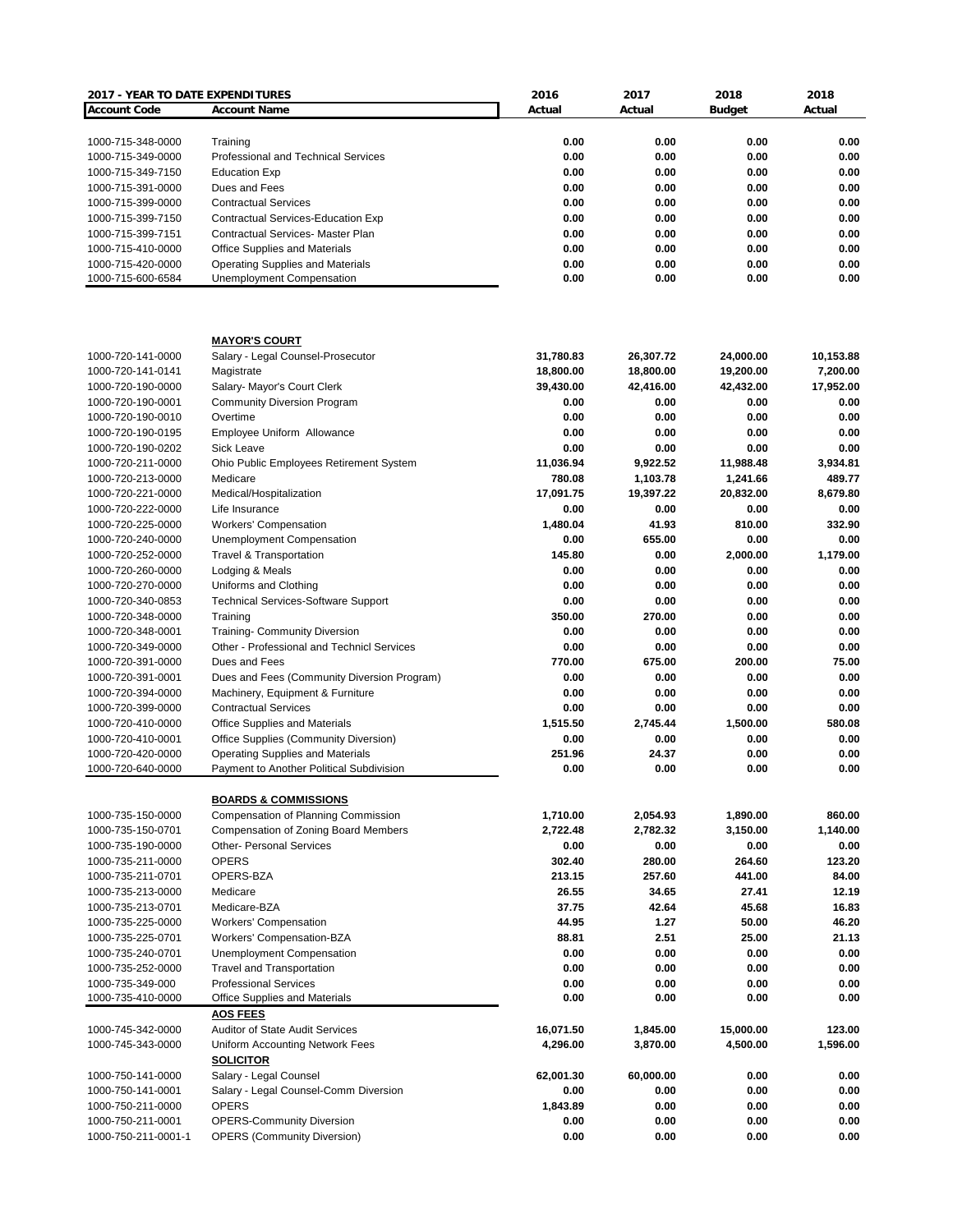| 2017 - YEAR TO DATE EXPENDITURES |                                             | 2016      | 2017      | 2018          | 2018      |
|----------------------------------|---------------------------------------------|-----------|-----------|---------------|-----------|
| <b>Account Code</b>              | <b>Account Name</b>                         | Actual    | Actual    | <b>Budget</b> | Actual    |
|                                  |                                             |           |           |               |           |
| 1000-715-348-0000                | Training                                    | 0.00      | 0.00      | 0.00          | 0.00      |
| 1000-715-349-0000                | Professional and Technical Services         | 0.00      | 0.00      | 0.00          | 0.00      |
| 1000-715-349-7150                | <b>Education Exp</b>                        | 0.00      | 0.00      | 0.00          | 0.00      |
| 1000-715-391-0000                | Dues and Fees                               | 0.00      | 0.00      | 0.00          | 0.00      |
| 1000-715-399-0000                | <b>Contractual Services</b>                 | 0.00      | 0.00      | 0.00          | 0.00      |
| 1000-715-399-7150                | Contractual Services-Education Exp          | 0.00      | 0.00      | 0.00          | 0.00      |
| 1000-715-399-7151                | <b>Contractual Services- Master Plan</b>    | 0.00      | 0.00      | 0.00          | 0.00      |
| 1000-715-410-0000                | <b>Office Supplies and Materials</b>        | 0.00      | 0.00      | 0.00          | 0.00      |
| 1000-715-420-0000                | <b>Operating Supplies and Materials</b>     | 0.00      | 0.00      | 0.00          | 0.00      |
| 1000-715-600-6584                | Unemployment Compensation                   | 0.00      | 0.00      | 0.00          | 0.00      |
|                                  |                                             |           |           |               |           |
|                                  | <b>MAYOR'S COURT</b>                        |           |           |               |           |
| 1000-720-141-0000                | Salary - Legal Counsel-Prosecutor           | 31,780.83 | 26,307.72 | 24,000.00     | 10,153.88 |
| 1000-720-141-0141                | Magistrate                                  | 18,800.00 | 18,800.00 | 19,200.00     | 7,200.00  |
| 1000-720-190-0000                | Salary- Mayor's Court Clerk                 | 39,430.00 | 42,416.00 | 42,432.00     | 17,952.00 |
| 1000-720-190-0001                | <b>Community Diversion Program</b>          | 0.00      | 0.00      | 0.00          | 0.00      |
| 1000-720-190-0010                | Overtime                                    | 0.00      | 0.00      | 0.00          | 0.00      |
| 1000-720-190-0195                | Employee Uniform Allowance                  | 0.00      | 0.00      | 0.00          | 0.00      |
| 1000-720-190-0202                | <b>Sick Leave</b>                           | 0.00      | 0.00      | 0.00          | 0.00      |
| 1000-720-211-0000                | Ohio Public Employees Retirement System     | 11,036.94 | 9,922.52  | 11,988.48     | 3,934.81  |
| 1000-720-213-0000                | Medicare                                    | 780.08    | 1,103.78  | 1,241.66      | 489.77    |
| 1000-720-221-0000                | Medical/Hospitalization                     | 17,091.75 | 19,397.22 | 20,832.00     | 8,679.80  |
| 1000-720-222-0000                | Life Insurance                              | 0.00      | 0.00      | 0.00          | 0.00      |
| 1000-720-225-0000                | <b>Workers' Compensation</b>                | 1,480.04  | 41.93     | 810.00        | 332.90    |
|                                  |                                             | 0.00      | 655.00    | 0.00          | 0.00      |
| 1000-720-240-0000                | Unemployment Compensation                   |           |           |               |           |
| 1000-720-252-0000                | <b>Travel &amp; Transportation</b>          | 145.80    | 0.00      | 2,000.00      | 1,179.00  |
| 1000-720-260-0000                | Lodging & Meals                             | 0.00      | 0.00      | 0.00          | 0.00      |
| 1000-720-270-0000                | Uniforms and Clothing                       | 0.00      | 0.00      | 0.00          | 0.00      |
| 1000-720-340-0853                | <b>Technical Services-Software Support</b>  | 0.00      | 0.00      | 0.00          | 0.00      |
| 1000-720-348-0000                | Training                                    | 350.00    | 270.00    | 0.00          | 0.00      |
| 1000-720-348-0001                | <b>Training- Community Diversion</b>        | 0.00      | 0.00      | 0.00          | 0.00      |
| 1000-720-349-0000                | Other - Professional and Technicl Services  | 0.00      | 0.00      | 0.00          | 0.00      |
| 1000-720-391-0000                | Dues and Fees                               | 770.00    | 675.00    | 200.00        | 75.00     |
| 1000-720-391-0001                | Dues and Fees (Community Diversion Program) | 0.00      | 0.00      | 0.00          | 0.00      |
| 1000-720-394-0000                | Machinery, Equipment & Furniture            | 0.00      | 0.00      | 0.00          | 0.00      |
| 1000-720-399-0000                | <b>Contractual Services</b>                 | 0.00      | 0.00      | 0.00          | 0.00      |
| 1000-720-410-0000                | Office Supplies and Materials               | 1.515.50  | 2,745.44  | 1,500.00      | 580.08    |
| 1000-720-410-0001                | Office Supplies (Community Diversion)       | 0.00      | 0.00      | 0.00          | 0.00      |
| 1000-720-420-0000                | Operating Supplies and Materials            | 251.96    | 24.37     | 0.00          | 0.00      |
| 1000-720-640-0000                | Payment to Another Political Subdivision    | 0.00      | 0.00      | 0.00          | 0.00      |
|                                  |                                             |           |           |               |           |
|                                  | <b>BOARDS &amp; COMMISSIONS</b>             |           |           | 1,890.00      |           |
| 1000-735-150-0000                | Compensation of Planning Commission         | 1,710.00  | 2,054.93  |               | 860.00    |
| 1000-735-150-0701                | <b>Compensation of Zoning Board Members</b> | 2,722.48  | 2,782.32  | 3,150.00      | 1,140.00  |
| 1000-735-190-0000                | <b>Other- Personal Services</b>             | 0.00      | 0.00      | 0.00          | 0.00      |
| 1000-735-211-0000                | <b>OPERS</b>                                | 302.40    | 280.00    | 264.60        | 123.20    |
| 1000-735-211-0701                | OPERS-BZA                                   | 213.15    | 257.60    | 441.00        | 84.00     |
| 1000-735-213-0000                | Medicare                                    | 26.55     | 34.65     | 27.41         | 12.19     |
| 1000-735-213-0701                | Medicare-BZA                                | 37.75     | 42.64     | 45.68         | 16.83     |
| 1000-735-225-0000                | <b>Workers' Compensation</b>                | 44.95     | 1.27      | 50.00         | 46.20     |
| 1000-735-225-0701                | Workers' Compensation-BZA                   | 88.81     | 2.51      | 25.00         | 21.13     |
| 1000-735-240-0701                | <b>Unemployment Compensation</b>            | 0.00      | 0.00      | 0.00          | 0.00      |
| 1000-735-252-0000                | <b>Travel and Transportation</b>            | 0.00      | 0.00      | 0.00          | 0.00      |
| 1000-735-349-000                 | <b>Professional Services</b>                | 0.00      | 0.00      | 0.00          | 0.00      |
| 1000-735-410-0000                | Office Supplies and Materials               | 0.00      | 0.00      | 0.00          | 0.00      |
|                                  | <b>AOS FEES</b>                             |           |           |               |           |
|                                  |                                             |           |           |               |           |
| 1000-745-342-0000                | <b>Auditor of State Audit Services</b>      | 16,071.50 | 1,845.00  | 15,000.00     | 123.00    |
| 1000-745-343-0000                | Uniform Accounting Network Fees             | 4,296.00  | 3,870.00  | 4,500.00      | 1,596.00  |
|                                  | <b>SOLICITOR</b>                            |           |           |               |           |
| 1000-750-141-0000                | Salary - Legal Counsel                      | 62,001.30 | 60,000.00 | 0.00          | 0.00      |
| 1000-750-141-0001                | Salary - Legal Counsel-Comm Diversion       | 0.00      | 0.00      | 0.00          | 0.00      |
| 1000-750-211-0000                | <b>OPERS</b>                                | 1,843.89  | 0.00      | 0.00          | 0.00      |
| 1000-750-211-0001                | <b>OPERS-Community Diversion</b>            | 0.00      | 0.00      | 0.00          | 0.00      |
| 1000-750-211-0001-1              | <b>OPERS (Community Diversion)</b>          | 0.00      | 0.00      | 0.00          | 0.00      |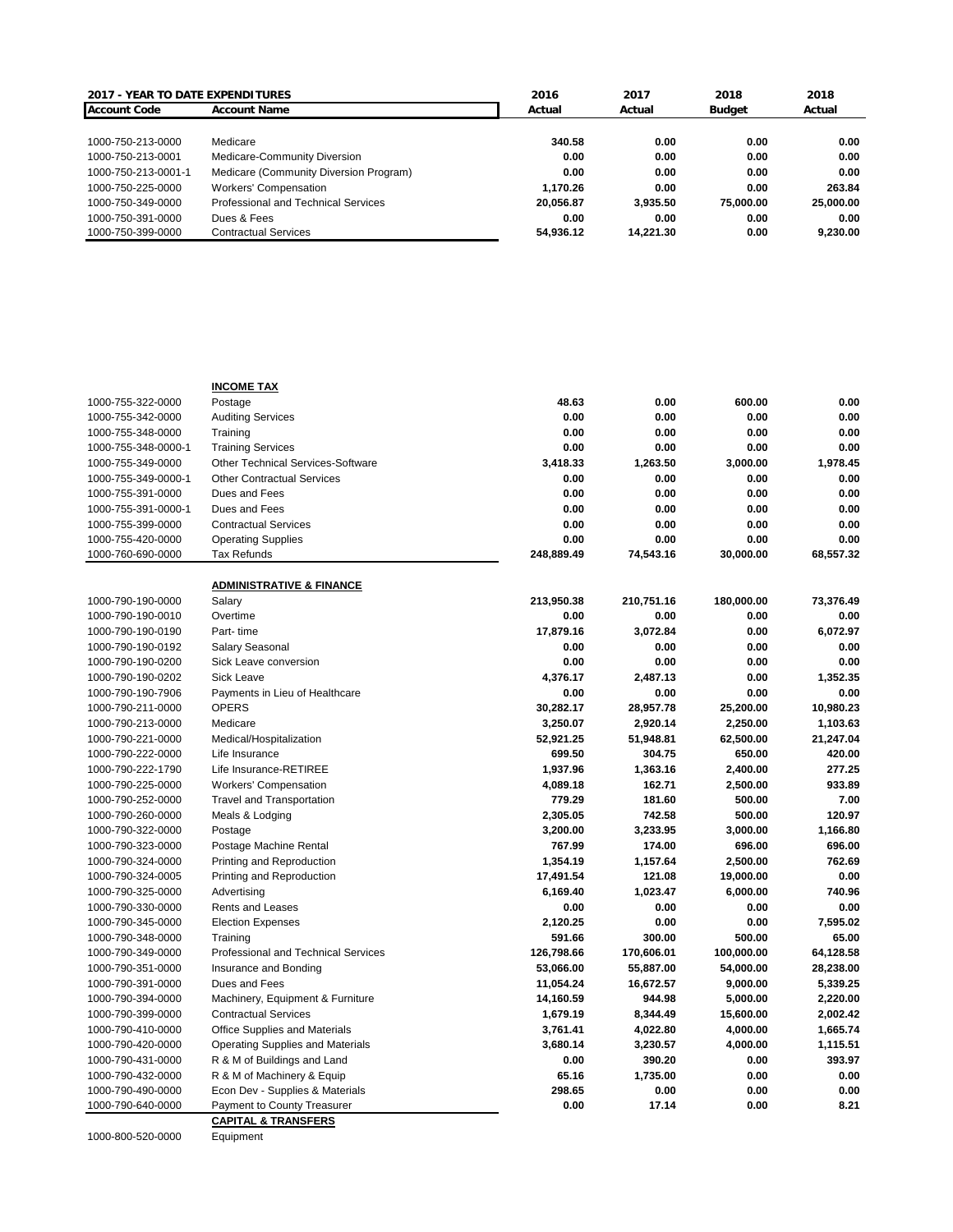| <b>2017 - YEAR TO DATE EXPENDITURES</b> |                                        | 2016      | 2017      | 2018      | 2018      |
|-----------------------------------------|----------------------------------------|-----------|-----------|-----------|-----------|
| <b>Account Code</b>                     | <b>Account Name</b>                    | Actual    | Actual    | Budget    | Actual    |
|                                         |                                        |           |           |           |           |
| 1000-750-213-0000                       | Medicare                               | 340.58    | 0.00      | 0.00      | 0.00      |
| 1000-750-213-0001                       | Medicare-Community Diversion           | 0.00      | 0.00      | 0.00      | 0.00      |
| 1000-750-213-0001-1                     | Medicare (Community Diversion Program) | 0.00      | 0.00      | 0.00      | 0.00      |
| 1000-750-225-0000                       | <b>Workers' Compensation</b>           | 1.170.26  | 0.00      | 0.00      | 263.84    |
| 1000-750-349-0000                       | Professional and Technical Services    | 20.056.87 | 3.935.50  | 75,000,00 | 25,000.00 |
| 1000-750-391-0000                       | Dues & Fees                            | 0.00      | 0.00      | 0.00      | 0.00      |
| 1000-750-399-0000                       | <b>Contractual Services</b>            | 54.936.12 | 14.221.30 | 0.00      | 9.230.00  |

|                     | <b>INCOME TAX</b>                               |            |            |            |           |
|---------------------|-------------------------------------------------|------------|------------|------------|-----------|
| 1000-755-322-0000   | Postage                                         | 48.63      | 0.00       | 600.00     | 0.00      |
| 1000-755-342-0000   | <b>Auditing Services</b>                        | 0.00       | 0.00       | 0.00       | 0.00      |
| 1000-755-348-0000   | Training                                        | 0.00       | 0.00       | 0.00       | 0.00      |
| 1000-755-348-0000-1 | <b>Training Services</b>                        | 0.00       | 0.00       | 0.00       | 0.00      |
| 1000-755-349-0000   | <b>Other Technical Services-Software</b>        | 3,418.33   | 1,263.50   | 3,000.00   | 1,978.45  |
| 1000-755-349-0000-1 | <b>Other Contractual Services</b>               | 0.00       | 0.00       | 0.00       | 0.00      |
| 1000-755-391-0000   | Dues and Fees                                   | 0.00       | 0.00       | 0.00       | 0.00      |
| 1000-755-391-0000-1 | Dues and Fees                                   | 0.00       | 0.00       | 0.00       | 0.00      |
| 1000-755-399-0000   | <b>Contractual Services</b>                     | 0.00       | 0.00       | 0.00       | 0.00      |
| 1000-755-420-0000   | <b>Operating Supplies</b>                       | 0.00       | 0.00       | 0.00       | 0.00      |
| 1000-760-690-0000   | Tax Refunds                                     | 248,889.49 | 74,543.16  | 30,000.00  | 68,557.32 |
|                     | <b>ADMINISTRATIVE &amp; FINANCE</b>             |            |            |            |           |
| 1000-790-190-0000   | Salary                                          | 213,950.38 | 210,751.16 | 180,000.00 | 73,376.49 |
| 1000-790-190-0010   | Overtime                                        | 0.00       | 0.00       | 0.00       | 0.00      |
| 1000-790-190-0190   | Part-time                                       | 17,879.16  | 3,072.84   | 0.00       | 6,072.97  |
| 1000-790-190-0192   | Salary Seasonal                                 | 0.00       | 0.00       | 0.00       | 0.00      |
| 1000-790-190-0200   | Sick Leave conversion                           | 0.00       | 0.00       | 0.00       | 0.00      |
| 1000-790-190-0202   | <b>Sick Leave</b>                               | 4,376.17   | 2,487.13   | 0.00       | 1,352.35  |
| 1000-790-190-7906   | Payments in Lieu of Healthcare                  | 0.00       | 0.00       | 0.00       | 0.00      |
| 1000-790-211-0000   | <b>OPERS</b>                                    | 30,282.17  | 28,957.78  | 25,200.00  | 10,980.23 |
| 1000-790-213-0000   | Medicare                                        | 3,250.07   | 2,920.14   | 2,250.00   | 1,103.63  |
| 1000-790-221-0000   | Medical/Hospitalization                         | 52,921.25  | 51,948.81  | 62,500.00  | 21,247.04 |
| 1000-790-222-0000   | Life Insurance                                  | 699.50     | 304.75     | 650.00     | 420.00    |
| 1000-790-222-1790   | Life Insurance-RETIREE                          | 1,937.96   | 1,363.16   | 2,400.00   | 277.25    |
| 1000-790-225-0000   | <b>Workers' Compensation</b>                    | 4,089.18   | 162.71     | 2,500.00   | 933.89    |
| 1000-790-252-0000   | <b>Travel and Transportation</b>                | 779.29     | 181.60     | 500.00     | 7.00      |
| 1000-790-260-0000   | Meals & Lodging                                 | 2,305.05   | 742.58     | 500.00     | 120.97    |
| 1000-790-322-0000   | Postage                                         | 3,200.00   | 3,233.95   | 3,000.00   | 1.166.80  |
| 1000-790-323-0000   | Postage Machine Rental                          | 767.99     | 174.00     | 696.00     | 696.00    |
| 1000-790-324-0000   | Printing and Reproduction                       | 1,354.19   | 1,157.64   | 2,500.00   | 762.69    |
| 1000-790-324-0005   | Printing and Reproduction                       | 17,491.54  | 121.08     | 19,000.00  | 0.00      |
| 1000-790-325-0000   | Advertising                                     | 6,169.40   | 1,023.47   | 6,000.00   | 740.96    |
| 1000-790-330-0000   | Rents and Leases                                | 0.00       | 0.00       | 0.00       | 0.00      |
| 1000-790-345-0000   | <b>Election Expenses</b>                        | 2,120.25   | 0.00       | 0.00       | 7,595.02  |
| 1000-790-348-0000   |                                                 | 591.66     | 300.00     | 500.00     | 65.00     |
|                     | Training<br>Professional and Technical Services | 126,798.66 | 170,606.01 | 100,000.00 | 64,128.58 |
| 1000-790-349-0000   | Insurance and Bonding                           | 53,066.00  | 55,887.00  | 54,000.00  | 28,238.00 |
| 1000-790-351-0000   |                                                 |            |            |            |           |
| 1000-790-391-0000   | Dues and Fees                                   | 11,054.24  | 16,672.57  | 9,000.00   | 5,339.25  |
| 1000-790-394-0000   | Machinery, Equipment & Furniture                | 14,160.59  | 944.98     | 5,000.00   | 2,220.00  |
| 1000-790-399-0000   | <b>Contractual Services</b>                     | 1,679.19   | 8,344.49   | 15,600.00  | 2,002.42  |
| 1000-790-410-0000   | Office Supplies and Materials                   | 3,761.41   | 4,022.80   | 4,000.00   | 1,665.74  |
| 1000-790-420-0000   | Operating Supplies and Materials                | 3,680.14   | 3,230.57   | 4,000.00   | 1,115.51  |
| 1000-790-431-0000   | R & M of Buildings and Land                     | 0.00       | 390.20     | 0.00       | 393.97    |
| 1000-790-432-0000   | R & M of Machinery & Equip                      | 65.16      | 1,735.00   | 0.00       | 0.00      |
| 1000-790-490-0000   | Econ Dev - Supplies & Materials                 | 298.65     | 0.00       | 0.00       | 0.00      |
| 1000-790-640-0000   | <b>Payment to County Treasurer</b>              | 0.00       | 17.14      | 0.00       | 8.21      |
|                     | <b>CAPITAL &amp; TRANSFERS</b>                  |            |            |            |           |

1000-800-520-0000 Equipment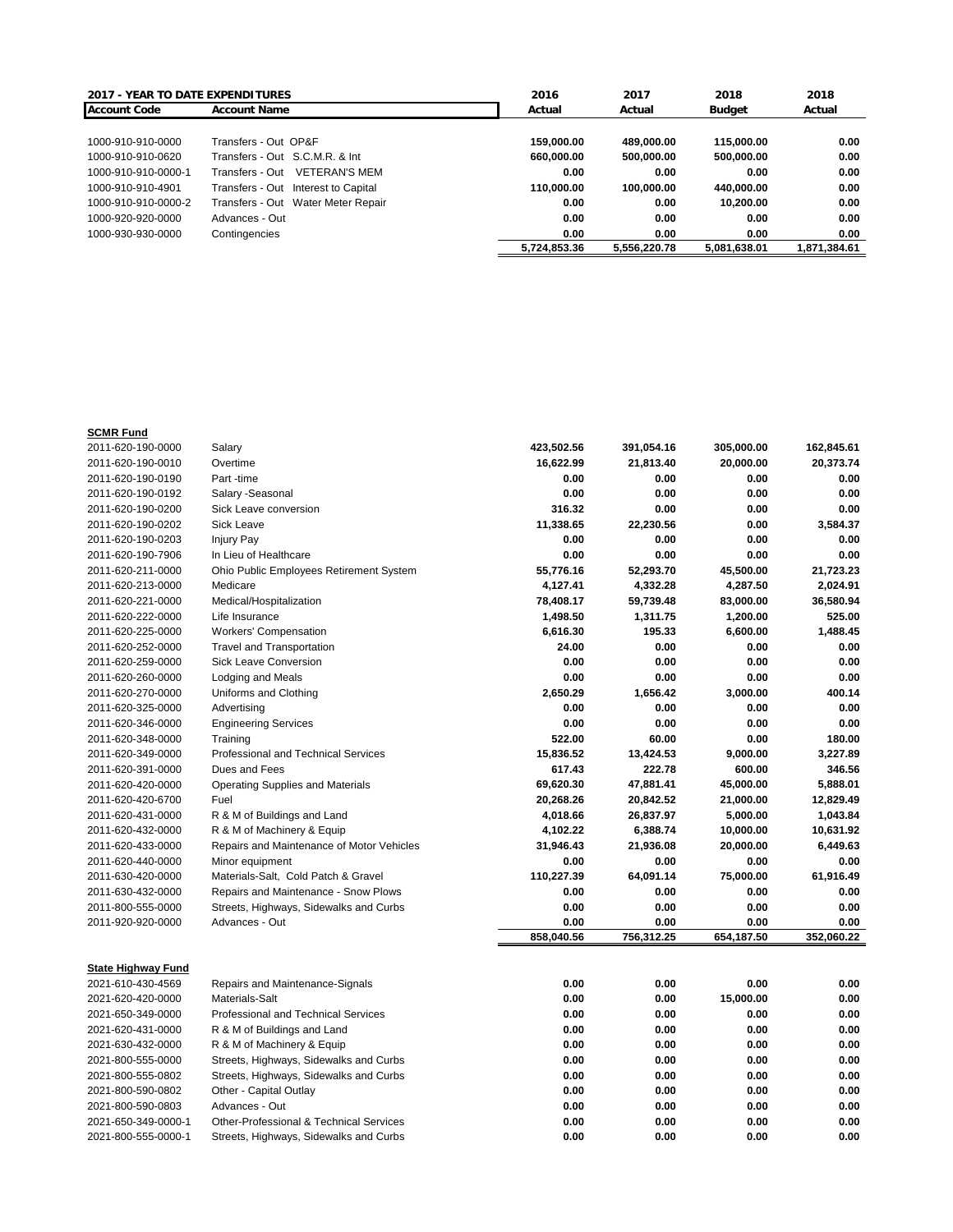| <b>2017 - YEAR TO DATE EXPENDITURES</b> |                                         | 2016         | 2017         | 2018         | 2018         |
|-----------------------------------------|-----------------------------------------|--------------|--------------|--------------|--------------|
| <b>Account Code</b>                     | <b>Account Name</b>                     | Actual       | Actual       | Budget       | Actual       |
|                                         |                                         |              |              |              |              |
| 1000-910-910-0000                       | Transfers - Out OP&F                    | 159.000.00   | 489.000.00   | 115,000,00   | 0.00         |
| 1000-910-910-0620                       | Transfers - Out S.C.M.R. & Int          | 660.000.00   | 500.000.00   | 500.000.00   | 0.00         |
| 1000-910-910-0000-1                     | <b>VETERAN'S MEM</b><br>Transfers - Out | 0.00         | 0.00         | 0.00         | 0.00         |
| 1000-910-910-4901                       | Transfers - Out Interest to Capital     | 110.000.00   | 100.000.00   | 440,000.00   | 0.00         |
| 1000-910-910-0000-2                     | Transfers - Out Water Meter Repair      | 0.00         | 0.00         | 10.200.00    | 0.00         |
| 1000-920-920-0000                       | Advances - Out                          | 0.00         | 0.00         | 0.00         | 0.00         |
| 1000-930-930-0000                       | Contingencies                           | 0.00         | 0.00         | 0.00         | 0.00         |
|                                         |                                         | 5.724.853.36 | 5,556,220.78 | 5.081.638.01 | 1.871.384.61 |

## **SCMR Fund**

| 2011-620-190-0000         | Salary                                             | 423,502.56 | 391,054.16 | 305,000.00 | 162,845.61 |
|---------------------------|----------------------------------------------------|------------|------------|------------|------------|
| 2011-620-190-0010         | Overtime                                           | 16,622.99  | 21,813.40  | 20,000.00  | 20,373.74  |
| 2011-620-190-0190         | Part -time                                         | 0.00       | 0.00       | 0.00       | 0.00       |
| 2011-620-190-0192         | Salary - Seasonal                                  | 0.00       | 0.00       | 0.00       | 0.00       |
| 2011-620-190-0200         | Sick Leave conversion                              | 316.32     | 0.00       | 0.00       | 0.00       |
| 2011-620-190-0202         | <b>Sick Leave</b>                                  | 11,338.65  | 22,230.56  | 0.00       | 3,584.37   |
| 2011-620-190-0203         | <b>Injury Pay</b>                                  | 0.00       | 0.00       | 0.00       | 0.00       |
| 2011-620-190-7906         | In Lieu of Healthcare                              | 0.00       | 0.00       | 0.00       | 0.00       |
| 2011-620-211-0000         | Ohio Public Employees Retirement System            | 55,776.16  | 52,293.70  | 45,500.00  | 21,723.23  |
| 2011-620-213-0000         | Medicare                                           | 4,127.41   | 4,332.28   | 4,287.50   | 2,024.91   |
| 2011-620-221-0000         | Medical/Hospitalization                            | 78,408.17  | 59,739.48  | 83,000.00  | 36,580.94  |
| 2011-620-222-0000         | Life Insurance                                     | 1,498.50   | 1,311.75   | 1,200.00   | 525.00     |
| 2011-620-225-0000         | <b>Workers' Compensation</b>                       | 6,616.30   | 195.33     | 6,600.00   | 1,488.45   |
| 2011-620-252-0000         | <b>Travel and Transportation</b>                   | 24.00      | 0.00       | 0.00       | 0.00       |
| 2011-620-259-0000         | <b>Sick Leave Conversion</b>                       | 0.00       | 0.00       | 0.00       | 0.00       |
| 2011-620-260-0000         | <b>Lodging and Meals</b>                           | 0.00       | 0.00       | 0.00       | 0.00       |
| 2011-620-270-0000         | Uniforms and Clothing                              | 2,650.29   | 1,656.42   | 3,000.00   | 400.14     |
| 2011-620-325-0000         | Advertising                                        | 0.00       | 0.00       | 0.00       | 0.00       |
| 2011-620-346-0000         | <b>Engineering Services</b>                        | 0.00       | 0.00       | 0.00       | 0.00       |
| 2011-620-348-0000         | Training                                           | 522.00     | 60.00      | 0.00       | 180.00     |
| 2011-620-349-0000         | <b>Professional and Technical Services</b>         | 15,836.52  | 13,424.53  | 9,000.00   | 3,227.89   |
| 2011-620-391-0000         | Dues and Fees                                      | 617.43     | 222.78     | 600.00     | 346.56     |
| 2011-620-420-0000         | <b>Operating Supplies and Materials</b>            | 69,620.30  | 47,881.41  | 45,000.00  | 5,888.01   |
| 2011-620-420-6700         | Fuel                                               | 20,268.26  | 20,842.52  | 21,000.00  | 12,829.49  |
| 2011-620-431-0000         | R & M of Buildings and Land                        | 4,018.66   | 26,837.97  | 5,000.00   | 1,043.84   |
| 2011-620-432-0000         | R & M of Machinery & Equip                         | 4,102.22   | 6,388.74   | 10,000.00  | 10,631.92  |
| 2011-620-433-0000         | Repairs and Maintenance of Motor Vehicles          | 31,946.43  | 21,936.08  | 20,000.00  | 6,449.63   |
| 2011-620-440-0000         | Minor equipment                                    | 0.00       | 0.00       | 0.00       | 0.00       |
| 2011-630-420-0000         | Materials-Salt, Cold Patch & Gravel                | 110,227.39 | 64,091.14  | 75,000.00  | 61,916.49  |
| 2011-630-432-0000         | Repairs and Maintenance - Snow Plows               | 0.00       | 0.00       | 0.00       | 0.00       |
| 2011-800-555-0000         | Streets, Highways, Sidewalks and Curbs             | 0.00       | 0.00       | 0.00       | 0.00       |
| 2011-920-920-0000         | Advances - Out                                     | 0.00       | 0.00       | 0.00       | 0.00       |
|                           |                                                    | 858,040.56 | 756,312.25 | 654,187.50 | 352,060.22 |
|                           |                                                    |            |            |            |            |
| <b>State Highway Fund</b> |                                                    |            |            |            |            |
| 2021-610-430-4569         | Repairs and Maintenance-Signals                    | 0.00       | 0.00       | 0.00       | 0.00       |
| 2021-620-420-0000         | Materials-Salt                                     | 0.00       | 0.00       | 15,000.00  | 0.00       |
| 2021-650-349-0000         | Professional and Technical Services                | 0.00       | 0.00       | 0.00       | 0.00       |
| 2021-620-431-0000         | R & M of Buildings and Land                        | 0.00       | 0.00       | 0.00       | 0.00       |
| 2021-630-432-0000         | R & M of Machinery & Equip                         | 0.00       | 0.00       | 0.00       | 0.00       |
| 2021-800-555-0000         | Streets, Highways, Sidewalks and Curbs             | 0.00       | 0.00       | 0.00       | 0.00       |
| 2021-800-555-0802         | Streets, Highways, Sidewalks and Curbs             | 0.00       | 0.00       | 0.00       | 0.00       |
| 2021-800-590-0802         | Other - Capital Outlay                             | 0.00       | 0.00       | 0.00       | 0.00       |
| 2021-800-590-0803         | Advances - Out                                     | 0.00       | 0.00       | 0.00       | 0.00       |
| 2021-650-349-0000-1       | <b>Other-Professional &amp; Technical Services</b> | 0.00       | 0.00       | 0.00       | 0.00       |

2021-800-555-0000-1 Streets, Highways, Sidewalks and Curbs **0.00 0.00 0.00 0.00**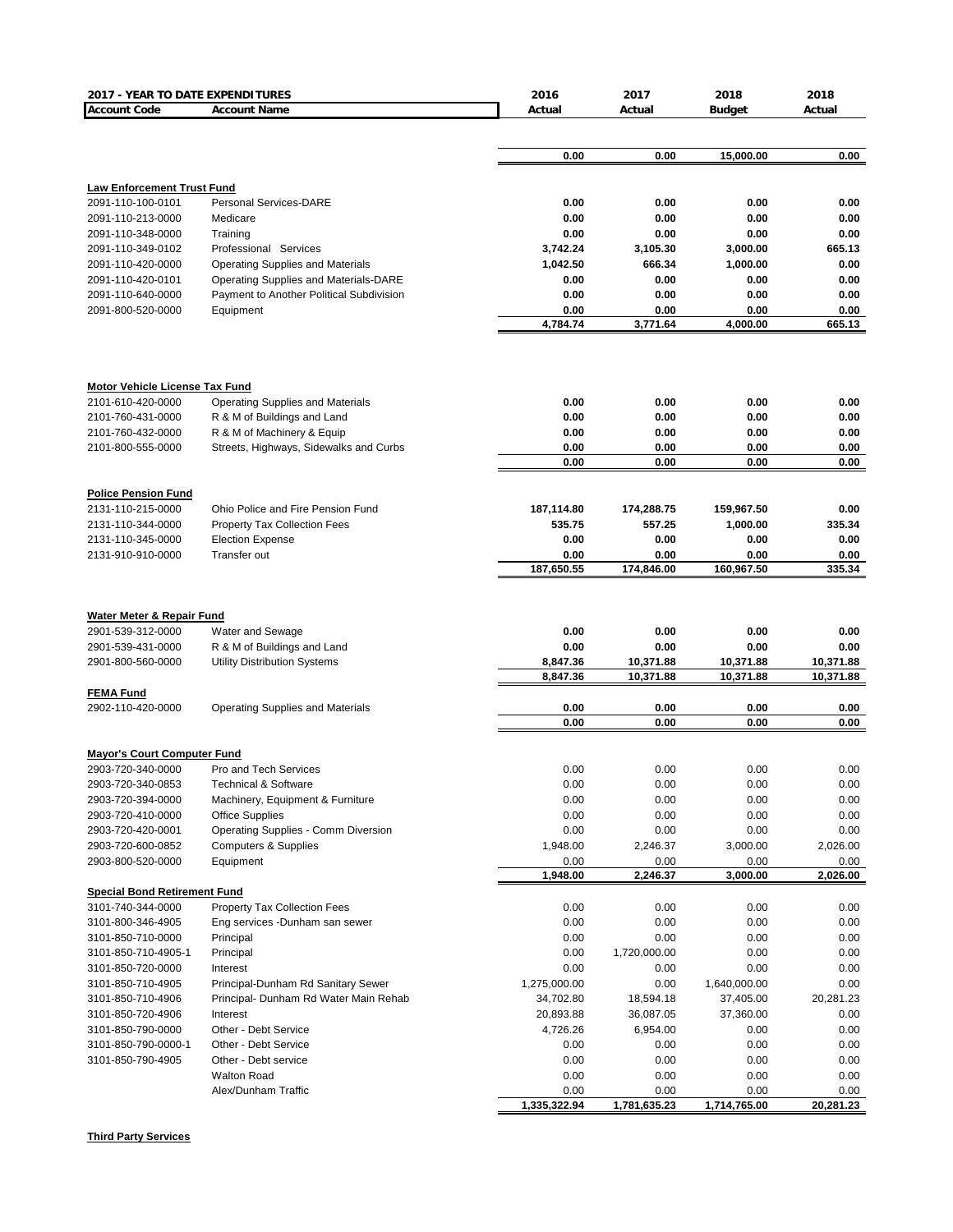| 2017 - YEAR TO DATE EXPENDITURES      |                                          | 2016         | 2017         | 2018          | 2018         |
|---------------------------------------|------------------------------------------|--------------|--------------|---------------|--------------|
| <b>Account Code</b>                   | <b>Account Name</b>                      | Actual       | Actual       | <b>Budget</b> | Actual       |
|                                       |                                          |              |              |               |              |
|                                       |                                          |              |              |               |              |
|                                       |                                          | 0.00         | 0.00         | 15,000.00     | 0.00         |
| <b>Law Enforcement Trust Fund</b>     |                                          |              |              |               |              |
| 2091-110-100-0101                     | Personal Services-DARE                   | 0.00         | 0.00         | 0.00          | 0.00         |
| 2091-110-213-0000                     | Medicare                                 | 0.00         | 0.00         | 0.00          | 0.00         |
| 2091-110-348-0000                     | Training                                 | 0.00         | 0.00         | 0.00          | 0.00         |
| 2091-110-349-0102                     | Professional Services                    | 3.742.24     | 3,105.30     | 3,000.00      | 665.13       |
| 2091-110-420-0000                     | <b>Operating Supplies and Materials</b>  | 1,042.50     | 666.34       | 1,000.00      | 0.00         |
| 2091-110-420-0101                     | Operating Supplies and Materials-DARE    | 0.00         | 0.00         | 0.00          | 0.00         |
| 2091-110-640-0000                     | Payment to Another Political Subdivision | 0.00         | 0.00         | 0.00          | 0.00         |
| 2091-800-520-0000                     | Equipment                                | 0.00         | 0.00         | 0.00          | 0.00         |
|                                       |                                          | 4,784.74     | 3,771.64     | 4,000.00      | 665.13       |
|                                       |                                          |              |              |               |              |
| <b>Motor Vehicle License Tax Fund</b> |                                          |              |              |               |              |
| 2101-610-420-0000                     | <b>Operating Supplies and Materials</b>  | 0.00         | 0.00         | 0.00          | 0.00         |
| 2101-760-431-0000                     | R & M of Buildings and Land              | 0.00         | 0.00         | 0.00          | 0.00         |
| 2101-760-432-0000                     | R & M of Machinery & Equip               | 0.00         | 0.00         | 0.00          | 0.00         |
| 2101-800-555-0000                     | Streets, Highways, Sidewalks and Curbs   | 0.00<br>0.00 | 0.00<br>0.00 | 0.00<br>0.00  | 0.00<br>0.00 |
|                                       |                                          |              |              |               |              |
| <b>Police Pension Fund</b>            |                                          |              |              |               |              |
| 2131-110-215-0000                     | Ohio Police and Fire Pension Fund        | 187,114.80   | 174,288.75   | 159,967.50    | 0.00         |
| 2131-110-344-0000                     | <b>Property Tax Collection Fees</b>      | 535.75       | 557.25       | 1,000.00      | 335.34       |
| 2131-110-345-0000                     | <b>Election Expense</b>                  | 0.00         | 0.00         | 0.00          | 0.00         |
| 2131-910-910-0000                     | Transfer out                             | 0.00         | 0.00         | 0.00          | 0.00         |
|                                       |                                          | 187,650.55   | 174,846.00   | 160,967.50    | 335.34       |
|                                       |                                          |              |              |               |              |
|                                       |                                          |              |              |               |              |
| <b>Water Meter &amp; Repair Fund</b>  |                                          |              |              |               |              |
| 2901-539-312-0000                     | Water and Sewage                         | 0.00         | 0.00         | 0.00          | 0.00         |
| 2901-539-431-0000                     | R & M of Buildings and Land              | 0.00         | 0.00         | 0.00          | 0.00         |
| 2901-800-560-0000                     | Utility Distribution Systems             | 8,847.36     | 10,371.88    | 10,371.88     | 10,371.88    |
|                                       |                                          | 8,847.36     | 10,371.88    | 10,371.88     | 10,371.88    |
| <b>FEMA Fund</b>                      |                                          |              |              |               |              |
| 2902-110-420-0000                     | <b>Operating Supplies and Materials</b>  | 0.00<br>0.00 | 0.00<br>0.00 | 0.00<br>0.00  | 0.00<br>0.00 |
|                                       |                                          |              |              |               |              |
| <b>Mayor's Court Computer Fund</b>    |                                          |              |              |               |              |
| 2903-720-340-0000                     | <b>Pro and Tech Services</b>             | 0.00         | 0.00         | 0.00          | 0.00         |
| 2903-720-340-0853                     | <b>Technical &amp; Software</b>          | 0.00         | 0.00         | 0.00          | 0.00         |
| 2903-720-394-0000                     | Machinery, Equipment & Furniture         | 0.00         | 0.00         | 0.00          | 0.00         |
| 2903-720-410-0000                     | <b>Office Supplies</b>                   | 0.00         | 0.00         | 0.00          | 0.00         |
| 2903-720-420-0001                     | Operating Supplies - Comm Diversion      | 0.00         | 0.00         | 0.00          | 0.00         |
| 2903-720-600-0852                     | <b>Computers &amp; Supplies</b>          | 1,948.00     | 2,246.37     | 3,000.00      | 2,026.00     |
| 2903-800-520-0000                     | Equipment                                | 0.00         | 0.00         | 0.00          | 0.00         |
|                                       |                                          | 1,948.00     | 2,246.37     | 3,000.00      | 2,026.00     |
| <b>Special Bond Retirement Fund</b>   |                                          |              |              |               |              |
| 3101-740-344-0000                     | Property Tax Collection Fees             | 0.00         | 0.00         | 0.00          | 0.00         |
| 3101-800-346-4905                     | Eng services -Dunham san sewer           | 0.00         | 0.00         | 0.00          | 0.00         |
| 3101-850-710-0000                     | Principal                                | 0.00         | 0.00         | 0.00          | 0.00         |
| 3101-850-710-4905-1                   | Principal                                | 0.00         | 1,720,000.00 | 0.00          | 0.00         |
| 3101-850-720-0000                     | Interest                                 | 0.00         | 0.00         | 0.00          | 0.00         |
| 3101-850-710-4905                     | Principal-Dunham Rd Sanitary Sewer       | 1,275,000.00 | 0.00         | 1,640,000.00  | 0.00         |
| 3101-850-710-4906                     | Principal- Dunham Rd Water Main Rehab    | 34,702.80    | 18,594.18    | 37,405.00     | 20,281.23    |
| 3101-850-720-4906                     | Interest                                 | 20,893.88    | 36,087.05    | 37,360.00     | 0.00         |
| 3101-850-790-0000                     | Other - Debt Service                     | 4,726.26     | 6,954.00     | 0.00          | 0.00         |
| 3101-850-790-0000-1                   | Other - Debt Service                     | 0.00         | 0.00         | 0.00          | 0.00         |
| 3101-850-790-4905                     | Other - Debt service                     | 0.00         | 0.00         | 0.00          | 0.00         |
|                                       | <b>Walton Road</b>                       | 0.00         | 0.00         | 0.00          | 0.00         |
|                                       | Alex/Dunham Traffic                      | 0.00         | 0.00         | 0.00          | 0.00         |
|                                       |                                          | 1,335,322.94 | 1,781,635.23 | 1,714,765.00  | 20,281.23    |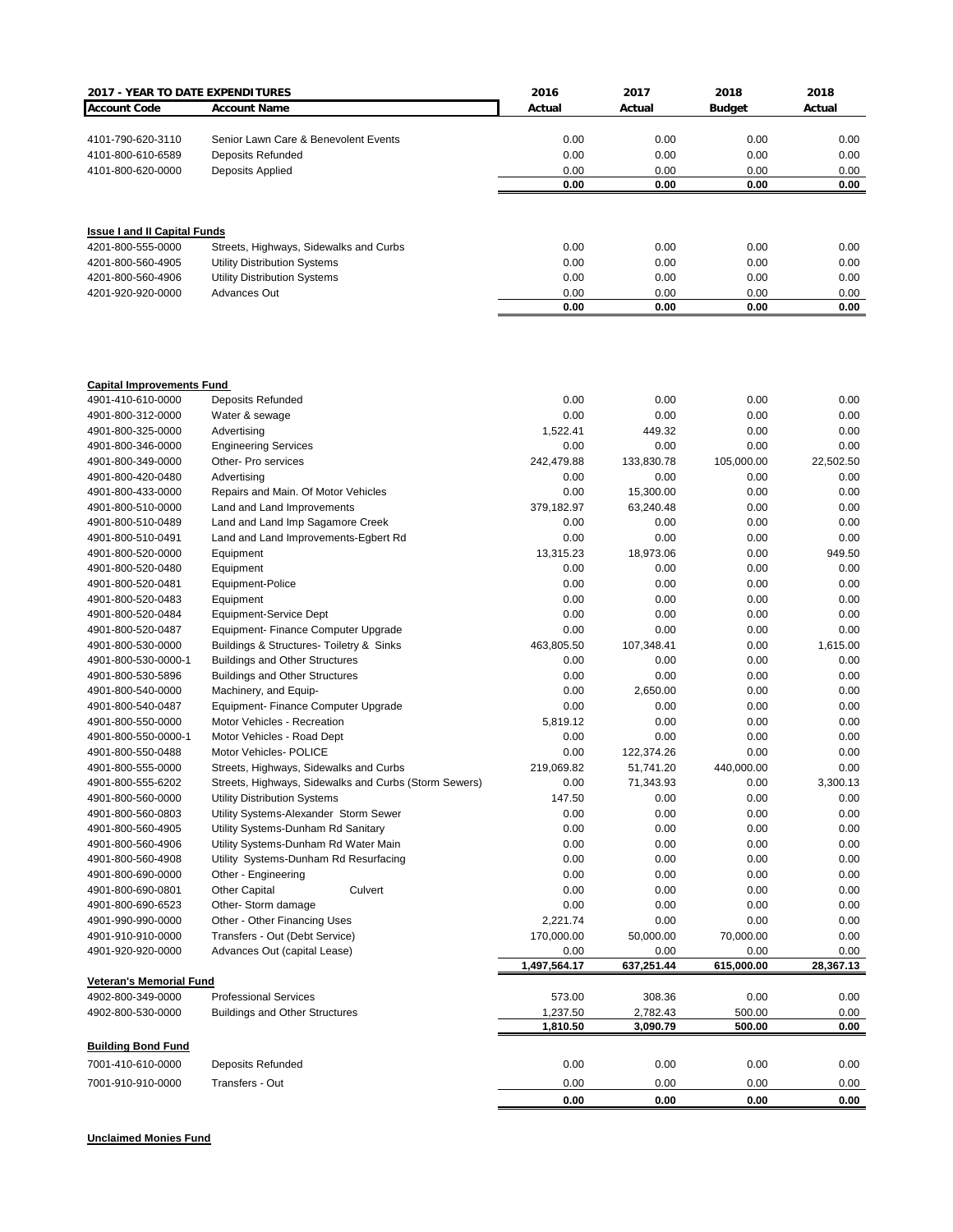| 2017 - YEAR TO DATE EXPENDITURES       |                                                        | 2016         | 2017         | 2018          | 2018         |
|----------------------------------------|--------------------------------------------------------|--------------|--------------|---------------|--------------|
| <b>Account Code</b>                    | <b>Account Name</b>                                    | Actual       | Actual       | <b>Budget</b> | Actual       |
|                                        |                                                        |              |              |               |              |
| 4101-790-620-3110                      | Senior Lawn Care & Benevolent Events                   | 0.00         | 0.00         | 0.00          | 0.00         |
| 4101-800-610-6589                      | Deposits Refunded                                      | 0.00         | 0.00         | 0.00          | 0.00         |
| 4101-800-620-0000                      | Deposits Applied                                       | 0.00         | 0.00         | 0.00          | 0.00         |
|                                        |                                                        | 0.00         | 0.00         | 0.00          | 0.00         |
| <b>Issue I and II Capital Funds</b>    |                                                        |              |              |               |              |
| 4201-800-555-0000                      | Streets, Highways, Sidewalks and Curbs                 | 0.00         | 0.00         | 0.00          | 0.00         |
| 4201-800-560-4905                      | <b>Utility Distribution Systems</b>                    | 0.00         | 0.00         | 0.00          | 0.00         |
| 4201-800-560-4906                      | <b>Utility Distribution Systems</b>                    | 0.00         | 0.00         | 0.00          | 0.00         |
| 4201-920-920-0000                      | <b>Advances Out</b>                                    | 0.00         | 0.00         | 0.00          | 0.00         |
|                                        |                                                        | 0.00         | 0.00         | 0.00          | 0.00         |
| <b>Capital Improvements Fund</b>       |                                                        |              |              |               |              |
| 4901-410-610-0000                      | <b>Deposits Refunded</b>                               | 0.00         | 0.00         | 0.00          | 0.00         |
| 4901-800-312-0000                      | Water & sewage                                         | 0.00         | 0.00         | 0.00          | 0.00         |
| 4901-800-325-0000                      | Advertising                                            | 1,522.41     | 449.32       | 0.00          | 0.00         |
| 4901-800-346-0000                      | <b>Engineering Services</b>                            | 0.00         | 0.00         | 0.00          | 0.00         |
| 4901-800-349-0000                      | Other- Pro services                                    | 242,479.88   | 133,830.78   | 105,000.00    | 22,502.50    |
| 4901-800-420-0480                      | Advertising                                            | 0.00         | 0.00         | 0.00          | 0.00         |
| 4901-800-433-0000                      | Repairs and Main. Of Motor Vehicles                    | 0.00         | 15,300.00    | 0.00          | 0.00         |
| 4901-800-510-0000                      | Land and Land Improvements                             | 379,182.97   | 63,240.48    | 0.00          | 0.00         |
| 4901-800-510-0489                      | Land and Land Imp Sagamore Creek                       | 0.00         | 0.00         | 0.00          | 0.00         |
| 4901-800-510-0491                      | Land and Land Improvements-Egbert Rd                   | 0.00         | 0.00         | 0.00          | 0.00         |
| 4901-800-520-0000                      | Equipment                                              | 13,315.23    | 18,973.06    | 0.00          | 949.50       |
| 4901-800-520-0480                      | Equipment                                              | 0.00         | 0.00         | 0.00          | 0.00         |
| 4901-800-520-0481                      | Equipment-Police                                       | 0.00         | 0.00         | 0.00          | 0.00         |
| 4901-800-520-0483                      | Equipment                                              | 0.00         | 0.00         | 0.00          | 0.00         |
| 4901-800-520-0484                      | Equipment-Service Dept                                 | 0.00         | 0.00         | 0.00          | 0.00         |
| 4901-800-520-0487                      | Equipment- Finance Computer Upgrade                    | 0.00         | 0.00         | 0.00          | 0.00         |
| 4901-800-530-0000                      | Buildings & Structures- Toiletry & Sinks               | 463,805.50   | 107,348.41   | 0.00          | 1,615.00     |
| 4901-800-530-0000-1                    | <b>Buildings and Other Structures</b>                  | 0.00         | 0.00         | 0.00          | 0.00         |
| 4901-800-530-5896                      | <b>Buildings and Other Structures</b>                  | 0.00         | 0.00         | 0.00          | 0.00         |
| 4901-800-540-0000                      | Machinery, and Equip-                                  | 0.00         | 2,650.00     | 0.00          | 0.00         |
| 4901-800-540-0487                      | Equipment- Finance Computer Upgrade                    | 0.00         | 0.00         | 0.00          | 0.00         |
| 4901-800-550-0000                      | Motor Vehicles - Recreation                            | 5,819.12     | 0.00         | 0.00          | 0.00         |
| 4901-800-550-0000-1                    | Motor Vehicles - Road Dept                             | 0.00         | 0.00         | 0.00          | 0.00         |
| 4901-800-550-0488                      | Motor Vehicles- POLICE                                 | 0.00         | 122,374.26   | 0.00          | 0.00         |
| 4901-800-555-0000                      | Streets, Highways, Sidewalks and Curbs                 | 219,069.82   | 51,741.20    | 440,000.00    | 0.00         |
| 4901-800-555-6202                      | Streets, Highways, Sidewalks and Curbs (Storm Sewers)  | 0.00         | 71,343.93    | 0.00          | 3,300.13     |
| 4901-800-560-0000                      | Utility Distribution Systems                           | 147.50       | 0.00         | 0.00          | 0.00         |
| 4901-800-560-0803                      | Utility Systems-Alexander Storm Sewer                  | 0.00         | 0.00         | 0.00          | 0.00         |
| 4901-800-560-4905                      | Utility Systems-Dunham Rd Sanitary                     | 0.00         | 0.00         | 0.00          | 0.00         |
| 4901-800-560-4906                      | Utility Systems-Dunham Rd Water Main                   | 0.00         | 0.00         | 0.00          | 0.00         |
| 4901-800-560-4908                      | Utility Systems-Dunham Rd Resurfacing                  | 0.00         | 0.00         | 0.00          | 0.00         |
| 4901-800-690-0000                      | Other - Engineering                                    | 0.00         | 0.00         | 0.00          | 0.00         |
| 4901-800-690-0801<br>4901-800-690-6523 | <b>Other Capital</b><br>Culvert<br>Other- Storm damage | 0.00<br>0.00 | 0.00<br>0.00 | 0.00          | 0.00<br>0.00 |
| 4901-990-990-0000                      | Other - Other Financing Uses                           | 2,221.74     | 0.00         | 0.00<br>0.00  | 0.00         |
| 4901-910-910-0000                      | Transfers - Out (Debt Service)                         | 170,000.00   | 50,000.00    | 70,000.00     | 0.00         |
| 4901-920-920-0000                      | Advances Out (capital Lease)                           | 0.00         | 0.00         | 0.00          | 0.00         |
|                                        |                                                        | 1,497,564.17 | 637,251.44   | 615,000.00    | 28,367.13    |
| <b>Veteran's Memorial Fund</b>         |                                                        |              |              |               |              |
| 4902-800-349-0000                      | <b>Professional Services</b>                           | 573.00       | 308.36       | 0.00          | 0.00         |
| 4902-800-530-0000                      | <b>Buildings and Other Structures</b>                  | 1,237.50     | 2,782.43     | 500.00        | 0.00         |
|                                        |                                                        | 1,810.50     | 3,090.79     | 500.00        | 0.00         |
| <b>Building Bond Fund</b>              |                                                        |              |              |               |              |
| 7001-410-610-0000                      | Deposits Refunded                                      | 0.00         | 0.00         | 0.00          | 0.00         |
| 7001-910-910-0000                      | Transfers - Out                                        | 0.00         | 0.00         | 0.00          | 0.00         |
|                                        |                                                        | 0.00         | 0.00         | 0.00          | 0.00         |

**Unclaimed Monies Fund**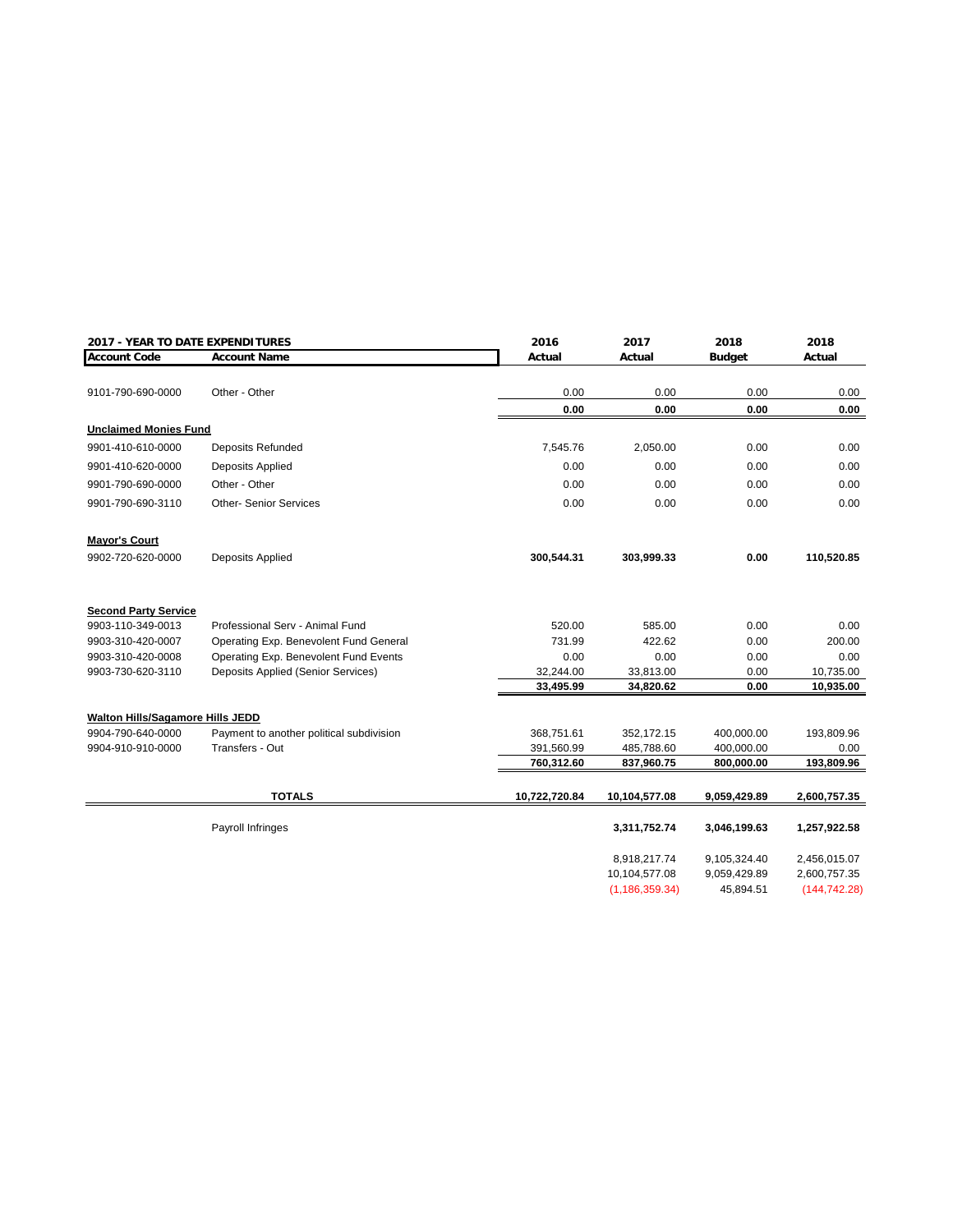| 2017 - YEAR TO DATE EXPENDITURES        |                                          | 2016          | 2017             | 2018          | 2018          |
|-----------------------------------------|------------------------------------------|---------------|------------------|---------------|---------------|
| <b>Account Code</b>                     | <b>Account Name</b>                      | Actual        | Actual           | <b>Budget</b> | Actual        |
|                                         |                                          |               |                  |               |               |
| 9101-790-690-0000                       | Other - Other                            | 0.00          | 0.00             | 0.00          | 0.00          |
|                                         |                                          | 0.00          | 0.00             | 0.00          | 0.00          |
| <b>Unclaimed Monies Fund</b>            |                                          |               |                  |               |               |
| 9901-410-610-0000                       | <b>Deposits Refunded</b>                 | 7,545.76      | 2,050.00         | 0.00          | 0.00          |
| 9901-410-620-0000                       | Deposits Applied                         | 0.00          | 0.00             | 0.00          | 0.00          |
| 9901-790-690-0000                       | Other - Other                            | 0.00          | 0.00             | 0.00          | 0.00          |
| 9901-790-690-3110                       | <b>Other-Senior Services</b>             | 0.00          | 0.00             | 0.00          | 0.00          |
| <b>Mayor's Court</b>                    |                                          |               |                  |               |               |
| 9902-720-620-0000                       | <b>Deposits Applied</b>                  | 300,544.31    | 303,999.33       | 0.00          | 110,520.85    |
| <b>Second Party Service</b>             |                                          |               |                  |               |               |
| 9903-110-349-0013                       | Professional Serv - Animal Fund          | 520.00        | 585.00           | 0.00          | 0.00          |
| 9903-310-420-0007                       | Operating Exp. Benevolent Fund General   | 731.99        | 422.62           | 0.00          | 200.00        |
| 9903-310-420-0008                       | Operating Exp. Benevolent Fund Events    | 0.00          | 0.00             | 0.00          | 0.00          |
| 9903-730-620-3110                       | Deposits Applied (Senior Services)       | 32,244.00     | 33,813.00        | 0.00          | 10,735.00     |
|                                         |                                          | 33,495.99     | 34,820.62        | 0.00          | 10,935.00     |
| <b>Walton Hills/Sagamore Hills JEDD</b> |                                          |               |                  |               |               |
| 9904-790-640-0000                       | Payment to another political subdivision | 368,751.61    | 352,172.15       | 400,000.00    | 193,809.96    |
| 9904-910-910-0000                       | Transfers - Out                          | 391,560.99    | 485,788.60       | 400,000.00    | 0.00          |
|                                         |                                          | 760,312.60    | 837,960.75       | 800,000.00    | 193,809.96    |
|                                         | <b>TOTALS</b>                            | 10,722,720.84 | 10,104,577.08    | 9,059,429.89  | 2,600,757.35  |
|                                         | Payroll Infringes                        |               | 3,311,752.74     | 3,046,199.63  | 1,257,922.58  |
|                                         |                                          |               | 8,918,217.74     | 9,105,324.40  | 2,456,015.07  |
|                                         |                                          |               | 10,104,577.08    | 9,059,429.89  | 2,600,757.35  |
|                                         |                                          |               | (1, 186, 359.34) | 45,894.51     | (144, 742.28) |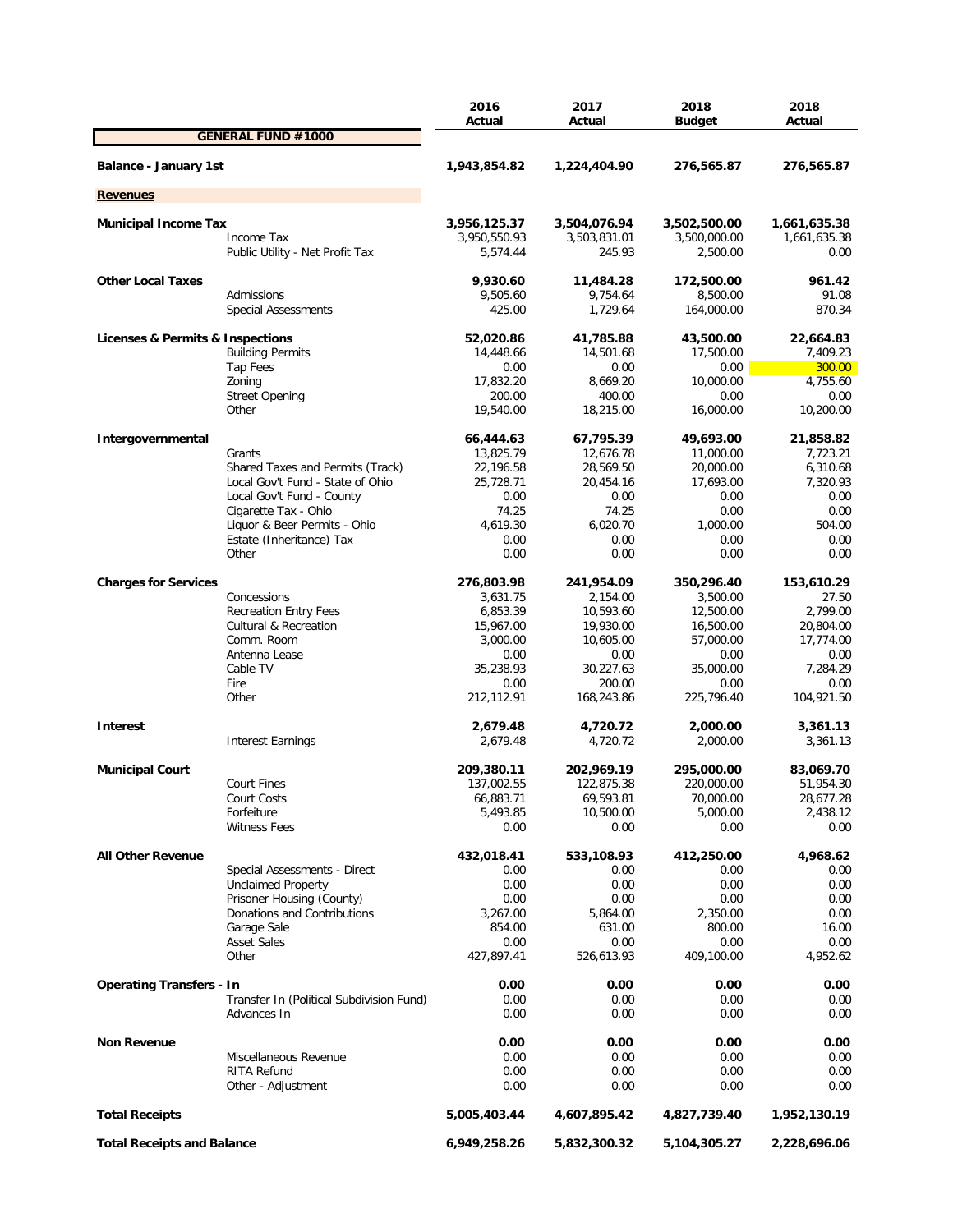|                                          | 2016<br>Actual | 2017<br>Actual | 2018<br><b>Budget</b> | 2018<br>Actual |
|------------------------------------------|----------------|----------------|-----------------------|----------------|
| <b>GENERAL FUND #1000</b>                |                |                |                       |                |
| <b>Balance - January 1st</b>             | 1,943,854.82   | 1,224,404.90   | 276,565.87            | 276,565.87     |
| <b>Revenues</b>                          |                |                |                       |                |
| <b>Municipal Income Tax</b>              | 3,956,125.37   | 3,504,076.94   | 3,502,500.00          | 1,661,635.38   |
| Income Tax                               | 3,950,550.93   | 3,503,831.01   | 3,500,000.00          | 1,661,635.38   |
| Public Utility - Net Profit Tax          | 5,574.44       | 245.93         | 2,500.00              | 0.00           |
| <b>Other Local Taxes</b>                 | 9,930.60       | 11,484.28      | 172,500.00            | 961.42         |
| Admissions                               | 9,505.60       | 9,754.64       | 8,500.00              | 91.08          |
| <b>Special Assessments</b>               | 425.00         | 1,729.64       | 164,000.00            | 870.34         |
| Licenses & Permits & Inspections         | 52,020.86      | 41,785.88      | 43,500.00             | 22,664.83      |
| <b>Building Permits</b>                  | 14,448.66      | 14,501.68      | 17,500.00             | 7,409.23       |
| Tap Fees                                 | 0.00           | 0.00           | 0.00                  | 300.00         |
| Zoning                                   | 17,832.20      | 8,669.20       | 10,000.00             | 4,755.60       |
| <b>Street Opening</b>                    | 200.00         | 400.00         | 0.00                  | 0.00           |
| Other                                    | 19,540.00      | 18,215.00      | 16,000.00             | 10,200.00      |
| Intergovernmental                        | 66,444.63      | 67,795.39      | 49,693.00             | 21,858.82      |
| Grants                                   | 13,825.79      | 12,676.78      | 11,000.00             | 7,723.21       |
| Shared Taxes and Permits (Track)         | 22,196.58      | 28,569.50      | 20,000.00             | 6,310.68       |
| Local Gov't Fund - State of Ohio         | 25,728.71      | 20,454.16      | 17,693.00             | 7,320.93       |
| Local Gov't Fund - County                | 0.00           | 0.00           | 0.00                  | 0.00           |
| Cigarette Tax - Ohio                     | 74.25          | 74.25          | 0.00                  | 0.00           |
| Liquor & Beer Permits - Ohio             | 4,619.30       | 6,020.70       | 1,000.00              | 504.00         |
| Estate (Inheritance) Tax                 | 0.00           | 0.00           | 0.00                  | 0.00           |
| Other                                    | 0.00           | 0.00           | 0.00                  | 0.00           |
| <b>Charges for Services</b>              | 276,803.98     | 241,954.09     | 350,296.40            | 153,610.29     |
| Concessions                              | 3,631.75       | 2,154.00       | 3,500.00              | 27.50          |
| <b>Recreation Entry Fees</b>             | 6,853.39       | 10,593.60      | 12,500.00             | 2,799.00       |
| <b>Cultural &amp; Recreation</b>         | 15,967.00      | 19,930.00      | 16,500.00             | 20,804.00      |
| Comm. Room                               | 3,000.00       | 10,605.00      | 57,000.00             | 17,774.00      |
| Antenna Lease                            | 0.00           | 0.00           | 0.00                  | 0.00           |
| Cable TV                                 | 35,238.93      | 30,227.63      | 35,000.00             | 7,284.29       |
| Fire                                     | 0.00           | 200.00         | 0.00                  | 0.00           |
| Other                                    | 212,112.91     | 168,243.86     | 225,796.40            | 104,921.50     |
| <b>Interest</b>                          | 2,679.48       | 4,720.72       | 2,000.00              | 3,361.13       |
| <b>Interest Earnings</b>                 | 2,679.48       | 4,720.72       | 2,000.00              | 3,361.13       |
| <b>Municipal Court</b>                   | 209,380.11     | 202,969.19     | 295,000.00            | 83,069.70      |
| <b>Court Fines</b>                       | 137,002.55     | 122,875.38     | 220,000.00            | 51,954.30      |
| Court Costs                              | 66,883.71      | 69,593.81      | 70,000.00             | 28,677.28      |
| Forfeiture                               | 5,493.85       | 10,500.00      | 5,000.00              | 2,438.12       |
| <b>Witness Fees</b>                      | 0.00           | 0.00           | 0.00                  | 0.00           |
| <b>All Other Revenue</b>                 | 432,018.41     | 533,108.93     | 412,250.00            | 4,968.62       |
| Special Assessments - Direct             | 0.00           | 0.00           | 0.00                  | 0.00           |
| <b>Unclaimed Property</b>                | 0.00           | 0.00           | 0.00                  | 0.00           |
| Prisoner Housing (County)                | 0.00           | 0.00           | 0.00                  | 0.00           |
| Donations and Contributions              | 3,267.00       | 5,864.00       | 2,350.00              | 0.00           |
| Garage Sale                              | 854.00         | 631.00         | 800.00                | 16.00          |
| <b>Asset Sales</b>                       | 0.00           | 0.00           | 0.00                  | 0.00           |
| Other                                    | 427,897.41     | 526,613.93     | 409,100.00            | 4,952.62       |
| <b>Operating Transfers - In</b>          | 0.00           | 0.00           | 0.00                  | 0.00           |
| Transfer In (Political Subdivision Fund) | 0.00           | 0.00           | 0.00                  | 0.00           |
| Advances In                              | 0.00           | 0.00           | 0.00                  | 0.00           |
| <b>Non Revenue</b>                       | 0.00           | 0.00           | 0.00                  | 0.00           |
| Miscellaneous Revenue                    | 0.00           | 0.00           | 0.00                  | 0.00           |
| RITA Refund                              | 0.00           | 0.00           | 0.00                  | 0.00           |
| Other - Adjustment                       | 0.00           | 0.00           | 0.00                  | 0.00           |
| <b>Total Receipts</b>                    | 5,005,403.44   | 4,607,895.42   | 4,827,739.40          | 1,952,130.19   |
| <b>Total Receipts and Balance</b>        | 6,949,258.26   | 5,832,300.32   | 5,104,305.27          | 2,228,696.06   |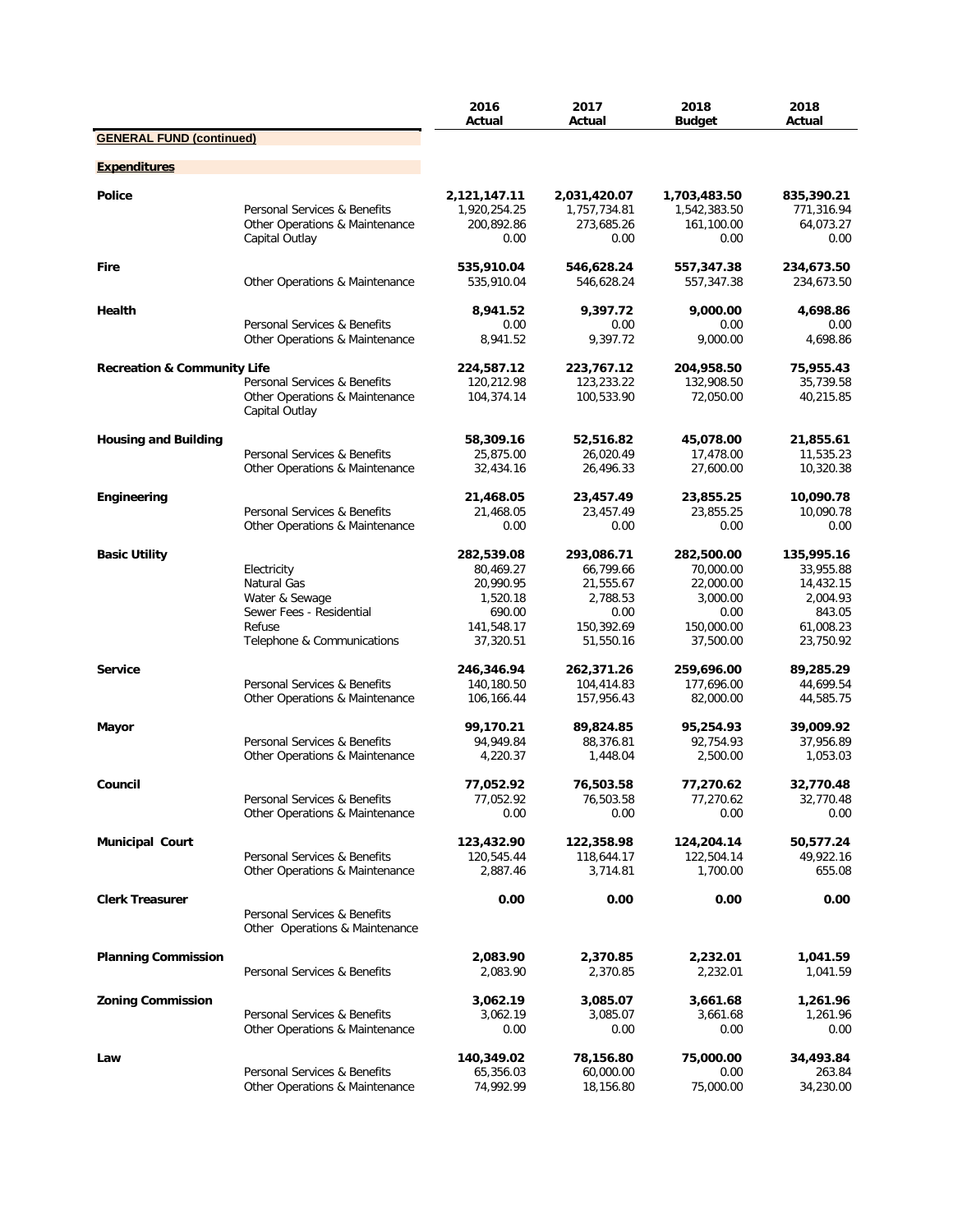|                                        |                                                                                                                  | 2016<br>Actual                                                                        | 2017<br>Actual                                                                      | 2018<br><b>Budget</b>                                                               | 2018<br>Actual                                                                       |
|----------------------------------------|------------------------------------------------------------------------------------------------------------------|---------------------------------------------------------------------------------------|-------------------------------------------------------------------------------------|-------------------------------------------------------------------------------------|--------------------------------------------------------------------------------------|
| <b>GENERAL FUND (continued)</b>        |                                                                                                                  |                                                                                       |                                                                                     |                                                                                     |                                                                                      |
| <b>Expenditures</b>                    |                                                                                                                  |                                                                                       |                                                                                     |                                                                                     |                                                                                      |
| <b>Police</b>                          | Personal Services & Benefits<br>Other Operations & Maintenance<br>Capital Outlay                                 | 2,121,147.11<br>1,920,254.25<br>200,892.86<br>0.00                                    | 2,031,420.07<br>1,757,734.81<br>273,685.26<br>0.00                                  | 1,703,483.50<br>1,542,383.50<br>161,100.00<br>0.00                                  | 835,390.21<br>771,316.94<br>64,073.27<br>0.00                                        |
| <b>Fire</b>                            | Other Operations & Maintenance                                                                                   | 535,910.04<br>535,910.04                                                              | 546,628.24<br>546,628.24                                                            | 557,347.38<br>557,347.38                                                            | 234,673.50<br>234,673.50                                                             |
| Health                                 | Personal Services & Benefits<br>Other Operations & Maintenance                                                   | 8,941.52<br>0.00<br>8,941.52                                                          | 9.397.72<br>0.00<br>9,397.72                                                        | 9,000.00<br>0.00<br>9,000.00                                                        | 4,698.86<br>0.00<br>4,698.86                                                         |
|                                        |                                                                                                                  |                                                                                       |                                                                                     |                                                                                     |                                                                                      |
| <b>Recreation &amp; Community Life</b> | Personal Services & Benefits<br>Other Operations & Maintenance<br>Capital Outlay                                 | 224,587.12<br>120,212.98<br>104,374.14                                                | 223,767.12<br>123,233.22<br>100,533.90                                              | 204,958.50<br>132,908.50<br>72,050.00                                               | 75,955.43<br>35,739.58<br>40,215.85                                                  |
| <b>Housing and Building</b>            | Personal Services & Benefits<br>Other Operations & Maintenance                                                   | 58,309.16<br>25,875.00<br>32,434.16                                                   | 52,516.82<br>26,020.49<br>26,496.33                                                 | 45,078.00<br>17,478.00<br>27,600.00                                                 | 21,855.61<br>11,535.23<br>10,320.38                                                  |
| Engineering                            | Personal Services & Benefits<br>Other Operations & Maintenance                                                   | 21,468.05<br>21,468.05<br>0.00                                                        | 23,457.49<br>23,457.49<br>0.00                                                      | 23,855.25<br>23,855.25<br>0.00                                                      | 10,090.78<br>10,090.78<br>0.00                                                       |
| <b>Basic Utility</b>                   | Electricity<br>Natural Gas<br>Water & Sewage<br>Sewer Fees - Residential<br>Refuse<br>Telephone & Communications | 282,539.08<br>80,469.27<br>20,990.95<br>1,520.18<br>690.00<br>141,548.17<br>37,320.51 | 293,086.71<br>66,799.66<br>21,555.67<br>2,788.53<br>0.00<br>150,392.69<br>51,550.16 | 282,500.00<br>70,000.00<br>22,000.00<br>3,000.00<br>0.00<br>150,000.00<br>37,500.00 | 135,995.16<br>33,955.88<br>14,432.15<br>2,004.93<br>843.05<br>61,008.23<br>23,750.92 |
| <b>Service</b>                         | Personal Services & Benefits<br>Other Operations & Maintenance                                                   | 246,346.94<br>140,180.50<br>106,166.44                                                | 262,371.26<br>104,414.83<br>157,956.43                                              | 259,696.00<br>177,696.00<br>82,000.00                                               | 89,285.29<br>44,699.54<br>44,585.75                                                  |
| Mayor                                  | Personal Services & Benefits<br>Other Operations & Maintenance                                                   | 99,170.21<br>94,949.84<br>4,220.37                                                    | 89,824.85<br>88,376.81<br>1,448.04                                                  | 95,254.93<br>92,754.93<br>2,500.00                                                  | 39,009.92<br>37,956.89<br>1,053.03                                                   |
| Council                                | Personal Services & Benefits<br>Other Operations & Maintenance                                                   | 77,052.92<br>77,052.92<br>0.00                                                        | 76,503.58<br>76,503.58<br>0.00                                                      | 77,270.62<br>77,270.62<br>0.00                                                      | 32,770.48<br>32,770.48<br>0.00                                                       |
| <b>Municipal Court</b>                 | Personal Services & Benefits<br>Other Operations & Maintenance                                                   | 123,432.90<br>120,545.44<br>2,887.46                                                  | 122,358.98<br>118,644.17<br>3,714.81                                                | 124,204.14<br>122,504.14<br>1,700.00                                                | 50,577.24<br>49,922.16<br>655.08                                                     |
| <b>Clerk Treasurer</b>                 | Personal Services & Benefits<br>Other Operations & Maintenance                                                   | 0.00                                                                                  | 0.00                                                                                | 0.00                                                                                | 0.00                                                                                 |
| <b>Planning Commission</b>             | Personal Services & Benefits                                                                                     | 2,083.90<br>2,083.90                                                                  | 2,370.85<br>2,370.85                                                                | 2,232.01<br>2,232.01                                                                | 1,041.59<br>1,041.59                                                                 |
| <b>Zoning Commission</b>               | Personal Services & Benefits<br>Other Operations & Maintenance                                                   | 3,062.19<br>3,062.19<br>0.00                                                          | 3,085.07<br>3,085.07<br>0.00                                                        | 3,661.68<br>3,661.68<br>0.00                                                        | 1,261.96<br>1,261.96<br>0.00                                                         |
| Law                                    | Personal Services & Benefits<br>Other Operations & Maintenance                                                   | 140,349.02<br>65,356.03<br>74,992.99                                                  | 78,156.80<br>60,000.00<br>18,156.80                                                 | 75,000.00<br>0.00<br>75,000.00                                                      | 34,493.84<br>263.84<br>34,230.00                                                     |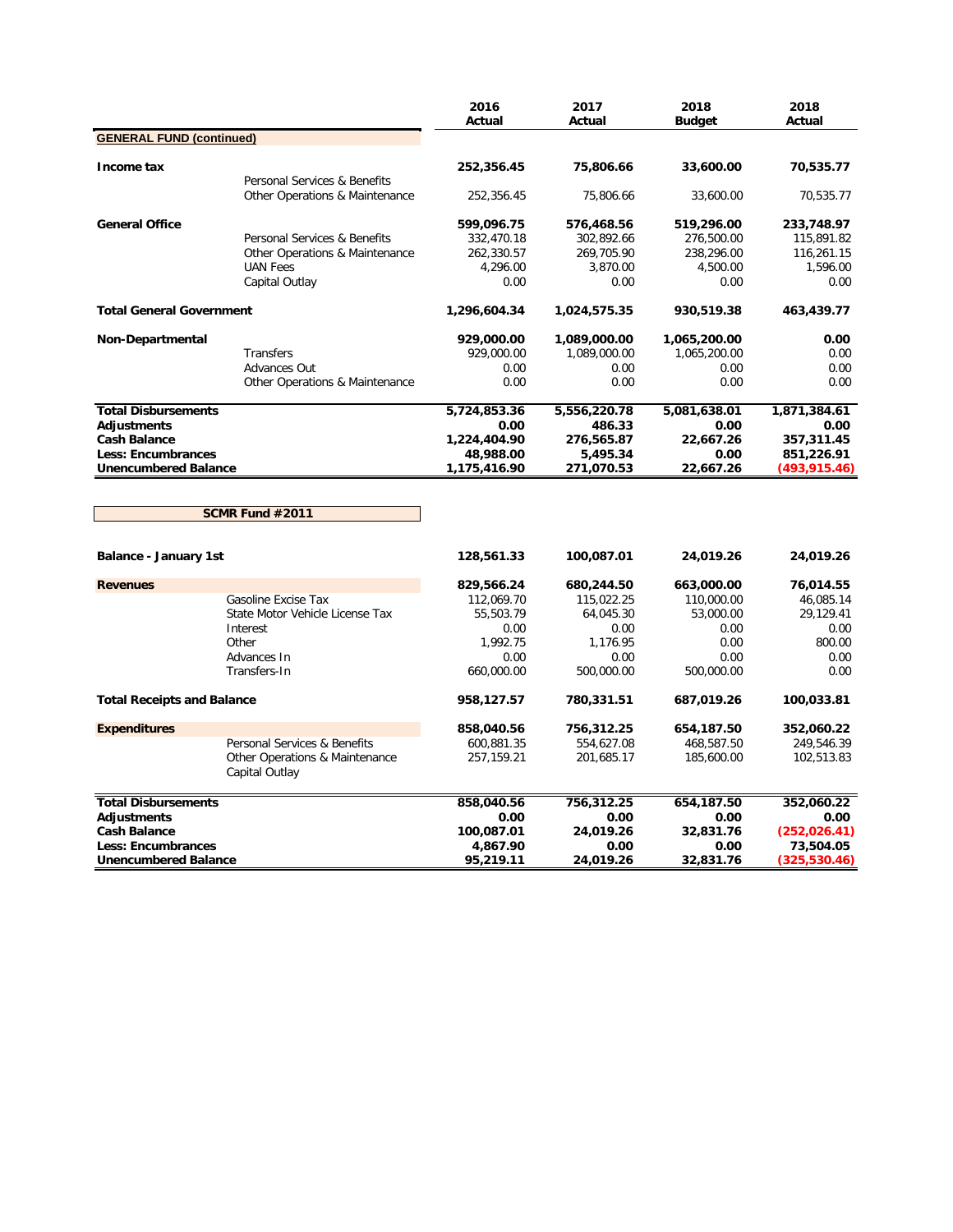|                                   |                                                  | 2016<br>Actual | 2017<br>Actual | 2018<br><b>Budget</b> | 2018<br>Actual |
|-----------------------------------|--------------------------------------------------|----------------|----------------|-----------------------|----------------|
| <b>GENERAL FUND (continued)</b>   |                                                  |                |                |                       |                |
|                                   |                                                  |                |                |                       |                |
| Income tax                        |                                                  | 252,356.45     | 75,806.66      | 33,600.00             | 70,535.77      |
|                                   | Personal Services & Benefits                     |                |                |                       |                |
|                                   | Other Operations & Maintenance                   | 252,356.45     | 75,806.66      | 33,600.00             | 70,535.77      |
| <b>General Office</b>             |                                                  | 599,096.75     | 576,468.56     | 519,296.00            | 233,748.97     |
|                                   | Personal Services & Benefits                     | 332,470.18     | 302,892.66     | 276,500.00            | 115,891.82     |
|                                   | Other Operations & Maintenance                   | 262,330.57     | 269,705.90     | 238,296.00            | 116,261.15     |
|                                   | <b>UAN Fees</b>                                  | 4,296.00       | 3,870.00       | 4,500.00              | 1,596.00       |
|                                   | Capital Outlay                                   | 0.00           | 0.00           | 0.00                  | 0.00           |
| <b>Total General Government</b>   |                                                  | 1,296,604.34   | 1,024,575.35   | 930,519.38            | 463,439.77     |
| Non-Departmental                  |                                                  | 929,000.00     | 1,089,000.00   | 1,065,200.00          | 0.00           |
|                                   | Transfers                                        | 929,000.00     | 1,089,000.00   | 1,065,200.00          | 0.00           |
|                                   | Advances Out                                     | 0.00           | 0.00           | 0.00                  | 0.00           |
|                                   | Other Operations & Maintenance                   | 0.00           | 0.00           | 0.00                  | 0.00           |
| <b>Total Disbursements</b>        |                                                  | 5,724,853.36   | 5,556,220.78   | 5,081,638.01          | 1,871,384.61   |
| Adjustments                       |                                                  | 0.00           | 486.33         | 0.00                  | 0.00           |
| <b>Cash Balance</b>               |                                                  | 1,224,404.90   | 276,565.87     | 22,667.26             | 357,311.45     |
| <b>Less: Encumbrances</b>         |                                                  | 48,988.00      | 5,495.34       | 0.00                  | 851,226.91     |
| <b>Unencumbered Balance</b>       |                                                  | 1,175,416.90   | 271,070.53     | 22,667.26             | (493,915.46)   |
|                                   | SCMR Fund #2011                                  |                |                |                       |                |
| <b>Balance - January 1st</b>      |                                                  | 128,561.33     | 100,087.01     | 24,019.26             | 24,019.26      |
| <b>Revenues</b>                   |                                                  | 829,566.24     | 680,244.50     | 663,000.00            | 76,014.55      |
|                                   | Gasoline Excise Tax                              | 112,069.70     | 115,022.25     | 110,000.00            | 46,085.14      |
|                                   | State Motor Vehicle License Tax                  | 55,503.79      | 64,045.30      | 53,000.00             | 29,129.41      |
|                                   | Interest                                         | 0.00           | 0.00           | 0.00                  | 0.00           |
|                                   | Other                                            | 1,992.75       | 1,176.95       | 0.00                  | 800.00         |
|                                   | Advances In                                      | 0.00           | 0.00           | 0.00                  | 0.00           |
|                                   | Transfers-In                                     | 660,000.00     | 500,000.00     | 500,000.00            | 0.00           |
| <b>Total Receipts and Balance</b> |                                                  | 958,127.57     | 780,331.51     | 687,019.26            | 100,033.81     |
| <b>Expenditures</b>               |                                                  | 858,040.56     | 756,312.25     | 654,187.50            | 352,060.22     |
|                                   | Personal Services & Benefits                     | 600,881.35     | 554,627.08     | 468,587.50            | 249,546.39     |
|                                   | Other Operations & Maintenance<br>Capital Outlay | 257,159.21     | 201,685.17     | 185,600.00            | 102,513.83     |
| <b>Total Disbursements</b>        |                                                  | 858,040.56     | 756,312.25     | 654,187.50            | 352,060.22     |
| <b>Adjustments</b>                |                                                  | 0.00           | 0.00           | 0.00                  | 0.00           |
| <b>Cash Balance</b>               |                                                  | 100,087.01     | 24,019.26      | 32,831.76             | (252, 026.41)  |
| <b>Less: Encumbrances</b>         |                                                  | 4,867.90       | 0.00           | 0.00                  | 73,504.05      |
| <b>Unencumbered Balance</b>       |                                                  | 95,219.11      | 24,019.26      | 32,831.76             | (325,530.46)   |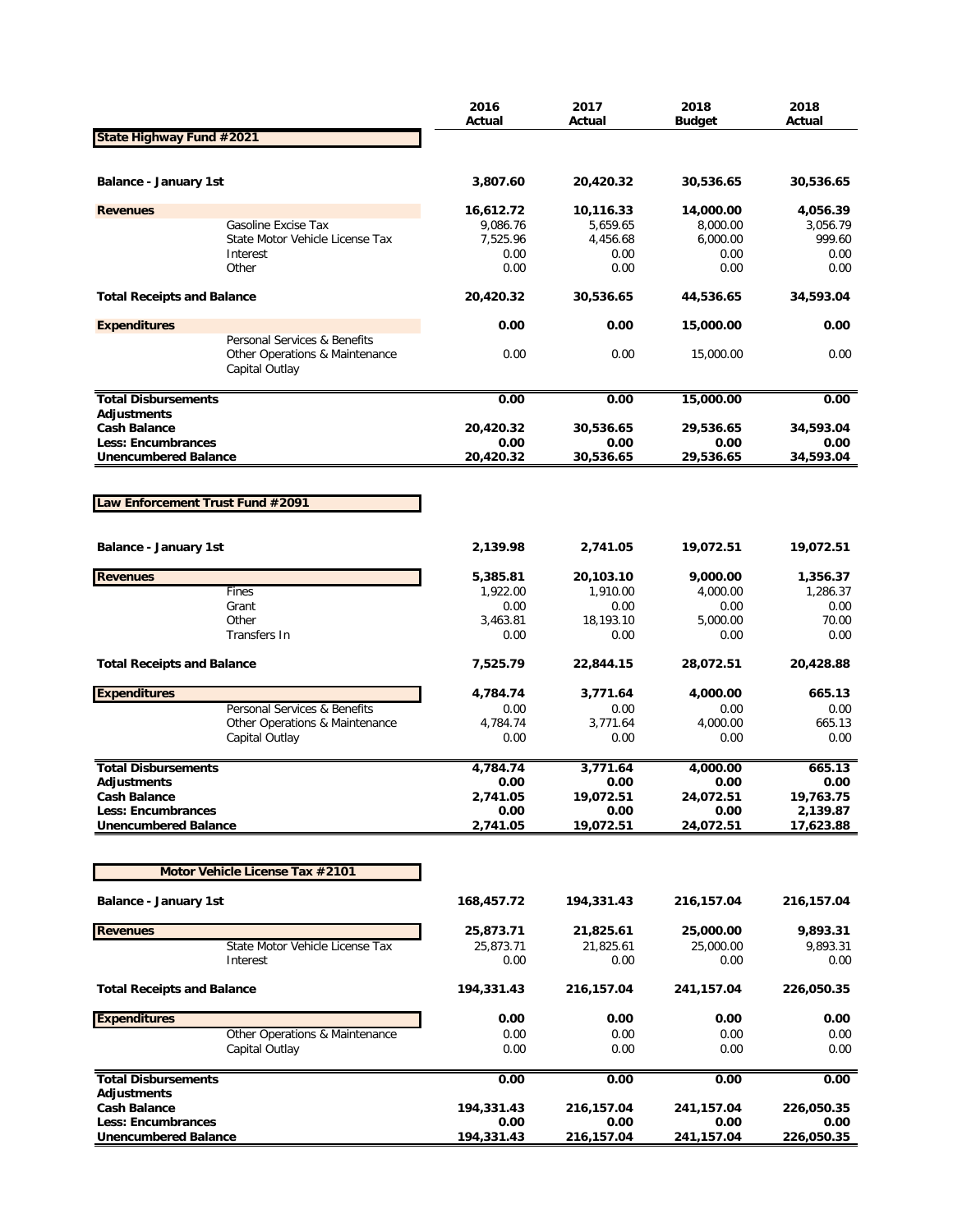|                                                  |                                                                                  | 2016<br>Actual   | 2017<br>Actual   | 2018<br><b>Budget</b> | 2018<br>Actual |
|--------------------------------------------------|----------------------------------------------------------------------------------|------------------|------------------|-----------------------|----------------|
| State Highway Fund #2021                         |                                                                                  |                  |                  |                       |                |
|                                                  |                                                                                  |                  |                  |                       |                |
| Balance - January 1st                            |                                                                                  | 3,807.60         | 20,420.32        | 30,536.65             | 30,536.65      |
| <b>Revenues</b>                                  |                                                                                  | 16,612.72        | 10,116.33        | 14,000.00             | 4,056.39       |
|                                                  | Gasoline Excise Tax                                                              | 9,086.76         | 5,659.65         | 8,000.00              | 3,056.79       |
|                                                  | State Motor Vehicle License Tax                                                  | 7,525.96         | 4,456.68         | 6,000.00              | 999.60         |
|                                                  | Interest<br>Other                                                                | 0.00<br>0.00     | 0.00<br>0.00     | 0.00<br>0.00          | 0.00<br>0.00   |
|                                                  |                                                                                  |                  |                  |                       |                |
| <b>Total Receipts and Balance</b>                |                                                                                  | 20,420.32        | 30,536.65        | 44,536.65             | 34,593.04      |
| <b>Expenditures</b>                              |                                                                                  | 0.00             | 0.00             | 15,000.00             | 0.00           |
|                                                  | Personal Services & Benefits<br>Other Operations & Maintenance<br>Capital Outlay | 0.00             | 0.00             | 15,000.00             | 0.00           |
| <b>Total Disbursements</b>                       |                                                                                  | 0.00             | 0.00             | 15,000.00             | 0.00           |
| <b>Adjustments</b>                               |                                                                                  |                  |                  |                       |                |
| <b>Cash Balance</b>                              |                                                                                  | 20,420.32        | 30,536.65        | 29,536.65             | 34,593.04      |
| Less: Encumbrances                               |                                                                                  | 0.00             | 0.00             | 0.00                  | 0.00           |
| <b>Unencumbered Balance</b>                      |                                                                                  | 20,420.32        | 30,536.65        | 29,536.65             | 34,593.04      |
|                                                  |                                                                                  |                  |                  |                       |                |
| Law Enforcement Trust Fund #2091                 |                                                                                  |                  |                  |                       |                |
|                                                  |                                                                                  |                  |                  |                       |                |
| Balance - January 1st                            |                                                                                  | 2,139.98         | 2,741.05         | 19,072.51             | 19,072.51      |
| <b>Revenues</b>                                  |                                                                                  | 5,385.81         | 20,103.10        | 9,000.00              | 1,356.37       |
|                                                  | Fines                                                                            | 1,922.00         | 1,910.00         | 4,000.00              | 1,286.37       |
|                                                  | Grant                                                                            | 0.00             | 0.00             | 0.00                  | 0.00           |
|                                                  | Other                                                                            | 3,463.81         | 18,193.10        | 5,000.00              | 70.00          |
|                                                  | Transfers In                                                                     | 0.00             | 0.00             | 0.00                  | 0.00           |
| <b>Total Receipts and Balance</b>                |                                                                                  | 7,525.79         | 22,844.15        | 28,072.51             | 20,428.88      |
| <b>Expenditures</b>                              |                                                                                  | 4,784.74         | 3,771.64         | 4,000.00              | 665.13         |
|                                                  | Personal Services & Benefits                                                     | 0.00             | 0.00             | 0.00                  | 0.00           |
|                                                  | Other Operations & Maintenance                                                   | 4,784.74         | 3,771.64         | 4,000.00              | 665.13         |
|                                                  | Capital Outlay                                                                   | 0.00             | 0.00             | 0.00                  | 0.00           |
|                                                  |                                                                                  |                  |                  |                       |                |
| <b>Total Disbursements</b>                       |                                                                                  | 4,784.74<br>0.00 | 3,771.64<br>0.00 | 4,000.00<br>0.00      | 665.13<br>0.00 |
| <b>Adjustments</b><br><b>Cash Balance</b>        |                                                                                  | 2,741.05         | 19,072.51        | 24,072.51             | 19,763.75      |
| <b>Less: Encumbrances</b>                        |                                                                                  | 0.00             | 0.00             | 0.00                  | 2,139.87       |
| <b>Unencumbered Balance</b>                      |                                                                                  | 2,741.05         | 19,072.51        | 24,072.51             | 17,623.88      |
|                                                  |                                                                                  |                  |                  |                       |                |
|                                                  | Motor Vehicle License Tax #2101                                                  |                  |                  |                       |                |
| <b>Balance - January 1st</b>                     |                                                                                  | 168,457.72       | 194,331.43       | 216,157.04            | 216,157.04     |
| <b>Revenues</b>                                  |                                                                                  | 25,873.71        | 21,825.61        | 25,000.00             | 9,893.31       |
|                                                  | State Motor Vehicle License Tax                                                  | 25,873.71        | 21,825.61        | 25,000.00             | 9,893.31       |
|                                                  | Interest                                                                         | 0.00             | 0.00             | 0.00                  | 0.00           |
| <b>Total Receipts and Balance</b>                |                                                                                  | 194,331.43       | 216,157.04       | 241,157.04            | 226,050.35     |
| <b>Expenditures</b>                              |                                                                                  | 0.00             | 0.00             | 0.00                  | 0.00           |
|                                                  | Other Operations & Maintenance                                                   | 0.00             | 0.00             | 0.00                  | 0.00           |
|                                                  | Capital Outlay                                                                   | 0.00             | 0.00             | 0.00                  | 0.00           |
| <b>Total Disbursements</b><br><b>Adjustments</b> |                                                                                  | 0.00             | 0.00             | 0.00                  | 0.00           |
| <b>Cash Balance</b>                              |                                                                                  | 194,331.43       | 216,157.04       | 241,157.04            | 226,050.35     |
| Less: Encumbrances                               |                                                                                  | 0.00             | 0.00             | 0.00                  | 0.00           |
| <b>Unencumbered Balance</b>                      |                                                                                  | 194,331.43       | 216,157.04       | 241, 157.04           | 226,050.35     |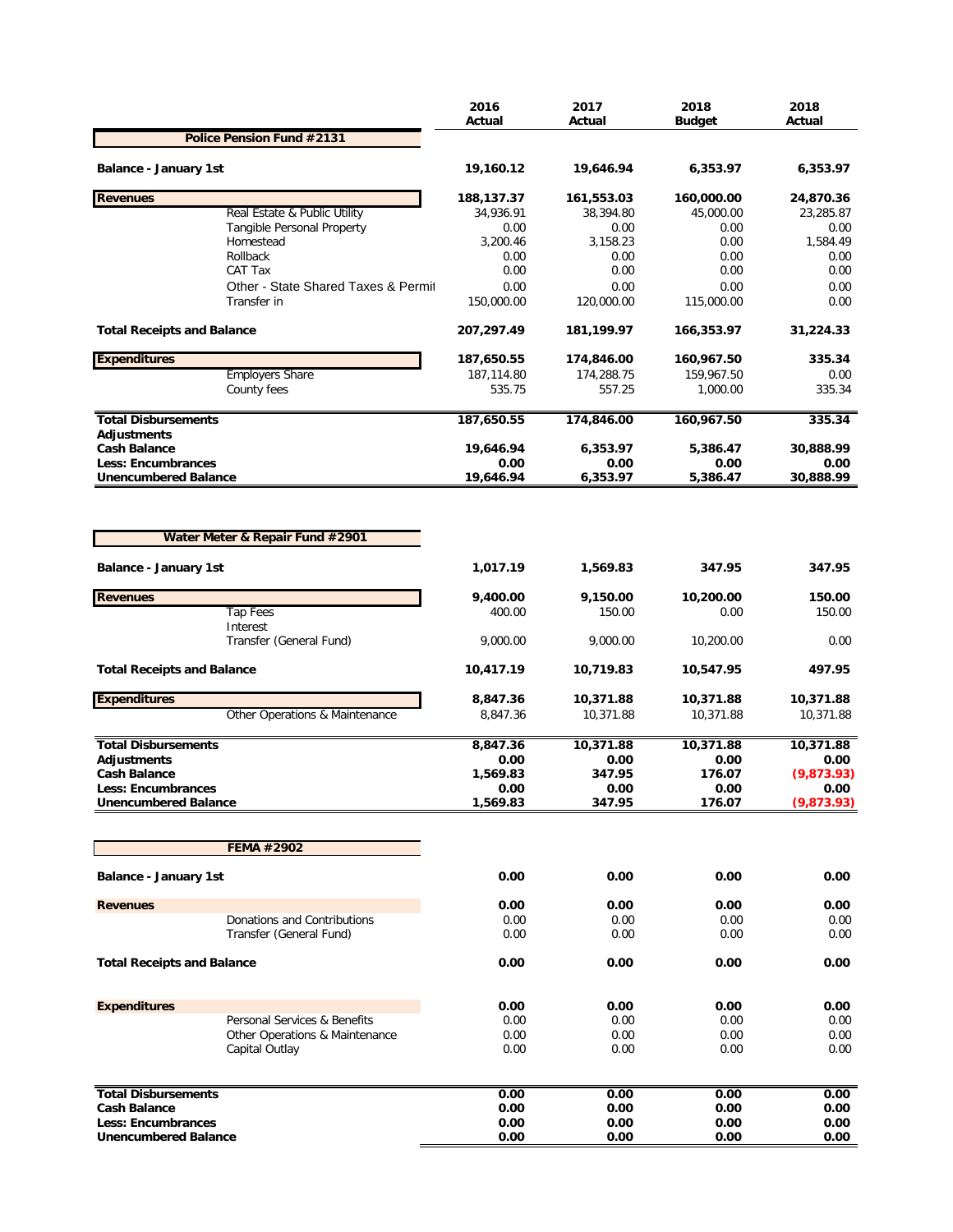|                                                          |                                                  | 2016<br>Actual       | 2017<br>Actual       | 2018<br><b>Budget</b>  | 2018<br>Actual     |
|----------------------------------------------------------|--------------------------------------------------|----------------------|----------------------|------------------------|--------------------|
|                                                          | Police Pension Fund #2131                        |                      |                      |                        |                    |
| <b>Balance - January 1st</b>                             |                                                  | 19,160.12            | 19,646.94            | 6,353.97               | 6,353.97           |
| <b>Revenues</b>                                          |                                                  | 188,137.37           | 161,553.03           | 160,000.00             | 24,870.36          |
|                                                          | Real Estate & Public Utility                     | 34,936.91            | 38,394.80            | 45,000.00              | 23,285.87          |
|                                                          | Tangible Personal Property                       | 0.00                 | 0.00                 | 0.00                   | 0.00               |
|                                                          | Homestead                                        | 3,200.46             | 3,158.23             | 0.00                   | 1,584.49           |
|                                                          | Rollback<br>CAT Tax                              | 0.00<br>0.00         | 0.00<br>0.00         | 0.00<br>0.00           | 0.00<br>0.00       |
|                                                          | Other - State Shared Taxes & Permit              | 0.00                 | 0.00                 | 0.00                   | 0.00               |
|                                                          | Transfer in                                      | 150,000.00           | 120,000.00           | 115,000.00             | 0.00               |
| <b>Total Receipts and Balance</b>                        |                                                  | 207,297.49           | 181,199.97           | 166,353.97             | 31,224.33          |
| <b>Expenditures</b>                                      |                                                  | 187,650.55           | 174,846.00           | 160,967.50             | 335.34             |
|                                                          | <b>Employers Share</b><br>County fees            | 187,114.80<br>535.75 | 174,288.75<br>557.25 | 159,967.50<br>1,000.00 | 0.00<br>335.34     |
| <b>Total Disbursements</b>                               |                                                  | 187,650.55           | 174,846.00           | 160,967.50             | 335.34             |
| <b>Adjustments</b>                                       |                                                  |                      |                      |                        |                    |
| <b>Cash Balance</b><br><b>Less: Encumbrances</b>         |                                                  | 19,646.94<br>0.00    | 6,353.97<br>0.00     | 5,386.47<br>0.00       | 30,888.99<br>0.00  |
| <b>Unencumbered Balance</b>                              |                                                  | 19,646.94            | 6,353.97             | 5,386.47               | 30,888.99          |
|                                                          | Water Meter & Repair Fund #2901                  |                      |                      |                        |                    |
| Balance - January 1st                                    |                                                  | 1,017.19             | 1,569.83             | 347.95                 | 347.95             |
| <b>Revenues</b>                                          |                                                  | 9,400.00             | 9,150.00             | 10,200.00              | 150.00             |
|                                                          | <b>Tap Fees</b>                                  | 400.00               | 150.00               | 0.00                   | 150.00             |
|                                                          | Interest<br>Transfer (General Fund)              | 9,000.00             | 9,000.00             | 10,200.00              | 0.00               |
| <b>Total Receipts and Balance</b>                        |                                                  | 10,417.19            | 10,719.83            | 10,547.95              | 497.95             |
| <b>Expenditures</b>                                      |                                                  | 8,847.36             | 10,371.88            | 10,371.88              | 10,371.88          |
|                                                          | Other Operations & Maintenance                   | 8,847.36             | 10,371.88            | 10,371.88              | 10,371.88          |
| <b>Total Disbursements</b>                               |                                                  | 8,847.36             | 10,371.88            | 10,371.88              | 10,371.88          |
| <b>Adiustments</b>                                       |                                                  | 0.00                 | 0.00                 | 0.00                   | 0.00               |
| <b>Cash Balance</b>                                      |                                                  | 1,569.83             | 347.95               | 176.07                 | (9,873.93)         |
| <b>Less: Encumbrances</b><br><b>Unencumbered Balance</b> |                                                  | 0.00<br>1,569.83     | 0.00<br>347.95       | 0.00<br>176.07         | 0.00<br>(9,873.93) |
|                                                          |                                                  |                      |                      |                        |                    |
|                                                          | <b>FEMA #2902</b>                                |                      |                      |                        |                    |
| <b>Balance - January 1st</b>                             |                                                  | 0.00                 | 0.00                 | 0.00                   | 0.00               |
| <b>Revenues</b>                                          |                                                  | 0.00                 | 0.00                 | 0.00                   | 0.00               |
|                                                          | Donations and Contributions                      | 0.00                 | 0.00                 | 0.00                   | 0.00               |
|                                                          | Transfer (General Fund)                          | 0.00                 | 0.00                 | 0.00                   | 0.00               |
| <b>Total Receipts and Balance</b>                        |                                                  | 0.00                 | 0.00                 | 0.00                   | 0.00               |
| <b>Expenditures</b>                                      |                                                  | 0.00                 | 0.00                 | 0.00                   | 0.00               |
|                                                          | Personal Services & Benefits                     | 0.00                 | 0.00                 | 0.00                   | 0.00               |
|                                                          | Other Operations & Maintenance<br>Capital Outlay | 0.00<br>0.00         | 0.00<br>0.00         | 0.00<br>0.00           | 0.00<br>0.00       |
|                                                          |                                                  |                      |                      |                        |                    |
| <b>Total Disbursements</b>                               |                                                  | 0.00                 | 0.00                 | 0.00                   | 0.00               |
| <b>Cash Balance</b>                                      |                                                  | 0.00                 | 0.00                 | 0.00                   | 0.00               |
| Less: Encumbrances                                       |                                                  | 0.00                 | 0.00                 | 0.00                   | 0.00               |
| <b>Unencumbered Balance</b>                              |                                                  | 0.00                 | 0.00                 | 0.00                   | 0.00               |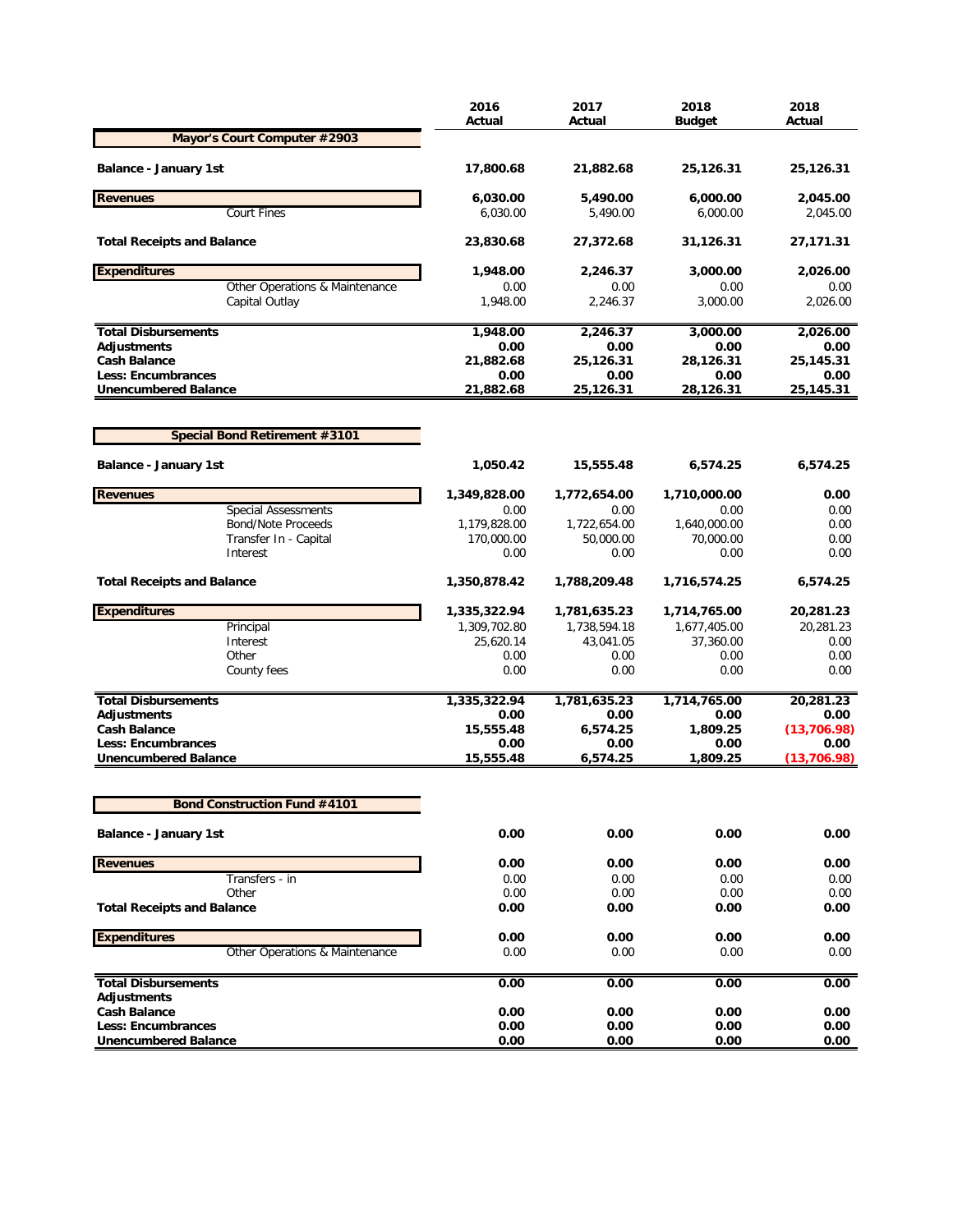|                                                          | 2016<br>Actual     | 2017<br>Actual    | 2018<br><b>Budget</b> | 2018<br>Actual    |
|----------------------------------------------------------|--------------------|-------------------|-----------------------|-------------------|
| Mayor's Court Computer #2903                             |                    |                   |                       |                   |
| <b>Balance - January 1st</b>                             | 17,800.68          | 21,882.68         | 25,126.31             | 25,126.31         |
| <b>Revenues</b>                                          | 6,030.00           | 5,490.00          | 6,000.00              | 2,045.00          |
| Court Fines                                              | 6,030.00           | 5.490.00          | 6.000.00              | 2,045.00          |
| <b>Total Receipts and Balance</b>                        | 23,830.68          | 27,372.68         | 31,126.31             | 27,171.31         |
| <b>Expenditures</b>                                      | 1,948.00           | 2,246.37          | 3,000.00              | 2,026.00          |
| Other Operations & Maintenance<br>Capital Outlay         | 0.00<br>1,948.00   | 0.00<br>2,246.37  | 0.00<br>3,000.00      | 0.00<br>2,026.00  |
| <b>Total Disbursements</b>                               | 1,948.00           | 2,246.37          | 3,000.00              | 2,026.00          |
| Adjustments                                              | 0.00               | 0.00              | 0.00                  | 0.00              |
| <b>Cash Balance</b>                                      | 21,882.68          | 25,126.31         | 28,126.31             | 25,145.31         |
| <b>Less: Encumbrances</b><br><b>Unencumbered Balance</b> | 0.00<br>21,882.68  | 0.00<br>25,126.31 | 0.00<br>28,126.31     | 0.00<br>25,145.31 |
|                                                          |                    |                   |                       |                   |
| <b>Special Bond Retirement #3101</b>                     |                    |                   |                       |                   |
| <b>Balance - January 1st</b>                             | 1,050.42           | 15,555.48         | 6,574.25              | 6,574.25          |
| <b>Revenues</b>                                          | 1,349,828.00       | 1,772,654.00      | 1,710,000.00          | 0.00              |
| <b>Special Assessments</b>                               | 0.00               | 0.00              | 0.00                  | 0.00              |
| <b>Bond/Note Proceeds</b>                                | 1,179,828.00       | 1,722,654.00      | 1,640,000.00          | 0.00              |
| Transfer In - Capital<br>Interest                        | 170,000.00<br>0.00 | 50,000.00<br>0.00 | 70,000.00<br>0.00     | 0.00<br>0.00      |
| <b>Total Receipts and Balance</b>                        | 1,350,878.42       | 1,788,209.48      | 1,716,574.25          | 6,574.25          |
| <b>Expenditures</b>                                      | 1,335,322.94       | 1,781,635.23      | 1,714,765.00          | 20,281.23         |
| Principal                                                | 1,309,702.80       | 1,738,594.18      | 1,677,405.00          | 20,281.23         |
| Interest                                                 | 25,620.14          | 43,041.05         | 37,360.00             | 0.00              |
| Other                                                    | 0.00               | 0.00              | 0.00                  | 0.00              |
| County fees                                              | 0.00               | 0.00              | 0.00                  | 0.00              |
| <b>Total Disbursements</b>                               | 1,335,322.94       | 1,781,635.23      | 1,714,765.00          | 20,281.23         |
| Adjustments                                              | 0.00               | 0.00              | 0.00                  | 0.00              |
| <b>Cash Balance</b>                                      | 15,555.48          | 6,574.25          | 1,809.25              | (13, 706.98)      |
| <b>Less: Encumbrances</b>                                | 0.00               | 0.00              | 0.00                  | 0.00              |
| <b>Unencumbered Balance</b>                              | 15,555.48          | 6,574.25          | 1,809.25              | (13, 706.98)      |
| <b>Bond Construction Fund #4101</b>                      |                    |                   |                       |                   |
| <b>Balance - January 1st</b>                             | 0.00               | 0.00              | 0.00                  | 0.00              |
| <b>Revenues</b>                                          | 0.00               | 0.00              | 0.00                  | 0.00              |
| Transfers - in                                           | 0.00               | 0.00              | 0.00                  | 0.00              |
| Other                                                    | 0.00               | 0.00              | 0.00                  | 0.00              |
| <b>Total Receipts and Balance</b>                        | 0.00               | 0.00              | 0.00                  | 0.00              |
| <b>Expenditures</b>                                      | 0.00               | 0.00              | 0.00                  | 0.00              |
| Other Operations & Maintenance                           | 0.00               | 0.00              | 0.00                  | 0.00              |
| <b>Total Disbursements</b>                               | 0.00               | 0.00              | 0.00                  | 0.00              |
| Adjustments<br><b>Cash Balance</b>                       |                    |                   |                       | 0.00              |
| Less: Encumbrances                                       | 0.00<br>0.00       | 0.00<br>0.00      | 0.00<br>0.00          | 0.00              |
| <b>Unencumbered Balance</b>                              | 0.00               | 0.00              | 0.00                  | 0.00              |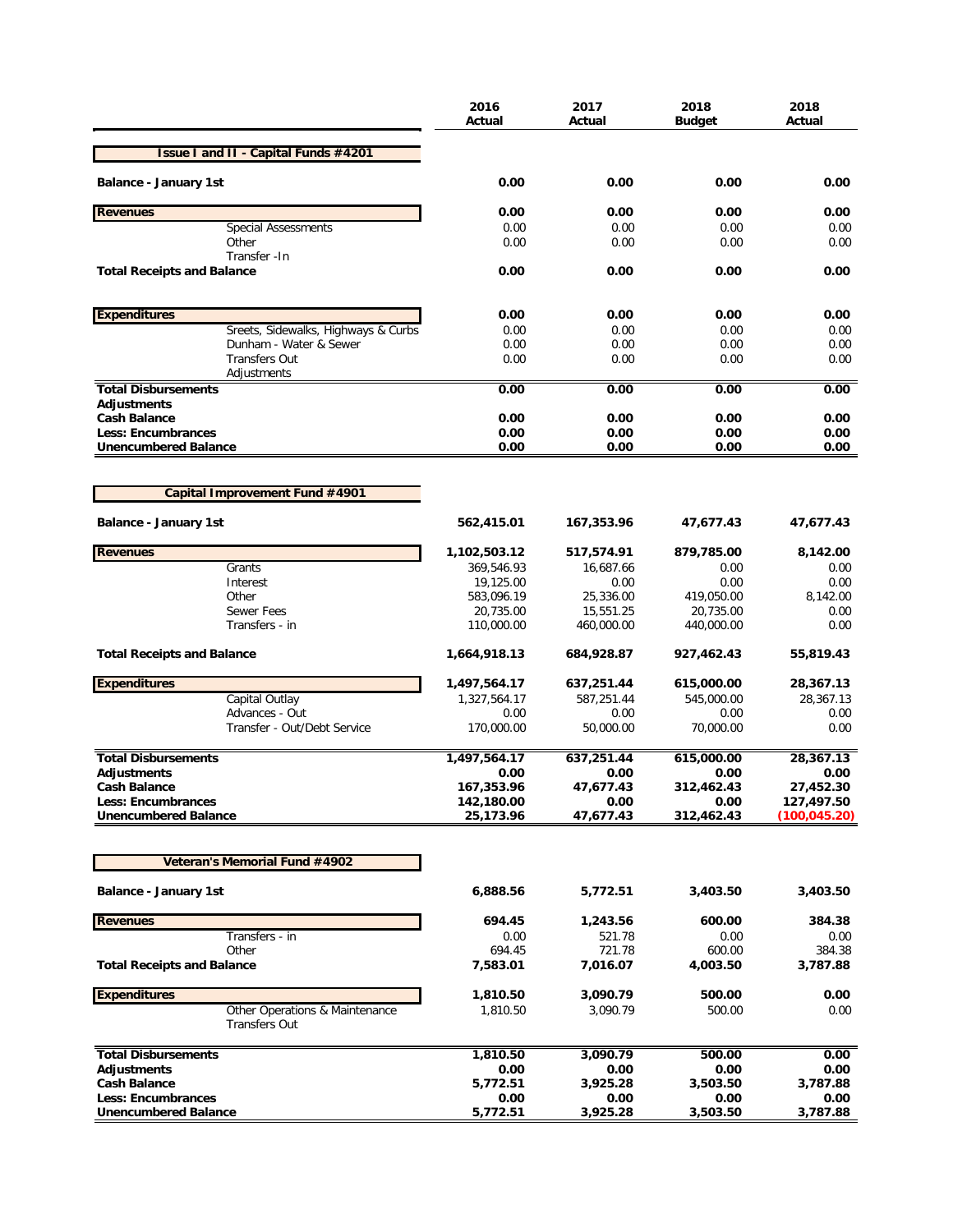|                                                        | 2016<br>Actual           | 2017<br>Actual         | 2018<br>Budget          | 2018<br>Actual          |
|--------------------------------------------------------|--------------------------|------------------------|-------------------------|-------------------------|
| <b>Issue I and II - Capital Funds #4201</b>            |                          |                        |                         |                         |
| <b>Balance - January 1st</b>                           | 0.00                     | 0.00                   | 0.00                    | 0.00                    |
| <b>Revenues</b>                                        | 0.00                     | 0.00                   | 0.00                    | 0.00                    |
| <b>Special Assessments</b>                             | 0.00                     | 0.00                   | 0.00                    | 0.00                    |
| Other                                                  | 0.00                     | 0.00                   | 0.00                    | 0.00                    |
| Transfer - In<br><b>Total Receipts and Balance</b>     | 0.00                     | 0.00                   | 0.00                    | 0.00                    |
| <b>Expenditures</b>                                    | 0.00                     | 0.00                   | 0.00                    | 0.00                    |
| Sreets, Sidewalks, Highways & Curbs                    | 0.00                     | 0.00                   | 0.00                    | 0.00                    |
| Dunham - Water & Sewer                                 | 0.00                     | 0.00                   | 0.00                    | 0.00                    |
| <b>Transfers Out</b>                                   | 0.00                     | 0.00                   | 0.00                    | 0.00                    |
| Adjustments                                            |                          |                        |                         |                         |
| <b>Total Disbursements</b><br>Adjustments              | 0.00                     | 0.00                   | 0.00                    | 0.00                    |
| <b>Cash Balance</b>                                    | 0.00                     | 0.00                   | 0.00                    | 0.00                    |
| <b>Less: Encumbrances</b>                              | 0.00                     | 0.00                   | 0.00                    | 0.00                    |
| <b>Unencumbered Balance</b>                            | 0.00                     | 0.00                   | 0.00                    | 0.00                    |
|                                                        |                          |                        |                         |                         |
| Capital Improvement Fund #4901                         |                          |                        |                         |                         |
| <b>Balance - January 1st</b>                           | 562,415.01               | 167,353.96             | 47,677.43               | 47,677.43               |
| <b>Revenues</b>                                        | 1,102,503.12             | 517,574.91             | 879,785.00              | 8,142.00                |
| Grants                                                 | 369,546.93               | 16,687.66              | 0.00                    | 0.00                    |
| Interest                                               | 19,125.00                | 0.00                   | 0.00                    | 0.00                    |
| Other<br><b>Sewer Fees</b>                             | 583,096.19               | 25,336.00<br>15,551.25 | 419,050.00              | 8,142.00<br>0.00        |
| Transfers - in                                         | 20,735.00<br>110,000.00  | 460,000.00             | 20,735.00<br>440,000.00 | 0.00                    |
| <b>Total Receipts and Balance</b>                      | 1,664,918.13             | 684,928.87             | 927,462.43              | 55,819.43               |
| <b>Expenditures</b>                                    | 1,497,564.17             | 637,251.44             | 615,000.00              | 28,367.13               |
| Capital Outlay                                         | 1,327,564.17             | 587,251.44             | 545,000.00              | 28,367.13               |
| Advances - Out                                         | 0.00                     | 0.00                   | 0.00                    | 0.00                    |
| Transfer - Out/Debt Service                            | 170,000.00               | 50,000.00              | 70,000.00               | 0.00                    |
| <b>Total Disbursements</b>                             | 1,497,564.17             | 637,251.44             | 615,000.00              | 28,367.13               |
| <b>Adjustments</b>                                     | 0.00                     | 0.00                   | 0.00                    | 0.00                    |
| <b>Cash Balance</b><br><b>Less: Encumbrances</b>       | 167,353.96<br>142,180.00 | 47,677.43<br>0.00      | 312,462.43<br>0.00      | 27,452.30<br>127,497.50 |
| <b>Unencumbered Balance</b>                            | 25,173.96                | 47,677.43              | 312,462.43              | (100, 045.20)           |
|                                                        |                          |                        |                         |                         |
| Veteran's Memorial Fund #4902                          |                          |                        |                         |                         |
| <b>Balance - January 1st</b>                           | 6,888.56                 | 5,772.51               | 3,403.50                | 3,403.50                |
| <b>Revenues</b>                                        | 694.45                   | 1,243.56               | 600.00                  | 384.38                  |
| Transfers - in                                         | 0.00                     | 521.78                 | 0.00                    | 0.00                    |
| Other                                                  | 694.45                   | 721.78                 | 600.00                  | 384.38                  |
| <b>Total Receipts and Balance</b>                      | 7,583.01                 | 7,016.07               | 4,003.50                | 3,787.88                |
| <b>Expenditures</b>                                    | 1,810.50                 | 3,090.79               | 500.00                  | 0.00                    |
| Other Operations & Maintenance<br><b>Transfers Out</b> | 1,810.50                 | 3,090.79               | 500.00                  | 0.00                    |
| <b>Total Disbursements</b>                             | 1,810.50                 | 3,090.79               | 500.00                  | 0.00                    |
| Adjustments                                            | 0.00                     | 0.00                   | 0.00                    | 0.00                    |
| <b>Cash Balance</b>                                    | 5,772.51                 | 3,925.28               | 3,503.50                | 3,787.88                |
| <b>Less: Encumbrances</b>                              | 0.00                     | 0.00                   | 0.00                    | 0.00                    |
| <b>Unencumbered Balance</b>                            | 5,772.51                 | 3,925.28               | 3,503.50                | 3,787.88                |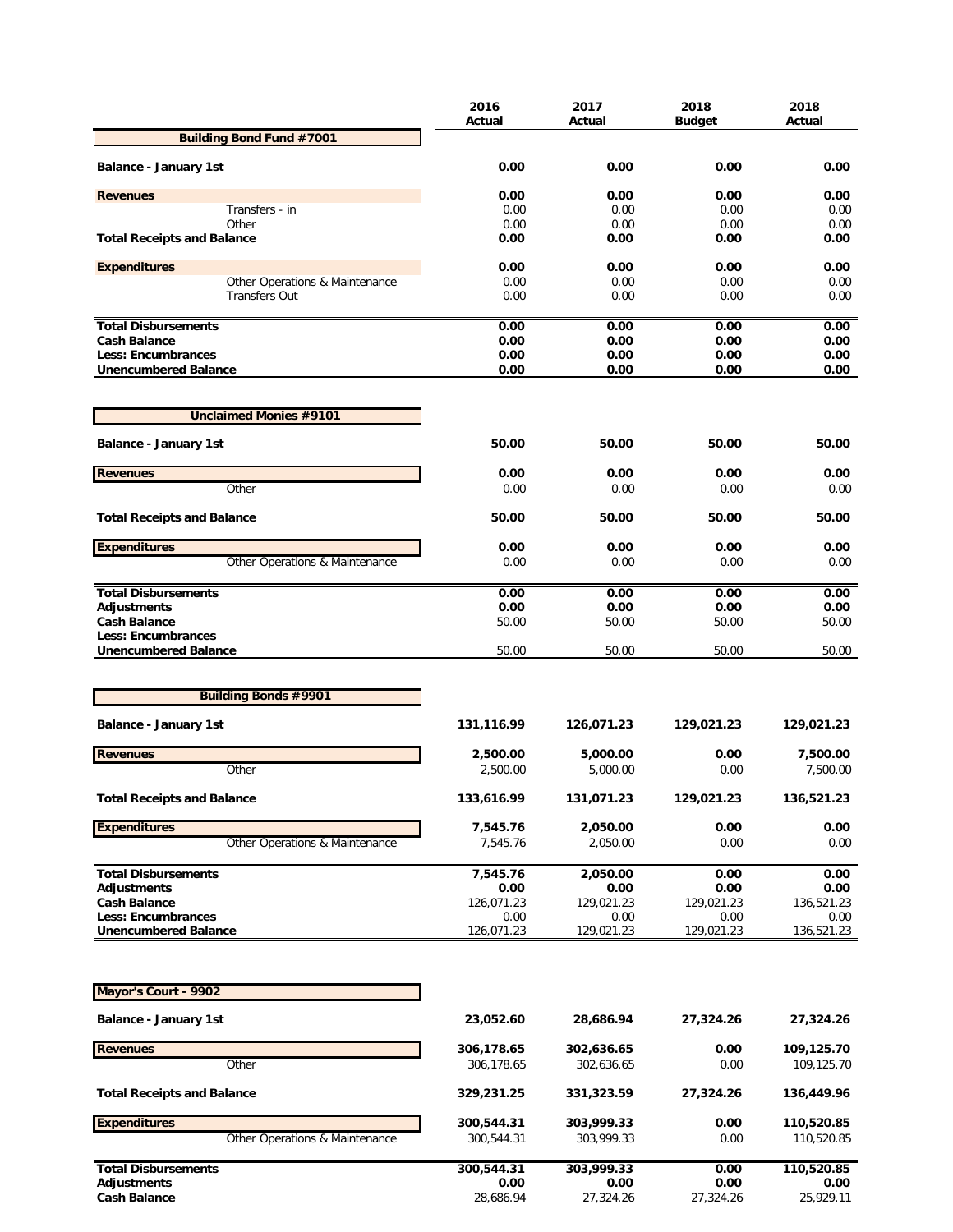|                                                   | 2016<br>Actual | 2017<br>Actual | 2018<br><b>Budget</b> | 2018<br>Actual |
|---------------------------------------------------|----------------|----------------|-----------------------|----------------|
| <b>Building Bond Fund #7001</b>                   |                |                |                       |                |
| <b>Balance - January 1st</b>                      | 0.00           | 0.00           | 0.00                  | 0.00           |
|                                                   |                |                |                       |                |
| <b>Revenues</b>                                   | 0.00           | 0.00           | 0.00                  | 0.00           |
| Transfers - in                                    | 0.00           | 0.00           | 0.00                  | 0.00           |
| Other<br><b>Total Receipts and Balance</b>        | 0.00<br>0.00   | 0.00<br>0.00   | 0.00<br>0.00          | 0.00<br>0.00   |
|                                                   |                |                |                       |                |
| <b>Expenditures</b>                               | 0.00           | 0.00           | 0.00                  | 0.00           |
| Other Operations & Maintenance                    | 0.00           | 0.00           | 0.00                  | 0.00           |
| <b>Transfers Out</b>                              | 0.00           | 0.00           | 0.00                  | 0.00           |
|                                                   |                |                |                       |                |
| <b>Total Disbursements</b>                        | 0.00           | 0.00           | 0.00                  | 0.00           |
| <b>Cash Balance</b>                               | 0.00           | 0.00           | 0.00                  | 0.00           |
| Less: Encumbrances<br><b>Unencumbered Balance</b> | 0.00<br>0.00   | 0.00<br>0.00   | 0.00<br>0.00          | 0.00<br>0.00   |
|                                                   |                |                |                       |                |
| <b>Unclaimed Monies #9101</b>                     |                |                |                       |                |
| <b>Balance - January 1st</b>                      | 50.00          | 50.00          | 50.00                 | 50.00          |
|                                                   |                |                |                       |                |
| <b>Revenues</b>                                   | 0.00           | 0.00           | 0.00                  | 0.00           |
| Other                                             | 0.00           | 0.00           | 0.00                  | 0.00           |
| <b>Total Receipts and Balance</b>                 | 50.00          | 50.00          | 50.00                 | 50.00          |
| <b>Expenditures</b>                               | 0.00           | 0.00           | 0.00                  | 0.00           |
| Other Operations & Maintenance                    | 0.00           | 0.00           | 0.00                  | 0.00           |
| <b>Total Disbursements</b>                        | 0.00           | 0.00           | 0.00                  | 0.00           |
| <b>Adjustments</b>                                | 0.00           | 0.00           | 0.00                  | 0.00           |
| <b>Cash Balance</b>                               | 50.00          | 50.00          | 50.00                 | 50.00          |
| Less: Encumbrances                                |                |                |                       |                |
| <b>Unencumbered Balance</b>                       | 50.00          | 50.00          | 50.00                 | 50.00          |
|                                                   |                |                |                       |                |
| <b>Building Bonds #9901</b>                       |                |                |                       |                |
| <b>Balance - January 1st</b>                      | 131,116.99     | 126,071.23     | 129,021.23            | 129,021.23     |
| <b>Revenues</b>                                   | 2,500.00       | 5,000.00       | 0.00                  | 7,500.00       |
| Other                                             | 2,500.00       | 5,000.00       | 0.00                  | 7,500.00       |
|                                                   |                |                |                       |                |
| <b>Total Receipts and Balance</b>                 | 133,616.99     | 131,071.23     | 129,021.23            | 136,521.23     |
| <b>Expenditures</b>                               | 7,545.76       | 2,050.00       | 0.00                  | 0.00           |
| Other Operations & Maintenance                    | 7,545.76       | 2,050.00       | 0.00                  | 0.00           |
| <b>Total Disbursements</b>                        | 7,545.76       | 2,050.00       | 0.00                  | 0.00           |
| <b>Adjustments</b>                                | 0.00           | 0.00           | 0.00                  | 0.00           |
| <b>Cash Balance</b>                               | 126,071.23     | 129,021.23     | 129,021.23            | 136,521.23     |
| Less: Encumbrances                                | 0.00           | 0.00           | 0.00                  | 0.00           |
| <b>Unencumbered Balance</b>                       | 126,071.23     | 129,021.23     | 129,021.23            | 136,521.23     |
|                                                   |                |                |                       |                |
| Mayor's Court - 9902                              |                |                |                       |                |
| <b>Balance - January 1st</b>                      | 23,052.60      | 28,686.94      | 27,324.26             | 27,324.26      |
| <b>Revenues</b>                                   | 306,178.65     | 302,636.65     | 0.00                  | 109,125.70     |
| Other                                             | 306,178.65     | 302,636.65     | 0.00                  | 109,125.70     |
|                                                   |                |                |                       |                |
| <b>Total Receipts and Balance</b>                 | 329,231.25     | 331,323.59     | 27,324.26             | 136,449.96     |
| <b>Expenditures</b>                               | 300,544.31     | 303,999.33     | 0.00                  | 110,520.85     |
| Other Operations & Maintenance                    | 300,544.31     | 303,999.33     | 0.00                  | 110,520.85     |
|                                                   |                |                |                       |                |
| <b>Total Disbursements</b>                        | 300,544.31     | 303,999.33     | 0.00                  | 110,520.85     |
| <b>Adjustments</b>                                | 0.00           | 0.00           | 0.00                  | 0.00           |
| <b>Cash Balance</b>                               | 28,686.94      | 27,324.26      | 27,324.26             | 25,929.11      |